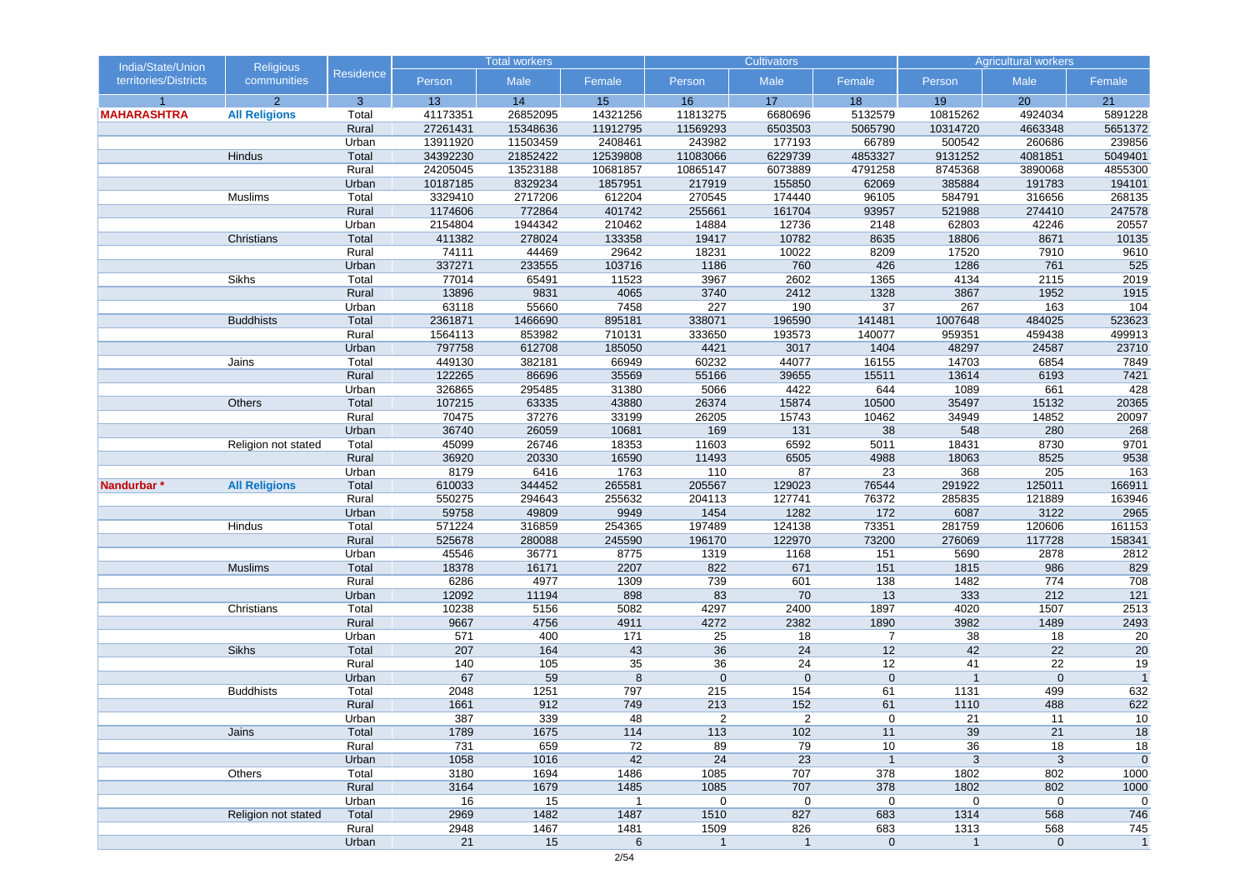| India/State/Union     | <b>Religious</b>     |                  |                    | <b>Total workers</b> |                  |                   | <b>Cultivators</b> |                |                 | <b>Agricultural workers</b> |                  |
|-----------------------|----------------------|------------------|--------------------|----------------------|------------------|-------------------|--------------------|----------------|-----------------|-----------------------------|------------------|
| territories/Districts | communities          | <b>Residence</b> | Person             | Male                 | Female           | Person            | Male               | Female         | Person          | Male                        | Female           |
|                       | $\overline{2}$       | $\mathbf{3}$     | 13                 | 14                   | 15               | 16                | 17                 | 18             | 19              | 20                          | 21               |
| <b>MAHARASHTRA</b>    | <b>All Religions</b> | Total            | 41173351           | 26852095             | 14321256         | 11813275          | 6680696            | 5132579        | 10815262        | 4924034                     | 5891228          |
|                       |                      | Rural            | 27261431           | 15348636             | 11912795         | 11569293          | 6503503            | 5065790        | 10314720        | 4663348                     | 5651372          |
|                       |                      | Urban            | 13911920           | 11503459             | 2408461          | 243982            | 177193             | 66789          | 500542          | 260686                      | 239856           |
|                       | <b>Hindus</b>        | Total            | 34392230           | 21852422             | 12539808         | 11083066          | 6229739            | 4853327        | 9131252         | 4081851                     | 5049401          |
|                       |                      | Rural            | 24205045           | 13523188             | 10681857         | 10865147          | 6073889            | 4791258        | 8745368         | 3890068                     | 4855300          |
|                       |                      | Urban            | 10187185           | 8329234              | 1857951          | 217919            | 155850             | 62069          | 385884          | 191783                      | 194101           |
|                       | Muslims              | Total            | 3329410            | 2717206              | 612204           | 270545            | 174440             | 96105          | 584791          | 316656                      | 268135           |
|                       |                      | Rural<br>Urban   | 1174606<br>2154804 | 772864<br>1944342    | 401742<br>210462 | 255661<br>14884   | 161704<br>12736    | 93957<br>2148  | 521988<br>62803 | 274410<br>42246             | 247578<br>20557  |
|                       | Christians           | Total            | 411382             | 278024               | 133358           | 19417             | 10782              | 8635           | 18806           | 8671                        | 10135            |
|                       |                      | Rural            | 74111              | 44469                | 29642            | 18231             | 10022              | 8209           | 17520           | 7910                        | 9610             |
|                       |                      | Urban            | 337271             | 233555               | 103716           | 1186              | 760                | 426            | 1286            | 761                         | 525              |
|                       | <b>Sikhs</b>         | Total            | 77014              | 65491                | 11523            | 3967              | 2602               | 1365           | 4134            | 2115                        | 2019             |
|                       |                      | Rural            | 13896              | 9831                 | 4065             | 3740              | 2412               | 1328           | 3867            | 1952                        | 1915             |
|                       |                      | Urban            | 63118              | 55660                | 7458             | 227               | 190                | 37             | 267             | 163                         | 104              |
|                       | <b>Buddhists</b>     | Total            | 2361871            | 1466690              | 895181           | 338071            | 196590             | 141481         | 1007648         | 484025                      | 523623           |
|                       |                      | Rural            | 1564113            | 853982               | 710131           | 333650            | 193573             | 140077         | 959351          | 459438                      | 499913           |
|                       |                      | Urban            | 797758             | 612708               | 185050           | 4421              | 3017               | 1404           | 48297           | 24587                       | 23710            |
|                       | Jains                | Total            | 449130             | 382181               | 66949            | 60232             | 44077              | 16155          | 14703           | 6854                        | 7849             |
|                       |                      | Rural            | 122265             | 86696                | 35569            | 55166             | 39655              | 15511          | 13614           | 6193                        | 7421             |
|                       |                      | Urban            | 326865             | 295485               | 31380            | 5066              | 4422               | 644            | 1089            | 661                         | 428              |
|                       | Others               | Total            | 107215             | 63335                | 43880            | 26374             | 15874              | 10500          | 35497           | 15132                       | 20365            |
|                       |                      | Rural            | 70475              | 37276                | 33199            | 26205             | 15743              | 10462          | 34949           | 14852                       | 20097            |
|                       |                      | Urban            | 36740              | 26059                | 10681            | 169               | $131$              | 38             | 548             | 280                         | 268              |
|                       | Religion not stated  | Total            | 45099              | 26746                | 18353            | 11603             | 6592               | 5011           | 18431           | 8730                        | 9701             |
|                       |                      | Rural            | 36920              | 20330                | 16590            | 11493             | 6505               | 4988           | 18063           | 8525                        | 9538             |
|                       |                      | Urban            | 8179               | 6416                 | 1763             | 110               | 87                 | 23             | 368             | 205                         | 163              |
| Nandurbar *           | <b>All Religions</b> | Total            | 610033             | 344452               | 265581           | 205567            | 129023             | 76544          | 291922          | 125011                      | 166911           |
|                       |                      | Rural            | 550275             | 294643               | 255632           | 204113            | 127741             | 76372          | 285835          | 121889                      | 163946           |
|                       |                      | Urban            | 59758              | 49809                | 9949             | 1454              | 1282               | 172            | 6087            | 3122                        | 2965             |
|                       | Hindus               | Total            | 571224             | 316859               | 254365           | 197489            | 124138             | 73351          | 281759          | 120606                      | 161153           |
|                       |                      | Rural            | 525678             | 280088               | 245590           | 196170            | 122970             | 73200          | 276069          | 117728                      | 158341           |
|                       |                      | Urban            | 45546              | 36771                | 8775             | 1319              | 1168               | 151            | 5690            | 2878                        | 2812             |
|                       | <b>Muslims</b>       | Total            | 18378              | 16171                | 2207             | 822               | 671                | 151            | 1815            | 986                         | 829              |
|                       |                      | Rural            | 6286               | 4977                 | 1309             | 739               | 601                | 138            | 1482            | 774                         | 708              |
|                       |                      | Urban            | 12092              | 11194                | 898              | 83                | 70                 | 13             | 333             | 212                         | $\overline{121}$ |
|                       | Christians           | Total            | 10238              | 5156                 | 5082             | 4297              | 2400               | 1897           | 4020            | 1507                        | 2513             |
|                       |                      | Rural            | 9667               | 4756                 | 4911             | 4272              | 2382               | 1890           | 3982            | 1489                        | 2493             |
|                       |                      | Urban            | 571                | 400                  | $171$            | 25                | 18                 | $\overline{7}$ | 38              | 18                          | 20               |
|                       | <b>Sikhs</b>         | Total            | 207                | 164                  | 43               | 36                | 24                 | 12             | 42              | 22                          | 20               |
|                       |                      | Rural            | 140                | 105                  | 35               | 36                | 24                 | 12             | 41              | $\overline{22}$             | $\overline{19}$  |
|                       |                      | Urban            | 67                 | 59                   | $\,8\,$          | $\mathbf 0$       | $\mathbf 0$        | $\pmb{0}$      | $\overline{1}$  | $\pmb{0}$                   | $\overline{1}$   |
|                       | <b>Buddhists</b>     | Total            | 2048               | 1251                 | 797              | 215               | 154                | 61             | 1131            | 499                         | 632              |
|                       |                      | Rural            | 1661               | 912                  | 749              | 213               | 152                | 61             | 1110            | 488                         | 622<br>10        |
|                       | Jains                | Urban            | 387<br>1789        | 339<br>1675          | 48<br>114        | $\epsilon$<br>113 | $\angle$<br>102    | 11             | 21<br>39        | 11<br>21                    | 18               |
|                       |                      | Total<br>Rural   | 731                | 659                  | 72               | 89                | 79                 | 10             | 36              | 18                          | 18               |
|                       |                      | Urban            | 1058               | 1016                 | 42               | 24                | 23                 | $\overline{1}$ | $\mathbf{3}$    | 3                           | $\overline{0}$   |
|                       | <b>Others</b>        | Total            | 3180               | 1694                 | 1486             | 1085              | 707                | 378            | 1802            | 802                         | 1000             |
|                       |                      | Rural            | 3164               | 1679                 | 1485             | 1085              | 707                | 378            | 1802            | 802                         | 1000             |
|                       |                      | Urban            | 16                 | 15                   | $\overline{1}$   | $\mathbf 0$       | $\mathbf 0$        | $\mathbf 0$    | $\pmb{0}$       | $\mathbf 0$                 | $\mathbf 0$      |
|                       | Religion not stated  | Total            | 2969               | 1482                 | 1487             | 1510              | 827                | 683            | 1314            | 568                         | 746              |
|                       |                      | Rural            | 2948               | 1467                 | 1481             | 1509              | 826                | 683            | 1313            | 568                         | 745              |
|                       |                      | Urban            | 21                 | 15                   | 6                | $\mathbf{1}$      | $\mathbf{1}$       | $\mathbf 0$    | $\mathbf{1}$    | $\mathbf 0$                 | $\overline{1}$   |
|                       |                      |                  |                    |                      |                  |                   |                    |                |                 |                             |                  |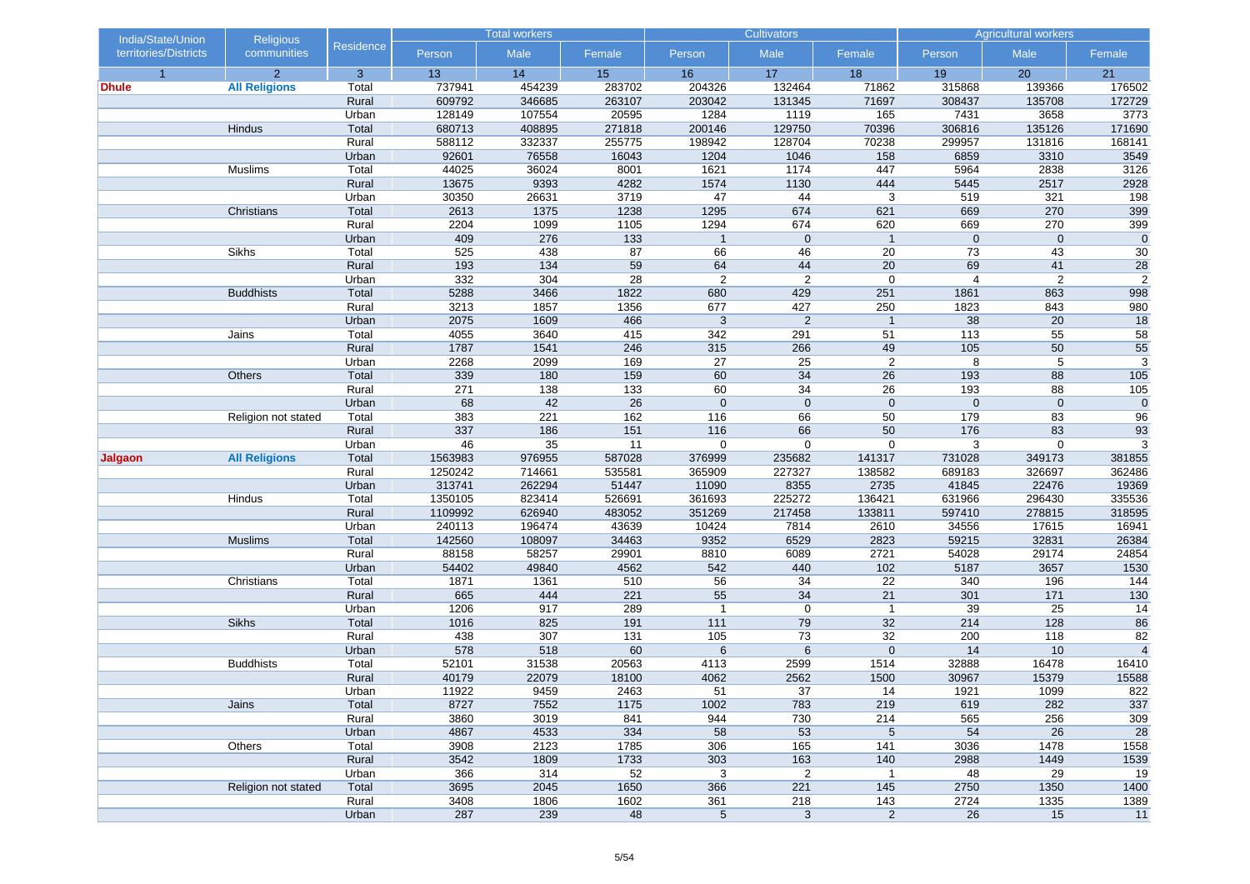| India/State/Union     | <b>Religious</b>     |                | <b>Total workers</b> |               | <b>Cultivators</b> |                |                 | <b>Agricultural workers</b> |                |                  |                |
|-----------------------|----------------------|----------------|----------------------|---------------|--------------------|----------------|-----------------|-----------------------------|----------------|------------------|----------------|
| territories/Districts | communities          | Residence      | Person               | Male          | Female             | Person         | Male            | Female                      | Person         | Male             | Female         |
| $\overline{1}$        | $\overline{2}$       | 3              | 13                   | 14            | 15                 | 16             | 17              | 18                          | 19             | 20               | 21             |
| Dhule                 | <b>All Religions</b> | Total          | 737941               | 454239        | 283702             | 204326         | 132464          | 71862                       | 315868         | 139366           | 176502         |
|                       |                      | Rural          | 609792               | 346685        | 263107             | 203042         | 131345          | 71697                       | 308437         | 135708           | 172729         |
|                       |                      | Urban          | 128149               | 107554        | 20595              | 1284           | 1119            | 165                         | 7431           | 3658             | 3773           |
|                       | Hindus               | Total          | 680713               | 408895        | 271818             | 200146         | 129750          | 70396                       | 306816         | 135126           | 171690         |
|                       |                      | Rural          | 588112               | 332337        | 255775             | 198942         | 128704          | 70238                       | 299957         | 131816           | 168141         |
|                       |                      | Urban          | 92601                | 76558         | 16043              | 1204           | 1046            | 158                         | 6859           | 3310             | 3549           |
|                       | Muslims              | Total          | 44025                | 36024         | 8001               | 1621           | 1174            | 447                         | 5964           | 2838             | 3126           |
|                       |                      | Rural          | 13675                | 9393          | 4282               | 1574           | 1130            | 444                         | 5445           | 2517             | 2928           |
|                       | Christians           | Urban<br>Total | 30350<br>2613        | 26631<br>1375 | 3719<br>1238       | 47<br>1295     | 44<br>674       | 3<br>621                    | 519<br>669     | 321<br>270       | 198<br>399     |
|                       |                      | Rural          | 2204                 | 1099          | 1105               | 1294           | 674             | 620                         | 669            | 270              | 399            |
|                       |                      | Urban          | 409                  | 276           | 133                | $\mathbf{1}$   | $\mathbf 0$     | $\mathbf{1}$                | $\mathbf 0$    | $\mathbf 0$      | $\overline{0}$ |
|                       | Sikhs                | Total          | 525                  | 438           | 87                 | 66             | 46              | 20                          | 73             | 43               | 30             |
|                       |                      | Rural          | 193                  | 134           | 59                 | 64             | 44              | 20                          | 69             | 41               | 28             |
|                       |                      | Urban          | 332                  | 304           | 28                 | $\overline{2}$ | $\overline{2}$  | $\mathbf 0$                 | $\overline{4}$ | $\overline{2}$   | $\overline{2}$ |
|                       | <b>Buddhists</b>     | Total          | 5288                 | 3466          | 1822               | 680            | 429             | 251                         | 1861           | 863              | 998            |
|                       |                      | Rural          | 3213                 | 1857          | 1356               | 677            | 427             | 250                         | 1823           | 843              | 980            |
|                       |                      | Urban          | 2075                 | 1609          | 466                | 3              | 2               | $\mathbf{1}$                | 38             | 20               | 18             |
|                       | Jains                | Total          | 4055                 | 3640          | 415                | 342            | 291             | 51                          | 113            | 55               | 58             |
|                       |                      | Rural          | 1787                 | 1541          | 246                | 315            | 266             | 49                          | 105            | 50               | 55             |
|                       |                      | Urban          | 2268                 | 2099          | 169                | 27             | 25              | 2                           | 8              | 5                | $\overline{3}$ |
|                       | Others               | Total          | 339                  | 180           | 159                | 60             | 34              | 26                          | 193            | 88               | 105            |
|                       |                      | Rural          | 271                  | 138           | 133                | 60             | 34              | 26                          | 193            | 88               | 105            |
|                       |                      | Urban          | 68                   | 42            | 26                 | $\mathbf 0$    | $\mathbf 0$     | $\mathbf 0$                 | $\mathbf 0$    | $\mathbf 0$      | $\pmb{0}$      |
|                       | Religion not stated  | Total          | 383                  | 221           | 162                | 116            | 66              | 50                          | 179            | 83               | 96             |
|                       |                      | Rural          | 337                  | 186           | 151                | 116            | 66              | 50                          | 176            | 83               | 93             |
|                       |                      | Urban          | 46                   | 35            | 11                 | $\mathbf 0$    | $\mathbf 0$     | $\mathbf 0$                 | 3              | $\boldsymbol{0}$ | 3              |
| Jalgaon               | <b>All Religions</b> | Total          | 1563983              | 976955        | 587028             | 376999         | 235682          | 141317                      | 731028         | 349173           | 381855         |
|                       |                      | Rural          | 1250242              | 714661        | 535581             | 365909         | 227327          | 138582                      | 689183         | 326697           | 362486         |
|                       |                      | Urban          | 313741               | 262294        | 51447              | 11090          | 8355            | 2735                        | 41845          | 22476            | 19369          |
|                       | Hindus               | Total          | 1350105              | 823414        | 526691             | 361693         | 225272          | 136421                      | 631966         | 296430           | 335536         |
|                       |                      | Rural          | 1109992              | 626940        | 483052             | 351269         | 217458          | 133811                      | 597410         | 278815           | 318595         |
|                       |                      | Urban          | 240113               | 196474        | 43639              | 10424          | 7814            | 2610                        | 34556          | 17615            | 16941          |
|                       | <b>Muslims</b>       | Total          | 142560               | 108097        | 34463              | 9352           | 6529            | 2823                        | 59215          | 32831            | 26384          |
|                       |                      | Rural          | 88158                | 58257         | 29901              | 8810           | 6089            | 2721                        | 54028          | 29174            | 24854          |
|                       |                      | Urban          | 54402                | 49840         | 4562               | 542            | 440             | 102                         | 5187           | 3657             | 1530           |
|                       | Christians           | Total          | 1871                 | 1361          | 510                | 56             | 34              | 22                          | 340            | 196              | 144            |
|                       |                      | Rural          | 665                  | 444           | 221                | 55             | 34              | 21                          | 301            | $171$            | 130            |
|                       |                      | Urban          | 1206                 | 917           | 289                | $\overline{1}$ | $\mathbf 0$     | $\mathbf{1}$                | 39             | 25               | 14             |
|                       | Sikhs                | Total          | 1016                 | 825           | 191                | 111            | 79              | 32                          | 214            | 128              | 86             |
|                       |                      | Rural          | 438                  | 307           | 131                | 105            | 73              | 32                          | 200            | 118              | 82             |
|                       |                      | Urban          | 578                  | 518           | 60                 | 6              | $6\phantom{1}6$ | $\mathbf 0$                 | 14             | $10$             | $\overline{4}$ |
|                       | <b>Buddhists</b>     | Total          | 52101                | 31538         | 20563              | 4113           | 2599            | 1514                        | 32888          | 16478            | 16410          |
|                       |                      | Rural          | 40179                | 22079         | 18100              | 4062           | 2562            | 1500                        | 30967          | 15379            | 15588          |
|                       |                      | Urban          | 11922                | 9459          | 2463               | 51             | 37              | 14                          | 1921           | 1099             | 822            |
|                       | Jains                | Total<br>Rural | 8727<br>3860         | 7552<br>3019  | 1175<br>841        | 1002<br>944    | 783<br>730      | 219<br>214                  | 619<br>565     | 282<br>256       | 337<br>309     |
|                       |                      | Urban          | 4867                 | 4533          | 334                | 58             | 53              | $\sqrt{5}$                  | 54             | 26               | 28             |
|                       | Others               | Total          | 3908                 | 2123          | 1785               | 306            | 165             | 141                         | 3036           | 1478             | 1558           |
|                       |                      | Rural          | 3542                 | 1809          | 1733               | 303            | 163             | 140                         | 2988           | 1449             | 1539           |
|                       |                      | Urban          | 366                  | 314           | 52                 | 3              | $\overline{2}$  | $\mathbf{1}$                | 48             | 29               | 19             |
|                       | Religion not stated  | Total          | 3695                 | 2045          | 1650               | 366            | 221             | 145                         | 2750           | 1350             | 1400           |
|                       |                      | Rural          | 3408                 | 1806          | 1602               | 361            | 218             | 143                         | 2724           | 1335             | 1389           |
|                       |                      | Urban          | 287                  | 239           | 48                 | $\sqrt{5}$     | $\mathbf{3}$    | $\overline{a}$              | 26             | 15               | 11             |
|                       |                      |                |                      |               |                    |                |                 |                             |                |                  |                |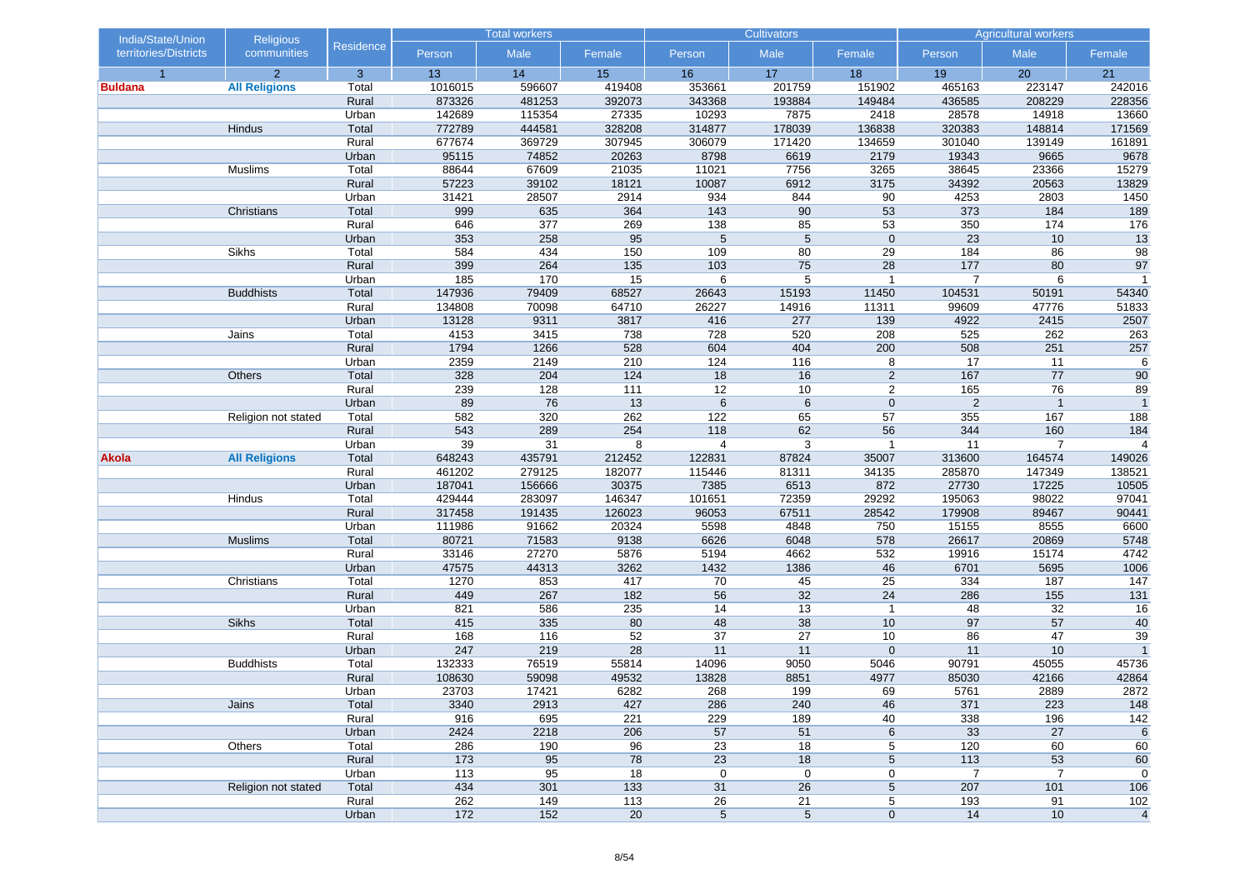| India/State/Union     | <b>Religious</b>     |                |                | <b>Total workers</b> |                 |                 | <b>Cultivators</b> |                 |                | <b>Agricultural workers</b> |                 |
|-----------------------|----------------------|----------------|----------------|----------------------|-----------------|-----------------|--------------------|-----------------|----------------|-----------------------------|-----------------|
| territories/Districts | communities          | Residence      | Person         | Male                 | Female          | Person          | Male               | Female          | Person         | Male                        | Female          |
| $\overline{1}$        | $\overline{2}$       | 3              | 13             | 14                   | 15              | 16              | 17                 | 18              | 19             | 20                          | 21              |
| <b>Buldana</b>        | <b>All Religions</b> | Total          | 1016015        | 596607               | 419408          | 353661          | 201759             | 151902          | 465163         | 223147                      | 242016          |
|                       |                      | Rural          | 873326         | 481253               | 392073          | 343368          | 193884             | 149484          | 436585         | 208229                      | 228356          |
|                       |                      | Urban          | 142689         | 115354               | 27335           | 10293           | 7875               | 2418            | 28578          | 14918                       | 13660           |
|                       | Hindus               | Total          | 772789         | 444581               | 328208          | 314877          | 178039             | 136838          | 320383         | 148814                      | 171569          |
|                       |                      | Rural          | 677674         | 369729               | 307945          | 306079          | 171420             | 134659          | 301040         | 139149                      | 161891          |
|                       |                      | Urban          | 95115          | 74852                | 20263           | 8798            | 6619               | 2179            | 19343          | 9665                        | 9678            |
|                       | Muslims              | Total          | 88644          | 67609                | 21035           | 11021           | 7756               | 3265            | 38645          | 23366                       | 15279           |
|                       |                      | Rural<br>Urban | 57223<br>31421 | 39102<br>28507       | 18121<br>2914   | 10087<br>934    | 6912<br>844        | 3175<br>90      | 34392<br>4253  | 20563<br>2803               | 13829<br>1450   |
|                       | Christians           | Total          | 999            | 635                  | 364             | 143             | 90                 | 53              | 373            | 184                         | 189             |
|                       |                      | Rural          | 646            | 377                  | 269             | 138             | 85                 | $\overline{53}$ | 350            | 174                         | 176             |
|                       |                      | Urban          | 353            | 258                  | 95              | 5               | 5                  | $\mathbf 0$     | 23             | 10                          | 13              |
|                       | Sikhs                | Total          | 584            | 434                  | 150             | 109             | 80                 | 29              | 184            | 86                          | 98              |
|                       |                      | Rural          | 399            | 264                  | 135             | 103             | 75                 | 28              | 177            | 80                          | 97              |
|                       |                      | Urban          | 185            | 170                  | 15              | 6               | 5                  | $\overline{1}$  | $\overline{7}$ | 6                           | $\overline{1}$  |
|                       | <b>Buddhists</b>     | Total          | 147936         | 79409                | 68527           | 26643           | 15193              | 11450           | 104531         | 50191                       | 54340           |
|                       |                      | Rural          | 134808         | 70098                | 64710           | 26227           | 14916              | 11311           | 99609          | 47776                       | 51833           |
|                       |                      | Urban          | 13128          | 9311                 | 3817            | 416             | 277                | 139             | 4922           | 2415                        | 2507            |
|                       | Jains                | Total          | 4153           | 3415                 | 738             | 728             | 520                | 208             | 525            | 262                         | 263             |
|                       |                      | Rural          | 1794           | 1266                 | 528             | 604             | 404                | 200             | 508            | 251                         | 257             |
|                       |                      | Urban          | 2359           | 2149                 | 210             | 124             | 116                | 8               | 17             | 11                          | 6               |
|                       | Others               | Total          | 328            | 204                  | 124             | 18              | 16                 | 2               | 167            | 77                          | 90              |
|                       |                      | Rural          | 239            | 128                  | 111             | $\overline{12}$ | 10                 | $\overline{2}$  | 165            | 76                          | 89              |
|                       |                      | Urban          | 89             | 76                   | 13              | $\,6\,$         | 6                  | $\mathbf 0$     | $\overline{2}$ | $\overline{1}$              |                 |
|                       | Religion not stated  | Total          | 582            | 320                  | 262             | 122             | 65                 | 57              | 355            | 167                         | 188             |
|                       |                      | Rural          | 543            | 289                  | 254             | 118             | 62                 | 56              | 344            | 160                         | 184             |
|                       |                      | Urban          | 39             | 31                   | 8               | $\overline{4}$  | $\sqrt{3}$         | $\mathbf{1}$    | 11             | $\overline{7}$              | $\overline{4}$  |
| Akola                 | <b>All Religions</b> | Total          | 648243         | 435791               | 212452          | 122831          | 87824              | 35007           | 313600         | 164574                      | 149026          |
|                       |                      | Rural          | 461202         | 279125               | 182077          | 115446          | 81311              | 34135           | 285870         | 147349                      | 138521          |
|                       |                      | Urban          | 187041         | 156666               | 30375           | 7385            | 6513               | 872             | 27730          | 17225                       | 10505           |
|                       | Hindus               | Total          | 429444         | 283097               | 146347          | 101651          | 72359              | 29292           | 195063         | 98022                       | 97041           |
|                       |                      | Rural          | 317458         | 191435               | 126023          | 96053           | 67511              | 28542           | 179908         | 89467                       | 90441           |
|                       |                      | Urban          | 111986         | 91662                | 20324           | 5598            | 4848               | 750             | 15155          | 8555                        | 6600            |
|                       | <b>Muslims</b>       | Total          | 80721          | 71583                | 9138            | 6626            | 6048               | 578             | 26617          | 20869                       | 5748            |
|                       |                      | Rural          | 33146          | 27270                | 5876            | 5194            | 4662               | 532             | 19916          | 15174                       | 4742            |
|                       |                      | Urban          | 47575          | 44313                | 3262            | 1432            | 1386               | 46              | 6701           | 5695                        | 1006            |
|                       | Christians           | Total<br>Rural | 1270<br>449    | 853<br>267           | 417<br>182      | 70<br>56        | 45<br>32           | 25<br>24        | 334<br>286     | 187<br>155                  | 147<br>131      |
|                       |                      | Urban          | 821            | 586                  | 235             | 14              | 13                 | $\mathbf{1}$    | 48             | 32                          |                 |
|                       | Sikhs                | Total          | 415            | 335                  | 80              | 48              | 38                 | 10              | 97             | 57                          | 16<br>40        |
|                       |                      | Rural          | 168            | 116                  | 52              | 37              | 27                 | 10              | 86             | 47                          | 39              |
|                       |                      | Urban          | 247            | 219                  | 28              | 11              | 11                 | $\mathbf 0$     | 11             | 10                          | $\overline{1}$  |
|                       | <b>Buddhists</b>     | Total          | 132333         | 76519                | 55814           | 14096           | 9050               | 5046            | 90791          | 45055                       | 45736           |
|                       |                      | Rural          | 108630         | 59098                | 49532           | 13828           | 8851               | 4977            | 85030          | 42166                       | 42864           |
|                       |                      | Urban          | 23703          | 17421                | 6282            | 268             | 199                | 69              | 5761           | 2889                        | 2872            |
|                       | Jains                | Total          | 3340           | 2913                 | 427             | 286             | 240                | 46              | 371            | 223                         | 148             |
|                       |                      | Rural          | 916            | 695                  | 221             | 229             | 189                | 40              | 338            | 196                         | 142             |
|                       |                      | Urban          | 2424           | 2218                 | 206             | 57              | 51                 | 6               | 33             | 27                          | $6\phantom{1}6$ |
|                       | Others               | Total          | 286            | 190                  | 96              | 23              | $\overline{18}$    | 5               | 120            | 60                          | 60              |
|                       |                      | Rural          | 173            | 95                   | 78              | 23              | 18                 | $5\phantom{.0}$ | 113            | 53                          | 60              |
|                       |                      | Urban          | 113            | 95                   | 18              | $\mathbf 0$     | $\pmb{0}$          | 0               | 7              | $\overline{7}$              | 0               |
|                       | Religion not stated  | Total          | 434            | 301                  | 133             | 31              | 26                 | $5\phantom{.0}$ | 207            | $101$                       | 106             |
|                       |                      | Rural          | 262            | 149                  | $113$           | 26              | 21                 | 5               | 193            | 91                          | 102             |
|                       |                      | Urban          | $172$          | 152                  | $\overline{20}$ | $\overline{5}$  | $\overline{5}$     | $\pmb{0}$       | 14             | 10                          | $\overline{4}$  |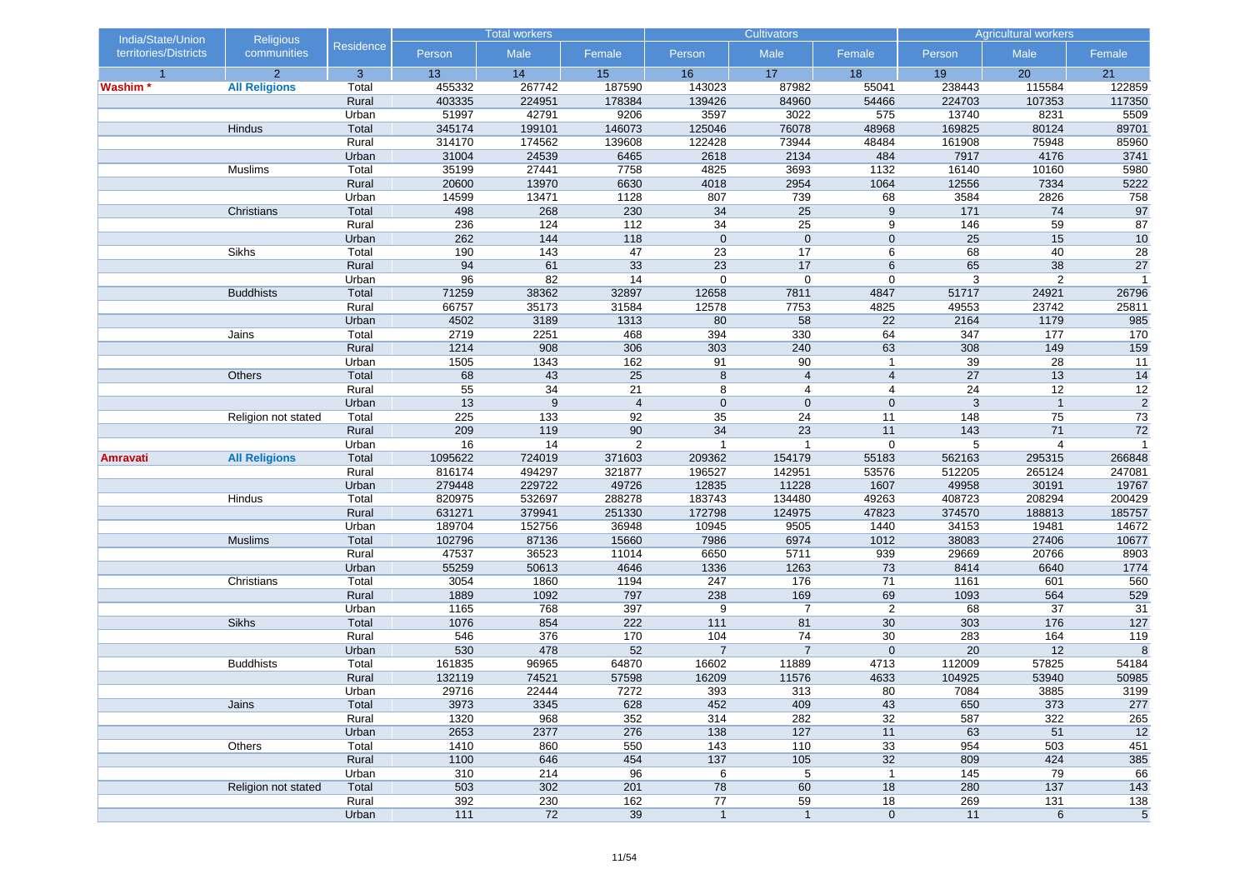| India/State/Union     | <b>Religious</b>     |                | <b>Total workers</b> |                  | <b>Cultivators</b> |                 |                       | <b>Agricultural workers</b> |               |                |                 |
|-----------------------|----------------------|----------------|----------------------|------------------|--------------------|-----------------|-----------------------|-----------------------------|---------------|----------------|-----------------|
| territories/Districts | communities          | Residence      | Person               | Male             | Female             | Person          | Male                  | Female                      | Person        | Male           | Female          |
| $\overline{1}$        | $\overline{2}$       | 3              | 13                   | 14               | 15                 | 16              | 17                    | 18                          | 19            | 20             | 21              |
| Washim *              | <b>All Religions</b> | Total          | 455332               | 267742           | 187590             | 143023          | 87982                 | 55041                       | 238443        | 115584         | 122859          |
|                       |                      | Rural          | 403335               | 224951           | 178384             | 139426          | 84960                 | 54466                       | 224703        | 107353         | 117350          |
|                       |                      | Urban          | 51997                | 42791            | 9206               | 3597            | 3022                  | 575                         | 13740         | 8231           | 5509            |
|                       | Hindus               | Total          | 345174               | 199101           | 146073             | 125046          | 76078                 | 48968                       | 169825        | 80124          | 89701           |
|                       |                      | Rural          | 314170               | 174562           | 139608             | 122428          | 73944                 | 48484                       | 161908        | 75948          | 85960           |
|                       |                      | Urban          | 31004                | 24539            | 6465               | 2618            | 2134                  | 484                         | 7917          | 4176           | 3741            |
|                       | Muslims              | Total          | 35199                | 27441            | 7758               | 4825            | 3693                  | 1132                        | 16140         | 10160          | 5980            |
|                       |                      | Rural<br>Urban | 20600<br>14599       | 13970<br>13471   | 6630<br>1128       | 4018<br>807     | 2954<br>739           | 1064<br>68                  | 12556<br>3584 | 7334<br>2826   | 5222            |
|                       | Christians           | Total          | 498                  | 268              | 230                | 34              | 25                    | 9                           | $171$         | 74             | 758<br>97       |
|                       |                      | Rural          | 236                  | 124              | $112$              | $\overline{34}$ | $\overline{25}$       | 9                           | 146           | 59             | 87              |
|                       |                      | Urban          | 262                  | 144              | 118                | $\mathbf 0$     | $\mathbf 0$           | $\mathbf{0}$                | 25            | 15             | 10              |
|                       | Sikhs                | Total          | 190                  | 143              | 47                 | 23              | 17                    | 6                           | 68            | 40             | 28              |
|                       |                      | Rural          | 94                   | 61               | 33                 | 23              | 17                    | $6\phantom{1}$              | 65            | 38             | 27              |
|                       |                      | Urban          | 96                   | 82               | 14                 | $\mathbf 0$     | $\mathbf 0$           | $\mathbf 0$                 | 3             | $\overline{2}$ | $\overline{1}$  |
|                       | <b>Buddhists</b>     | Total          | 71259                | 38362            | 32897              | 12658           | 7811                  | 4847                        | 51717         | 24921          | 26796           |
|                       |                      | Rural          | 66757                | 35173            | 31584              | 12578           | 7753                  | 4825                        | 49553         | 23742          | 25811           |
|                       |                      | Urban          | 4502                 | 3189             | 1313               | 80              | 58                    | 22                          | 2164          | 1179           | 985             |
|                       | Jains                | Total          | 2719                 | 2251             | 468                | 394             | 330                   | 64                          | 347           | 177            | 170             |
|                       |                      | Rural          | 1214                 | 908              | 306                | 303             | 240                   | 63                          | 308           | 149            | 159             |
|                       |                      | Urban          | 1505                 | 1343             | 162                | 91              | 90                    | $\mathbf{1}$                | 39            | 28             | 11              |
|                       | Others               | Total          | 68                   | 43               | 25                 | 8               | $\overline{4}$        | $\overline{4}$              | 27            | 13             | 14              |
|                       |                      | Rural          | $\overline{55}$      | 34               | $\overline{21}$    | 8               | $\overline{4}$        | $\overline{4}$              | 24            | 12             | $\overline{12}$ |
|                       |                      | Urban          | 13                   | $\boldsymbol{9}$ | $\overline{4}$     | $\mathbf 0$     | $\mathbf 0$           | $\mathbf 0$                 | 3             | $\mathbf{1}$   | $\overline{2}$  |
|                       | Religion not stated  | Total          | 225                  | 133              | 92                 | 35              | 24                    | 11                          | 148           | 75             | 73              |
|                       |                      | Rural          | 209                  | 119              | 90                 | 34              | 23                    | 11                          | 143           | 71             | 72              |
|                       |                      | Urban          | 16                   | 14               | $\overline{2}$     | $\mathbf{1}$    | $\mathbf{1}$          | $\mathbf 0$                 | 5             | 4              | $\overline{1}$  |
| <b>Amravati</b>       | <b>All Religions</b> | Total          | 1095622              | 724019           | 371603             | 209362          | 154179                | 55183                       | 562163        | 295315         | 266848          |
|                       |                      | Rural          | 816174               | 494297           | 321877             | 196527          | 142951                | 53576                       | 512205        | 265124         | 247081          |
|                       |                      | Urban          | 279448               | 229722           | 49726              | 12835           | 11228                 | 1607                        | 49958         | 30191          | 19767           |
|                       | Hindus               | Total          | 820975               | 532697           | 288278             | 183743          | 134480                | 49263                       | 408723        | 208294         | 200429          |
|                       |                      | Rural          | 631271               | 379941           | 251330             | 172798          | 124975                | 47823                       | 374570        | 188813         | 185757          |
|                       |                      | Urban          | 189704               | 152756           | 36948              | 10945           | 9505                  | 1440                        | 34153         | 19481          | 14672           |
|                       | <b>Muslims</b>       | Total          | 102796               | 87136            | 15660              | 7986            | 6974                  | 1012                        | 38083         | 27406          | 10677           |
|                       |                      | Rural          | 47537                | 36523            | 11014              | 6650            | 5711                  | 939                         | 29669         | 20766          | 8903            |
|                       |                      | Urban          | 55259                | 50613            | 4646               | 1336            | 1263                  | 73                          | 8414          | 6640           | 1774            |
|                       | Christians           | Total          | 3054                 | 1860             | 1194               | 247             | 176                   | 71                          | 1161          | 601            | 560             |
|                       |                      | Rural          | 1889                 | 1092             | 797                | 238<br>9        | 169<br>$\overline{7}$ | 69                          | 1093          | 564            | 529             |
|                       | Sikhs                | Urban<br>Total | 1165<br>1076         | 768<br>854       | 397<br>222         | 111             | 81                    | $\overline{2}$<br>30        | 68<br>303     | 37<br>176      | 31<br>127       |
|                       |                      | Rural          | 546                  | 376              | 170                | 104             | 74                    | 30                          | 283           | 164            | 119             |
|                       |                      | Urban          | 530                  | 478              | 52                 | $\overline{7}$  | $\overline{7}$        | $\mathbf 0$                 | 20            | 12             | 8               |
|                       | <b>Buddhists</b>     | Total          | 161835               | 96965            | 64870              | 16602           | 11889                 | 4713                        | 112009        | 57825          | 54184           |
|                       |                      | Rural          | 132119               | 74521            | 57598              | 16209           | 11576                 | 4633                        | 104925        | 53940          | 50985           |
|                       |                      | Urban          | 29716                | 22444            | 7272               | 393             | 313                   | 80                          | 7084          | 3885           | 3199            |
|                       | Jains                | Total          | 3973                 | 3345             | 628                | 452             | 409                   | 43                          | 650           | 373            | 277             |
|                       |                      | Rural          | 1320                 | 968              | 352                | 314             | 282                   | 32                          | 587           | 322            | 265             |
|                       |                      | Urban          | 2653                 | 2377             | 276                | 138             | 127                   | 11                          | 63            | 51             | 12              |
|                       | Others               | Total          | 1410                 | 860              | 550                | 143             | 110                   | 33                          | 954           | 503            | 451             |
|                       |                      | Rural          | 1100                 | 646              | 454                | 137             | 105                   | 32                          | 809           | 424            | 385             |
|                       |                      | Urban          | 310                  | 214              | 96                 | 6               | 5                     | $\mathbf{1}$                | $145$         | 79             | 66              |
|                       | Religion not stated  | Total          | 503                  | 302              | 201                | 78              | 60                    | 18                          | 280           | 137            | 143             |
|                       |                      | Rural          | 392                  | 230              | 162                | 77              | 59                    | 18                          | 269           | $131$          | 138             |
|                       |                      | Urban          | $111$                | 72               | 39                 | $\mathbf{1}$    | $\mathbf{1}$          | $\mathbf 0$                 | 11            | $\,6$          | $\sqrt{5}$      |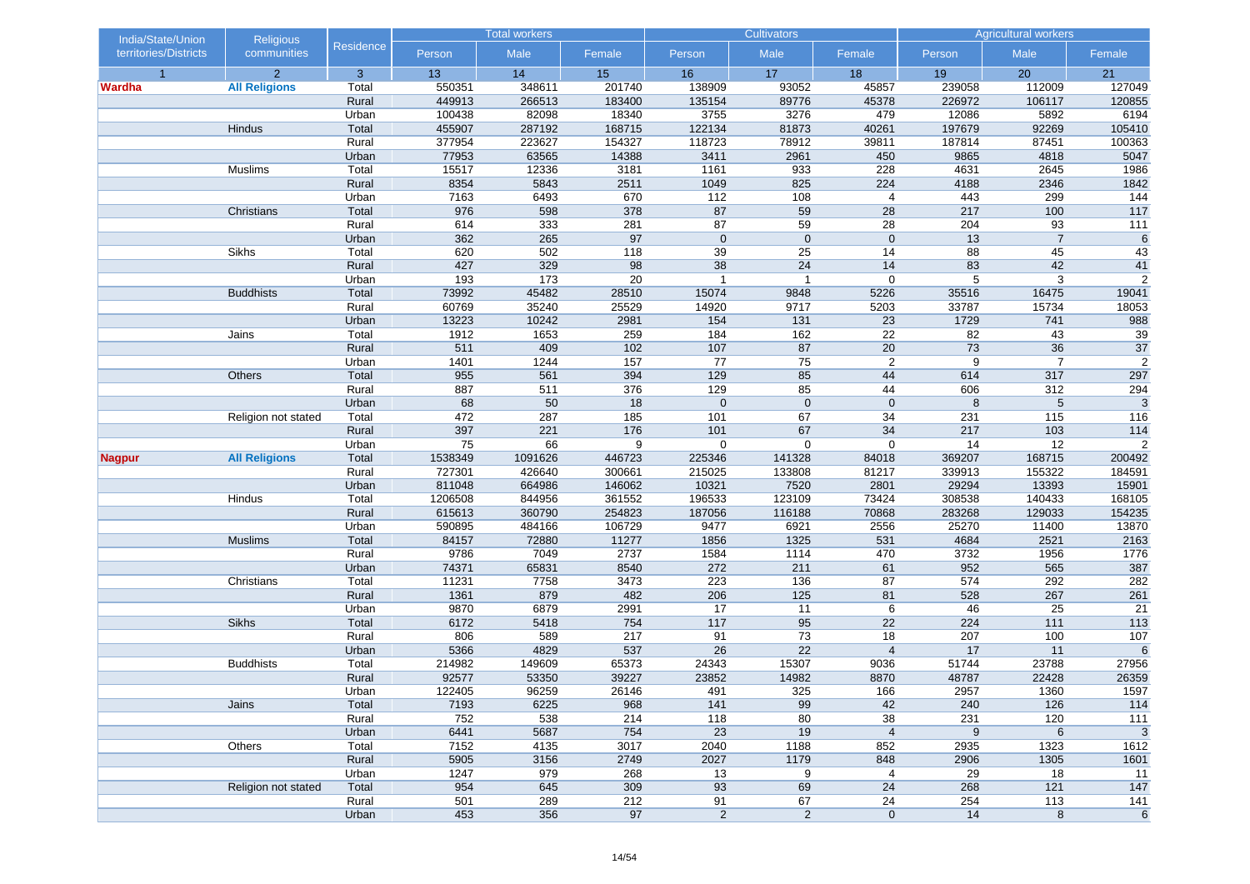| communities<br>Male<br>Male<br>Male<br>territories/Districts<br>Person<br>Female<br>Person<br>Female<br>Person<br>Female<br>$\overline{2}$<br>$\overline{3}$<br>17<br>13<br>14<br>15<br>16<br>18<br>19<br>20<br>$\overline{1}$<br>21<br>550351<br>348611<br>201740<br>138909<br>93052<br>45857<br>239058<br>112009<br><b>All Religions</b><br>Total<br>127049<br>Wardha<br>449913<br>226972<br>Rural<br>266513<br>183400<br>135154<br>89776<br>45378<br>106117<br>120855<br>100438<br>82098<br>18340<br>3755<br>3276<br>479<br>12086<br>5892<br>6194<br>Urban<br>455907<br>287192<br>168715<br>122134<br>81873<br>197679<br>92269<br>105410<br>Hindus<br>Total<br>40261<br>377954<br>223627<br>154327<br>118723<br>78912<br>39811<br>187814<br>87451<br>100363<br>Rural<br>77953<br>63565<br>14388<br>3411<br>2961<br>9865<br>4818<br>5047<br>Urban<br>450<br>15517<br>12336<br>1161<br>933<br>228<br>1986<br>Muslims<br>Total<br>3181<br>4631<br>2645<br>5843<br>825<br>224<br>2346<br>1842<br>Rural<br>8354<br>2511<br>1049<br>4188<br>7163<br>6493<br>670<br>112<br>108<br>443<br>299<br>144<br>Urban<br>$\overline{4}$<br>976<br>598<br>378<br>87<br>59<br>28<br>217<br>100<br>117<br>Christians<br>Total<br>614<br>333<br>281<br>87<br>59<br>28<br>204<br>93<br>$\overline{111}$<br>Rural<br>97<br>$\overline{7}$<br>362<br>265<br>$\mathbf 0$<br>$\mathbf{0}$<br>$\mathbf 0$<br>13<br>6<br>Urban<br>Sikhs<br>620<br>502<br>39<br>25<br>88<br>45<br>43<br>Total<br>118<br>14<br>329<br>98<br>38<br>427<br>24<br>83<br>42<br>41<br>Rural<br>14<br>193<br>20<br>5<br>3<br>$\overline{2}$<br>Urban<br>173<br>$\overline{1}$<br>$\overline{1}$<br>$\mathbf 0$<br>73992<br><b>Buddhists</b><br>Total<br>45482<br>28510<br>15074<br>9848<br>5226<br>35516<br>16475<br>19041<br>35240<br>25529<br>33787<br>18053<br>Rural<br>60769<br>14920<br>9717<br>5203<br>15734<br>13223<br>10242<br>2981<br>154<br>131<br>23<br>1729<br>741<br>988<br>Urban<br>1912<br>1653<br>259<br>184<br>162<br>22<br>43<br>39<br>Total<br>82<br>Jains<br>36<br>$\overline{37}$<br>511<br>409<br>$102$<br>107<br>87<br>20<br>73<br>Rural<br>$\overline{2}$<br>1244<br>157<br>77<br>75<br>2<br>9<br>$\overline{7}$<br>Urban<br>1401<br>955<br>561<br>394<br>129<br>85<br>44<br>614<br>317<br>297<br>Others<br>Total<br>376<br>85<br>887<br>511<br>129<br>44<br>606<br>312<br>294<br>Rural<br>$\mathbf{0}$<br>$\mathbf{3}$<br>68<br>50<br>18<br>$\mathbf 0$<br>$\mathbf 0$<br>8<br>5<br>Urban<br>287<br>185<br>472<br>101<br>67<br>34<br>231<br>115<br>116<br>Total<br>Religion not stated<br>397<br>221<br>217<br>103<br>Rural<br>176<br>101<br>67<br>34<br>114<br>$\overline{2}$<br>75<br>66<br>14<br>12<br>Urban<br>9<br>0<br>$\mathbf 0$<br>$\mathbf 0$<br><b>All Religions</b><br>Total<br>1538349<br>1091626<br>446723<br>225346<br>141328<br>84018<br>369207<br>168715<br>200492<br>Nagpur<br>727301<br>426640<br>215025<br>133808<br>339913<br>155322<br>184591<br>Rural<br>300661<br>81217<br>811048<br>664986<br>10321<br>7520<br>2801<br>29294<br>13393<br>15901<br>Urban<br>146062<br>1206508<br>844956<br>361552<br>196533<br>123109<br>73424<br>308538<br>140433<br>168105<br>Hindus<br>Total<br>615613<br>360790<br>254823<br>187056<br>116188<br>70868<br>283268<br>129033<br>154235<br>Rural<br>590895<br>106729<br>9477<br>6921<br>2556<br>25270<br>11400<br>13870<br>Urban<br>484166<br>84157<br>72880<br>11277<br>1325<br>531<br>4684<br>2521<br>2163<br><b>Muslims</b><br>Total<br>1856<br>9786<br>7049<br>2737<br>470<br>3732<br>1776<br>Rural<br>1584<br>1114<br>1956<br>74371<br>65831<br>8540<br>272<br>211<br>61<br>952<br>565<br>387<br>Urban<br>282<br>3473<br>223<br>136<br>87<br>574<br>292<br>Christians<br>Total<br>11231<br>7758<br>261<br>482<br>206<br>125<br>81<br>528<br>267<br>Rural<br>1361<br>879<br>9870<br>6879<br>17<br>21<br>Urban<br>2991<br>11<br>6<br>46<br>25<br><b>Sikhs</b><br>6172<br>754<br>117<br>95<br>22<br>224<br>$113$<br>Total<br>5418<br>111<br>806<br>217<br>91<br>73<br>18<br>207<br>100<br>$107$<br>Rural<br>589<br>22<br>5366<br>4829<br>537<br>26<br>$\overline{4}$<br>17<br>11<br>$\,6\,$<br>Urban<br>214982<br>149609<br>65373<br>24343<br>15307<br>51744<br>23788<br>27956<br><b>Buddhists</b><br>Total<br>9036<br>53350<br>39227<br>23852<br>14982<br>26359<br>Rural<br>92577<br>8870<br>48787<br>22428<br>96259<br>26146<br>325<br>1597<br>Urban<br>122405<br>491<br>166<br>2957<br>1360<br>99<br>42<br>Jains<br>Total<br>7193<br>6225<br>968<br>141<br>240<br>126<br>114<br>214<br>80<br>231<br>Rural<br>752<br>538<br>118<br>38<br>120<br>111<br>$\overline{4}$<br>$\boldsymbol{9}$<br>$\,6$<br>6441<br>5687<br>754<br>23<br>19<br>$\mathbf{3}$<br>Urban<br>7152<br>3017<br>2040<br>Others<br>Total<br>4135<br>1188<br>852<br>2935<br>1323<br>1612<br>2027<br>5905<br>3156<br>2749<br>1179<br>848<br>2906<br>1305<br>1601<br>Rural<br>Urban<br>1247<br>979<br>268<br>13<br>9<br>29<br>18<br>11<br>4<br>$147$<br>954<br>645<br>309<br>93<br>69<br>24<br>268<br>121<br>Religion not stated<br>Total<br>289<br>212<br>254<br>Rural<br>501<br>91<br>67<br>24<br>$\frac{113}{ }$<br>$141$ | India/State/Union | Religious |           | <b>Total workers</b> |  | <b>Cultivators</b> |  |  | <b>Agricultural workers</b> |    |  |  |
|-----------------------------------------------------------------------------------------------------------------------------------------------------------------------------------------------------------------------------------------------------------------------------------------------------------------------------------------------------------------------------------------------------------------------------------------------------------------------------------------------------------------------------------------------------------------------------------------------------------------------------------------------------------------------------------------------------------------------------------------------------------------------------------------------------------------------------------------------------------------------------------------------------------------------------------------------------------------------------------------------------------------------------------------------------------------------------------------------------------------------------------------------------------------------------------------------------------------------------------------------------------------------------------------------------------------------------------------------------------------------------------------------------------------------------------------------------------------------------------------------------------------------------------------------------------------------------------------------------------------------------------------------------------------------------------------------------------------------------------------------------------------------------------------------------------------------------------------------------------------------------------------------------------------------------------------------------------------------------------------------------------------------------------------------------------------------------------------------------------------------------------------------------------------------------------------------------------------------------------------------------------------------------------------------------------------------------------------------------------------------------------------------------------------------------------------------------------------------------------------------------------------------------------------------------------------------------------------------------------------------------------------------------------------------------------------------------------------------------------------------------------------------------------------------------------------------------------------------------------------------------------------------------------------------------------------------------------------------------------------------------------------------------------------------------------------------------------------------------------------------------------------------------------------------------------------------------------------------------------------------------------------------------------------------------------------------------------------------------------------------------------------------------------------------------------------------------------------------------------------------------------------------------------------------------------------------------------------------------------------------------------------------------------------------------------------------------------------------------------------------------------------------------------------------------------------------------------------------------------------------------------------------------------------------------------------------------------------------------------------------------------------------------------------------------------------------------------------------------------------------------------------------------------------------------------------------------------------------------------------------------------------------------------------------------------------------------------------------------------------------------------------------------------------------------------------------------------------------------------------------------------------------------------------------------------------------------------------------------------------------------------------------------------------------------------------------------------------------------------------------------------------------------------------------------------------------------------------------------------------------------------------------------------------------------------------------------------------------------------------------------------------------------------------------------------------------------------------------------------------------------------|-------------------|-----------|-----------|----------------------|--|--------------------|--|--|-----------------------------|----|--|--|
|                                                                                                                                                                                                                                                                                                                                                                                                                                                                                                                                                                                                                                                                                                                                                                                                                                                                                                                                                                                                                                                                                                                                                                                                                                                                                                                                                                                                                                                                                                                                                                                                                                                                                                                                                                                                                                                                                                                                                                                                                                                                                                                                                                                                                                                                                                                                                                                                                                                                                                                                                                                                                                                                                                                                                                                                                                                                                                                                                                                                                                                                                                                                                                                                                                                                                                                                                                                                                                                                                                                                                                                                                                                                                                                                                                                                                                                                                                                                                                                                                                                                                                                                                                                                                                                                                                                                                                                                                                                                                                                                                                                                                                                                                                                                                                                                                                                                                                                                                                                                                                                                                                                                   |                   |           | Residence |                      |  |                    |  |  |                             |    |  |  |
|                                                                                                                                                                                                                                                                                                                                                                                                                                                                                                                                                                                                                                                                                                                                                                                                                                                                                                                                                                                                                                                                                                                                                                                                                                                                                                                                                                                                                                                                                                                                                                                                                                                                                                                                                                                                                                                                                                                                                                                                                                                                                                                                                                                                                                                                                                                                                                                                                                                                                                                                                                                                                                                                                                                                                                                                                                                                                                                                                                                                                                                                                                                                                                                                                                                                                                                                                                                                                                                                                                                                                                                                                                                                                                                                                                                                                                                                                                                                                                                                                                                                                                                                                                                                                                                                                                                                                                                                                                                                                                                                                                                                                                                                                                                                                                                                                                                                                                                                                                                                                                                                                                                                   |                   |           |           |                      |  |                    |  |  |                             |    |  |  |
|                                                                                                                                                                                                                                                                                                                                                                                                                                                                                                                                                                                                                                                                                                                                                                                                                                                                                                                                                                                                                                                                                                                                                                                                                                                                                                                                                                                                                                                                                                                                                                                                                                                                                                                                                                                                                                                                                                                                                                                                                                                                                                                                                                                                                                                                                                                                                                                                                                                                                                                                                                                                                                                                                                                                                                                                                                                                                                                                                                                                                                                                                                                                                                                                                                                                                                                                                                                                                                                                                                                                                                                                                                                                                                                                                                                                                                                                                                                                                                                                                                                                                                                                                                                                                                                                                                                                                                                                                                                                                                                                                                                                                                                                                                                                                                                                                                                                                                                                                                                                                                                                                                                                   |                   |           |           |                      |  |                    |  |  |                             |    |  |  |
|                                                                                                                                                                                                                                                                                                                                                                                                                                                                                                                                                                                                                                                                                                                                                                                                                                                                                                                                                                                                                                                                                                                                                                                                                                                                                                                                                                                                                                                                                                                                                                                                                                                                                                                                                                                                                                                                                                                                                                                                                                                                                                                                                                                                                                                                                                                                                                                                                                                                                                                                                                                                                                                                                                                                                                                                                                                                                                                                                                                                                                                                                                                                                                                                                                                                                                                                                                                                                                                                                                                                                                                                                                                                                                                                                                                                                                                                                                                                                                                                                                                                                                                                                                                                                                                                                                                                                                                                                                                                                                                                                                                                                                                                                                                                                                                                                                                                                                                                                                                                                                                                                                                                   |                   |           |           |                      |  |                    |  |  |                             |    |  |  |
|                                                                                                                                                                                                                                                                                                                                                                                                                                                                                                                                                                                                                                                                                                                                                                                                                                                                                                                                                                                                                                                                                                                                                                                                                                                                                                                                                                                                                                                                                                                                                                                                                                                                                                                                                                                                                                                                                                                                                                                                                                                                                                                                                                                                                                                                                                                                                                                                                                                                                                                                                                                                                                                                                                                                                                                                                                                                                                                                                                                                                                                                                                                                                                                                                                                                                                                                                                                                                                                                                                                                                                                                                                                                                                                                                                                                                                                                                                                                                                                                                                                                                                                                                                                                                                                                                                                                                                                                                                                                                                                                                                                                                                                                                                                                                                                                                                                                                                                                                                                                                                                                                                                                   |                   |           |           |                      |  |                    |  |  |                             |    |  |  |
|                                                                                                                                                                                                                                                                                                                                                                                                                                                                                                                                                                                                                                                                                                                                                                                                                                                                                                                                                                                                                                                                                                                                                                                                                                                                                                                                                                                                                                                                                                                                                                                                                                                                                                                                                                                                                                                                                                                                                                                                                                                                                                                                                                                                                                                                                                                                                                                                                                                                                                                                                                                                                                                                                                                                                                                                                                                                                                                                                                                                                                                                                                                                                                                                                                                                                                                                                                                                                                                                                                                                                                                                                                                                                                                                                                                                                                                                                                                                                                                                                                                                                                                                                                                                                                                                                                                                                                                                                                                                                                                                                                                                                                                                                                                                                                                                                                                                                                                                                                                                                                                                                                                                   |                   |           |           |                      |  |                    |  |  |                             |    |  |  |
|                                                                                                                                                                                                                                                                                                                                                                                                                                                                                                                                                                                                                                                                                                                                                                                                                                                                                                                                                                                                                                                                                                                                                                                                                                                                                                                                                                                                                                                                                                                                                                                                                                                                                                                                                                                                                                                                                                                                                                                                                                                                                                                                                                                                                                                                                                                                                                                                                                                                                                                                                                                                                                                                                                                                                                                                                                                                                                                                                                                                                                                                                                                                                                                                                                                                                                                                                                                                                                                                                                                                                                                                                                                                                                                                                                                                                                                                                                                                                                                                                                                                                                                                                                                                                                                                                                                                                                                                                                                                                                                                                                                                                                                                                                                                                                                                                                                                                                                                                                                                                                                                                                                                   |                   |           |           |                      |  |                    |  |  |                             |    |  |  |
|                                                                                                                                                                                                                                                                                                                                                                                                                                                                                                                                                                                                                                                                                                                                                                                                                                                                                                                                                                                                                                                                                                                                                                                                                                                                                                                                                                                                                                                                                                                                                                                                                                                                                                                                                                                                                                                                                                                                                                                                                                                                                                                                                                                                                                                                                                                                                                                                                                                                                                                                                                                                                                                                                                                                                                                                                                                                                                                                                                                                                                                                                                                                                                                                                                                                                                                                                                                                                                                                                                                                                                                                                                                                                                                                                                                                                                                                                                                                                                                                                                                                                                                                                                                                                                                                                                                                                                                                                                                                                                                                                                                                                                                                                                                                                                                                                                                                                                                                                                                                                                                                                                                                   |                   |           |           |                      |  |                    |  |  |                             |    |  |  |
|                                                                                                                                                                                                                                                                                                                                                                                                                                                                                                                                                                                                                                                                                                                                                                                                                                                                                                                                                                                                                                                                                                                                                                                                                                                                                                                                                                                                                                                                                                                                                                                                                                                                                                                                                                                                                                                                                                                                                                                                                                                                                                                                                                                                                                                                                                                                                                                                                                                                                                                                                                                                                                                                                                                                                                                                                                                                                                                                                                                                                                                                                                                                                                                                                                                                                                                                                                                                                                                                                                                                                                                                                                                                                                                                                                                                                                                                                                                                                                                                                                                                                                                                                                                                                                                                                                                                                                                                                                                                                                                                                                                                                                                                                                                                                                                                                                                                                                                                                                                                                                                                                                                                   |                   |           |           |                      |  |                    |  |  |                             |    |  |  |
|                                                                                                                                                                                                                                                                                                                                                                                                                                                                                                                                                                                                                                                                                                                                                                                                                                                                                                                                                                                                                                                                                                                                                                                                                                                                                                                                                                                                                                                                                                                                                                                                                                                                                                                                                                                                                                                                                                                                                                                                                                                                                                                                                                                                                                                                                                                                                                                                                                                                                                                                                                                                                                                                                                                                                                                                                                                                                                                                                                                                                                                                                                                                                                                                                                                                                                                                                                                                                                                                                                                                                                                                                                                                                                                                                                                                                                                                                                                                                                                                                                                                                                                                                                                                                                                                                                                                                                                                                                                                                                                                                                                                                                                                                                                                                                                                                                                                                                                                                                                                                                                                                                                                   |                   |           |           |                      |  |                    |  |  |                             |    |  |  |
|                                                                                                                                                                                                                                                                                                                                                                                                                                                                                                                                                                                                                                                                                                                                                                                                                                                                                                                                                                                                                                                                                                                                                                                                                                                                                                                                                                                                                                                                                                                                                                                                                                                                                                                                                                                                                                                                                                                                                                                                                                                                                                                                                                                                                                                                                                                                                                                                                                                                                                                                                                                                                                                                                                                                                                                                                                                                                                                                                                                                                                                                                                                                                                                                                                                                                                                                                                                                                                                                                                                                                                                                                                                                                                                                                                                                                                                                                                                                                                                                                                                                                                                                                                                                                                                                                                                                                                                                                                                                                                                                                                                                                                                                                                                                                                                                                                                                                                                                                                                                                                                                                                                                   |                   |           |           |                      |  |                    |  |  |                             |    |  |  |
|                                                                                                                                                                                                                                                                                                                                                                                                                                                                                                                                                                                                                                                                                                                                                                                                                                                                                                                                                                                                                                                                                                                                                                                                                                                                                                                                                                                                                                                                                                                                                                                                                                                                                                                                                                                                                                                                                                                                                                                                                                                                                                                                                                                                                                                                                                                                                                                                                                                                                                                                                                                                                                                                                                                                                                                                                                                                                                                                                                                                                                                                                                                                                                                                                                                                                                                                                                                                                                                                                                                                                                                                                                                                                                                                                                                                                                                                                                                                                                                                                                                                                                                                                                                                                                                                                                                                                                                                                                                                                                                                                                                                                                                                                                                                                                                                                                                                                                                                                                                                                                                                                                                                   |                   |           |           |                      |  |                    |  |  |                             |    |  |  |
|                                                                                                                                                                                                                                                                                                                                                                                                                                                                                                                                                                                                                                                                                                                                                                                                                                                                                                                                                                                                                                                                                                                                                                                                                                                                                                                                                                                                                                                                                                                                                                                                                                                                                                                                                                                                                                                                                                                                                                                                                                                                                                                                                                                                                                                                                                                                                                                                                                                                                                                                                                                                                                                                                                                                                                                                                                                                                                                                                                                                                                                                                                                                                                                                                                                                                                                                                                                                                                                                                                                                                                                                                                                                                                                                                                                                                                                                                                                                                                                                                                                                                                                                                                                                                                                                                                                                                                                                                                                                                                                                                                                                                                                                                                                                                                                                                                                                                                                                                                                                                                                                                                                                   |                   |           |           |                      |  |                    |  |  |                             |    |  |  |
|                                                                                                                                                                                                                                                                                                                                                                                                                                                                                                                                                                                                                                                                                                                                                                                                                                                                                                                                                                                                                                                                                                                                                                                                                                                                                                                                                                                                                                                                                                                                                                                                                                                                                                                                                                                                                                                                                                                                                                                                                                                                                                                                                                                                                                                                                                                                                                                                                                                                                                                                                                                                                                                                                                                                                                                                                                                                                                                                                                                                                                                                                                                                                                                                                                                                                                                                                                                                                                                                                                                                                                                                                                                                                                                                                                                                                                                                                                                                                                                                                                                                                                                                                                                                                                                                                                                                                                                                                                                                                                                                                                                                                                                                                                                                                                                                                                                                                                                                                                                                                                                                                                                                   |                   |           |           |                      |  |                    |  |  |                             |    |  |  |
|                                                                                                                                                                                                                                                                                                                                                                                                                                                                                                                                                                                                                                                                                                                                                                                                                                                                                                                                                                                                                                                                                                                                                                                                                                                                                                                                                                                                                                                                                                                                                                                                                                                                                                                                                                                                                                                                                                                                                                                                                                                                                                                                                                                                                                                                                                                                                                                                                                                                                                                                                                                                                                                                                                                                                                                                                                                                                                                                                                                                                                                                                                                                                                                                                                                                                                                                                                                                                                                                                                                                                                                                                                                                                                                                                                                                                                                                                                                                                                                                                                                                                                                                                                                                                                                                                                                                                                                                                                                                                                                                                                                                                                                                                                                                                                                                                                                                                                                                                                                                                                                                                                                                   |                   |           |           |                      |  |                    |  |  |                             |    |  |  |
|                                                                                                                                                                                                                                                                                                                                                                                                                                                                                                                                                                                                                                                                                                                                                                                                                                                                                                                                                                                                                                                                                                                                                                                                                                                                                                                                                                                                                                                                                                                                                                                                                                                                                                                                                                                                                                                                                                                                                                                                                                                                                                                                                                                                                                                                                                                                                                                                                                                                                                                                                                                                                                                                                                                                                                                                                                                                                                                                                                                                                                                                                                                                                                                                                                                                                                                                                                                                                                                                                                                                                                                                                                                                                                                                                                                                                                                                                                                                                                                                                                                                                                                                                                                                                                                                                                                                                                                                                                                                                                                                                                                                                                                                                                                                                                                                                                                                                                                                                                                                                                                                                                                                   |                   |           |           |                      |  |                    |  |  |                             |    |  |  |
|                                                                                                                                                                                                                                                                                                                                                                                                                                                                                                                                                                                                                                                                                                                                                                                                                                                                                                                                                                                                                                                                                                                                                                                                                                                                                                                                                                                                                                                                                                                                                                                                                                                                                                                                                                                                                                                                                                                                                                                                                                                                                                                                                                                                                                                                                                                                                                                                                                                                                                                                                                                                                                                                                                                                                                                                                                                                                                                                                                                                                                                                                                                                                                                                                                                                                                                                                                                                                                                                                                                                                                                                                                                                                                                                                                                                                                                                                                                                                                                                                                                                                                                                                                                                                                                                                                                                                                                                                                                                                                                                                                                                                                                                                                                                                                                                                                                                                                                                                                                                                                                                                                                                   |                   |           |           |                      |  |                    |  |  |                             |    |  |  |
|                                                                                                                                                                                                                                                                                                                                                                                                                                                                                                                                                                                                                                                                                                                                                                                                                                                                                                                                                                                                                                                                                                                                                                                                                                                                                                                                                                                                                                                                                                                                                                                                                                                                                                                                                                                                                                                                                                                                                                                                                                                                                                                                                                                                                                                                                                                                                                                                                                                                                                                                                                                                                                                                                                                                                                                                                                                                                                                                                                                                                                                                                                                                                                                                                                                                                                                                                                                                                                                                                                                                                                                                                                                                                                                                                                                                                                                                                                                                                                                                                                                                                                                                                                                                                                                                                                                                                                                                                                                                                                                                                                                                                                                                                                                                                                                                                                                                                                                                                                                                                                                                                                                                   |                   |           |           |                      |  |                    |  |  |                             |    |  |  |
|                                                                                                                                                                                                                                                                                                                                                                                                                                                                                                                                                                                                                                                                                                                                                                                                                                                                                                                                                                                                                                                                                                                                                                                                                                                                                                                                                                                                                                                                                                                                                                                                                                                                                                                                                                                                                                                                                                                                                                                                                                                                                                                                                                                                                                                                                                                                                                                                                                                                                                                                                                                                                                                                                                                                                                                                                                                                                                                                                                                                                                                                                                                                                                                                                                                                                                                                                                                                                                                                                                                                                                                                                                                                                                                                                                                                                                                                                                                                                                                                                                                                                                                                                                                                                                                                                                                                                                                                                                                                                                                                                                                                                                                                                                                                                                                                                                                                                                                                                                                                                                                                                                                                   |                   |           |           |                      |  |                    |  |  |                             |    |  |  |
|                                                                                                                                                                                                                                                                                                                                                                                                                                                                                                                                                                                                                                                                                                                                                                                                                                                                                                                                                                                                                                                                                                                                                                                                                                                                                                                                                                                                                                                                                                                                                                                                                                                                                                                                                                                                                                                                                                                                                                                                                                                                                                                                                                                                                                                                                                                                                                                                                                                                                                                                                                                                                                                                                                                                                                                                                                                                                                                                                                                                                                                                                                                                                                                                                                                                                                                                                                                                                                                                                                                                                                                                                                                                                                                                                                                                                                                                                                                                                                                                                                                                                                                                                                                                                                                                                                                                                                                                                                                                                                                                                                                                                                                                                                                                                                                                                                                                                                                                                                                                                                                                                                                                   |                   |           |           |                      |  |                    |  |  |                             |    |  |  |
|                                                                                                                                                                                                                                                                                                                                                                                                                                                                                                                                                                                                                                                                                                                                                                                                                                                                                                                                                                                                                                                                                                                                                                                                                                                                                                                                                                                                                                                                                                                                                                                                                                                                                                                                                                                                                                                                                                                                                                                                                                                                                                                                                                                                                                                                                                                                                                                                                                                                                                                                                                                                                                                                                                                                                                                                                                                                                                                                                                                                                                                                                                                                                                                                                                                                                                                                                                                                                                                                                                                                                                                                                                                                                                                                                                                                                                                                                                                                                                                                                                                                                                                                                                                                                                                                                                                                                                                                                                                                                                                                                                                                                                                                                                                                                                                                                                                                                                                                                                                                                                                                                                                                   |                   |           |           |                      |  |                    |  |  |                             |    |  |  |
|                                                                                                                                                                                                                                                                                                                                                                                                                                                                                                                                                                                                                                                                                                                                                                                                                                                                                                                                                                                                                                                                                                                                                                                                                                                                                                                                                                                                                                                                                                                                                                                                                                                                                                                                                                                                                                                                                                                                                                                                                                                                                                                                                                                                                                                                                                                                                                                                                                                                                                                                                                                                                                                                                                                                                                                                                                                                                                                                                                                                                                                                                                                                                                                                                                                                                                                                                                                                                                                                                                                                                                                                                                                                                                                                                                                                                                                                                                                                                                                                                                                                                                                                                                                                                                                                                                                                                                                                                                                                                                                                                                                                                                                                                                                                                                                                                                                                                                                                                                                                                                                                                                                                   |                   |           |           |                      |  |                    |  |  |                             |    |  |  |
|                                                                                                                                                                                                                                                                                                                                                                                                                                                                                                                                                                                                                                                                                                                                                                                                                                                                                                                                                                                                                                                                                                                                                                                                                                                                                                                                                                                                                                                                                                                                                                                                                                                                                                                                                                                                                                                                                                                                                                                                                                                                                                                                                                                                                                                                                                                                                                                                                                                                                                                                                                                                                                                                                                                                                                                                                                                                                                                                                                                                                                                                                                                                                                                                                                                                                                                                                                                                                                                                                                                                                                                                                                                                                                                                                                                                                                                                                                                                                                                                                                                                                                                                                                                                                                                                                                                                                                                                                                                                                                                                                                                                                                                                                                                                                                                                                                                                                                                                                                                                                                                                                                                                   |                   |           |           |                      |  |                    |  |  |                             |    |  |  |
|                                                                                                                                                                                                                                                                                                                                                                                                                                                                                                                                                                                                                                                                                                                                                                                                                                                                                                                                                                                                                                                                                                                                                                                                                                                                                                                                                                                                                                                                                                                                                                                                                                                                                                                                                                                                                                                                                                                                                                                                                                                                                                                                                                                                                                                                                                                                                                                                                                                                                                                                                                                                                                                                                                                                                                                                                                                                                                                                                                                                                                                                                                                                                                                                                                                                                                                                                                                                                                                                                                                                                                                                                                                                                                                                                                                                                                                                                                                                                                                                                                                                                                                                                                                                                                                                                                                                                                                                                                                                                                                                                                                                                                                                                                                                                                                                                                                                                                                                                                                                                                                                                                                                   |                   |           |           |                      |  |                    |  |  |                             |    |  |  |
|                                                                                                                                                                                                                                                                                                                                                                                                                                                                                                                                                                                                                                                                                                                                                                                                                                                                                                                                                                                                                                                                                                                                                                                                                                                                                                                                                                                                                                                                                                                                                                                                                                                                                                                                                                                                                                                                                                                                                                                                                                                                                                                                                                                                                                                                                                                                                                                                                                                                                                                                                                                                                                                                                                                                                                                                                                                                                                                                                                                                                                                                                                                                                                                                                                                                                                                                                                                                                                                                                                                                                                                                                                                                                                                                                                                                                                                                                                                                                                                                                                                                                                                                                                                                                                                                                                                                                                                                                                                                                                                                                                                                                                                                                                                                                                                                                                                                                                                                                                                                                                                                                                                                   |                   |           |           |                      |  |                    |  |  |                             |    |  |  |
|                                                                                                                                                                                                                                                                                                                                                                                                                                                                                                                                                                                                                                                                                                                                                                                                                                                                                                                                                                                                                                                                                                                                                                                                                                                                                                                                                                                                                                                                                                                                                                                                                                                                                                                                                                                                                                                                                                                                                                                                                                                                                                                                                                                                                                                                                                                                                                                                                                                                                                                                                                                                                                                                                                                                                                                                                                                                                                                                                                                                                                                                                                                                                                                                                                                                                                                                                                                                                                                                                                                                                                                                                                                                                                                                                                                                                                                                                                                                                                                                                                                                                                                                                                                                                                                                                                                                                                                                                                                                                                                                                                                                                                                                                                                                                                                                                                                                                                                                                                                                                                                                                                                                   |                   |           |           |                      |  |                    |  |  |                             |    |  |  |
|                                                                                                                                                                                                                                                                                                                                                                                                                                                                                                                                                                                                                                                                                                                                                                                                                                                                                                                                                                                                                                                                                                                                                                                                                                                                                                                                                                                                                                                                                                                                                                                                                                                                                                                                                                                                                                                                                                                                                                                                                                                                                                                                                                                                                                                                                                                                                                                                                                                                                                                                                                                                                                                                                                                                                                                                                                                                                                                                                                                                                                                                                                                                                                                                                                                                                                                                                                                                                                                                                                                                                                                                                                                                                                                                                                                                                                                                                                                                                                                                                                                                                                                                                                                                                                                                                                                                                                                                                                                                                                                                                                                                                                                                                                                                                                                                                                                                                                                                                                                                                                                                                                                                   |                   |           |           |                      |  |                    |  |  |                             |    |  |  |
|                                                                                                                                                                                                                                                                                                                                                                                                                                                                                                                                                                                                                                                                                                                                                                                                                                                                                                                                                                                                                                                                                                                                                                                                                                                                                                                                                                                                                                                                                                                                                                                                                                                                                                                                                                                                                                                                                                                                                                                                                                                                                                                                                                                                                                                                                                                                                                                                                                                                                                                                                                                                                                                                                                                                                                                                                                                                                                                                                                                                                                                                                                                                                                                                                                                                                                                                                                                                                                                                                                                                                                                                                                                                                                                                                                                                                                                                                                                                                                                                                                                                                                                                                                                                                                                                                                                                                                                                                                                                                                                                                                                                                                                                                                                                                                                                                                                                                                                                                                                                                                                                                                                                   |                   |           |           |                      |  |                    |  |  |                             |    |  |  |
|                                                                                                                                                                                                                                                                                                                                                                                                                                                                                                                                                                                                                                                                                                                                                                                                                                                                                                                                                                                                                                                                                                                                                                                                                                                                                                                                                                                                                                                                                                                                                                                                                                                                                                                                                                                                                                                                                                                                                                                                                                                                                                                                                                                                                                                                                                                                                                                                                                                                                                                                                                                                                                                                                                                                                                                                                                                                                                                                                                                                                                                                                                                                                                                                                                                                                                                                                                                                                                                                                                                                                                                                                                                                                                                                                                                                                                                                                                                                                                                                                                                                                                                                                                                                                                                                                                                                                                                                                                                                                                                                                                                                                                                                                                                                                                                                                                                                                                                                                                                                                                                                                                                                   |                   |           |           |                      |  |                    |  |  |                             |    |  |  |
|                                                                                                                                                                                                                                                                                                                                                                                                                                                                                                                                                                                                                                                                                                                                                                                                                                                                                                                                                                                                                                                                                                                                                                                                                                                                                                                                                                                                                                                                                                                                                                                                                                                                                                                                                                                                                                                                                                                                                                                                                                                                                                                                                                                                                                                                                                                                                                                                                                                                                                                                                                                                                                                                                                                                                                                                                                                                                                                                                                                                                                                                                                                                                                                                                                                                                                                                                                                                                                                                                                                                                                                                                                                                                                                                                                                                                                                                                                                                                                                                                                                                                                                                                                                                                                                                                                                                                                                                                                                                                                                                                                                                                                                                                                                                                                                                                                                                                                                                                                                                                                                                                                                                   |                   |           |           |                      |  |                    |  |  |                             |    |  |  |
|                                                                                                                                                                                                                                                                                                                                                                                                                                                                                                                                                                                                                                                                                                                                                                                                                                                                                                                                                                                                                                                                                                                                                                                                                                                                                                                                                                                                                                                                                                                                                                                                                                                                                                                                                                                                                                                                                                                                                                                                                                                                                                                                                                                                                                                                                                                                                                                                                                                                                                                                                                                                                                                                                                                                                                                                                                                                                                                                                                                                                                                                                                                                                                                                                                                                                                                                                                                                                                                                                                                                                                                                                                                                                                                                                                                                                                                                                                                                                                                                                                                                                                                                                                                                                                                                                                                                                                                                                                                                                                                                                                                                                                                                                                                                                                                                                                                                                                                                                                                                                                                                                                                                   |                   |           |           |                      |  |                    |  |  |                             |    |  |  |
|                                                                                                                                                                                                                                                                                                                                                                                                                                                                                                                                                                                                                                                                                                                                                                                                                                                                                                                                                                                                                                                                                                                                                                                                                                                                                                                                                                                                                                                                                                                                                                                                                                                                                                                                                                                                                                                                                                                                                                                                                                                                                                                                                                                                                                                                                                                                                                                                                                                                                                                                                                                                                                                                                                                                                                                                                                                                                                                                                                                                                                                                                                                                                                                                                                                                                                                                                                                                                                                                                                                                                                                                                                                                                                                                                                                                                                                                                                                                                                                                                                                                                                                                                                                                                                                                                                                                                                                                                                                                                                                                                                                                                                                                                                                                                                                                                                                                                                                                                                                                                                                                                                                                   |                   |           |           |                      |  |                    |  |  |                             |    |  |  |
|                                                                                                                                                                                                                                                                                                                                                                                                                                                                                                                                                                                                                                                                                                                                                                                                                                                                                                                                                                                                                                                                                                                                                                                                                                                                                                                                                                                                                                                                                                                                                                                                                                                                                                                                                                                                                                                                                                                                                                                                                                                                                                                                                                                                                                                                                                                                                                                                                                                                                                                                                                                                                                                                                                                                                                                                                                                                                                                                                                                                                                                                                                                                                                                                                                                                                                                                                                                                                                                                                                                                                                                                                                                                                                                                                                                                                                                                                                                                                                                                                                                                                                                                                                                                                                                                                                                                                                                                                                                                                                                                                                                                                                                                                                                                                                                                                                                                                                                                                                                                                                                                                                                                   |                   |           |           |                      |  |                    |  |  |                             |    |  |  |
|                                                                                                                                                                                                                                                                                                                                                                                                                                                                                                                                                                                                                                                                                                                                                                                                                                                                                                                                                                                                                                                                                                                                                                                                                                                                                                                                                                                                                                                                                                                                                                                                                                                                                                                                                                                                                                                                                                                                                                                                                                                                                                                                                                                                                                                                                                                                                                                                                                                                                                                                                                                                                                                                                                                                                                                                                                                                                                                                                                                                                                                                                                                                                                                                                                                                                                                                                                                                                                                                                                                                                                                                                                                                                                                                                                                                                                                                                                                                                                                                                                                                                                                                                                                                                                                                                                                                                                                                                                                                                                                                                                                                                                                                                                                                                                                                                                                                                                                                                                                                                                                                                                                                   |                   |           |           |                      |  |                    |  |  |                             |    |  |  |
|                                                                                                                                                                                                                                                                                                                                                                                                                                                                                                                                                                                                                                                                                                                                                                                                                                                                                                                                                                                                                                                                                                                                                                                                                                                                                                                                                                                                                                                                                                                                                                                                                                                                                                                                                                                                                                                                                                                                                                                                                                                                                                                                                                                                                                                                                                                                                                                                                                                                                                                                                                                                                                                                                                                                                                                                                                                                                                                                                                                                                                                                                                                                                                                                                                                                                                                                                                                                                                                                                                                                                                                                                                                                                                                                                                                                                                                                                                                                                                                                                                                                                                                                                                                                                                                                                                                                                                                                                                                                                                                                                                                                                                                                                                                                                                                                                                                                                                                                                                                                                                                                                                                                   |                   |           |           |                      |  |                    |  |  |                             |    |  |  |
|                                                                                                                                                                                                                                                                                                                                                                                                                                                                                                                                                                                                                                                                                                                                                                                                                                                                                                                                                                                                                                                                                                                                                                                                                                                                                                                                                                                                                                                                                                                                                                                                                                                                                                                                                                                                                                                                                                                                                                                                                                                                                                                                                                                                                                                                                                                                                                                                                                                                                                                                                                                                                                                                                                                                                                                                                                                                                                                                                                                                                                                                                                                                                                                                                                                                                                                                                                                                                                                                                                                                                                                                                                                                                                                                                                                                                                                                                                                                                                                                                                                                                                                                                                                                                                                                                                                                                                                                                                                                                                                                                                                                                                                                                                                                                                                                                                                                                                                                                                                                                                                                                                                                   |                   |           |           |                      |  |                    |  |  |                             |    |  |  |
|                                                                                                                                                                                                                                                                                                                                                                                                                                                                                                                                                                                                                                                                                                                                                                                                                                                                                                                                                                                                                                                                                                                                                                                                                                                                                                                                                                                                                                                                                                                                                                                                                                                                                                                                                                                                                                                                                                                                                                                                                                                                                                                                                                                                                                                                                                                                                                                                                                                                                                                                                                                                                                                                                                                                                                                                                                                                                                                                                                                                                                                                                                                                                                                                                                                                                                                                                                                                                                                                                                                                                                                                                                                                                                                                                                                                                                                                                                                                                                                                                                                                                                                                                                                                                                                                                                                                                                                                                                                                                                                                                                                                                                                                                                                                                                                                                                                                                                                                                                                                                                                                                                                                   |                   |           |           |                      |  |                    |  |  |                             |    |  |  |
|                                                                                                                                                                                                                                                                                                                                                                                                                                                                                                                                                                                                                                                                                                                                                                                                                                                                                                                                                                                                                                                                                                                                                                                                                                                                                                                                                                                                                                                                                                                                                                                                                                                                                                                                                                                                                                                                                                                                                                                                                                                                                                                                                                                                                                                                                                                                                                                                                                                                                                                                                                                                                                                                                                                                                                                                                                                                                                                                                                                                                                                                                                                                                                                                                                                                                                                                                                                                                                                                                                                                                                                                                                                                                                                                                                                                                                                                                                                                                                                                                                                                                                                                                                                                                                                                                                                                                                                                                                                                                                                                                                                                                                                                                                                                                                                                                                                                                                                                                                                                                                                                                                                                   |                   |           |           |                      |  |                    |  |  |                             |    |  |  |
|                                                                                                                                                                                                                                                                                                                                                                                                                                                                                                                                                                                                                                                                                                                                                                                                                                                                                                                                                                                                                                                                                                                                                                                                                                                                                                                                                                                                                                                                                                                                                                                                                                                                                                                                                                                                                                                                                                                                                                                                                                                                                                                                                                                                                                                                                                                                                                                                                                                                                                                                                                                                                                                                                                                                                                                                                                                                                                                                                                                                                                                                                                                                                                                                                                                                                                                                                                                                                                                                                                                                                                                                                                                                                                                                                                                                                                                                                                                                                                                                                                                                                                                                                                                                                                                                                                                                                                                                                                                                                                                                                                                                                                                                                                                                                                                                                                                                                                                                                                                                                                                                                                                                   |                   |           |           |                      |  |                    |  |  |                             |    |  |  |
|                                                                                                                                                                                                                                                                                                                                                                                                                                                                                                                                                                                                                                                                                                                                                                                                                                                                                                                                                                                                                                                                                                                                                                                                                                                                                                                                                                                                                                                                                                                                                                                                                                                                                                                                                                                                                                                                                                                                                                                                                                                                                                                                                                                                                                                                                                                                                                                                                                                                                                                                                                                                                                                                                                                                                                                                                                                                                                                                                                                                                                                                                                                                                                                                                                                                                                                                                                                                                                                                                                                                                                                                                                                                                                                                                                                                                                                                                                                                                                                                                                                                                                                                                                                                                                                                                                                                                                                                                                                                                                                                                                                                                                                                                                                                                                                                                                                                                                                                                                                                                                                                                                                                   |                   |           |           |                      |  |                    |  |  |                             |    |  |  |
|                                                                                                                                                                                                                                                                                                                                                                                                                                                                                                                                                                                                                                                                                                                                                                                                                                                                                                                                                                                                                                                                                                                                                                                                                                                                                                                                                                                                                                                                                                                                                                                                                                                                                                                                                                                                                                                                                                                                                                                                                                                                                                                                                                                                                                                                                                                                                                                                                                                                                                                                                                                                                                                                                                                                                                                                                                                                                                                                                                                                                                                                                                                                                                                                                                                                                                                                                                                                                                                                                                                                                                                                                                                                                                                                                                                                                                                                                                                                                                                                                                                                                                                                                                                                                                                                                                                                                                                                                                                                                                                                                                                                                                                                                                                                                                                                                                                                                                                                                                                                                                                                                                                                   |                   |           |           |                      |  |                    |  |  |                             |    |  |  |
|                                                                                                                                                                                                                                                                                                                                                                                                                                                                                                                                                                                                                                                                                                                                                                                                                                                                                                                                                                                                                                                                                                                                                                                                                                                                                                                                                                                                                                                                                                                                                                                                                                                                                                                                                                                                                                                                                                                                                                                                                                                                                                                                                                                                                                                                                                                                                                                                                                                                                                                                                                                                                                                                                                                                                                                                                                                                                                                                                                                                                                                                                                                                                                                                                                                                                                                                                                                                                                                                                                                                                                                                                                                                                                                                                                                                                                                                                                                                                                                                                                                                                                                                                                                                                                                                                                                                                                                                                                                                                                                                                                                                                                                                                                                                                                                                                                                                                                                                                                                                                                                                                                                                   |                   |           |           |                      |  |                    |  |  |                             |    |  |  |
|                                                                                                                                                                                                                                                                                                                                                                                                                                                                                                                                                                                                                                                                                                                                                                                                                                                                                                                                                                                                                                                                                                                                                                                                                                                                                                                                                                                                                                                                                                                                                                                                                                                                                                                                                                                                                                                                                                                                                                                                                                                                                                                                                                                                                                                                                                                                                                                                                                                                                                                                                                                                                                                                                                                                                                                                                                                                                                                                                                                                                                                                                                                                                                                                                                                                                                                                                                                                                                                                                                                                                                                                                                                                                                                                                                                                                                                                                                                                                                                                                                                                                                                                                                                                                                                                                                                                                                                                                                                                                                                                                                                                                                                                                                                                                                                                                                                                                                                                                                                                                                                                                                                                   |                   |           |           |                      |  |                    |  |  |                             |    |  |  |
|                                                                                                                                                                                                                                                                                                                                                                                                                                                                                                                                                                                                                                                                                                                                                                                                                                                                                                                                                                                                                                                                                                                                                                                                                                                                                                                                                                                                                                                                                                                                                                                                                                                                                                                                                                                                                                                                                                                                                                                                                                                                                                                                                                                                                                                                                                                                                                                                                                                                                                                                                                                                                                                                                                                                                                                                                                                                                                                                                                                                                                                                                                                                                                                                                                                                                                                                                                                                                                                                                                                                                                                                                                                                                                                                                                                                                                                                                                                                                                                                                                                                                                                                                                                                                                                                                                                                                                                                                                                                                                                                                                                                                                                                                                                                                                                                                                                                                                                                                                                                                                                                                                                                   |                   |           |           |                      |  |                    |  |  |                             |    |  |  |
|                                                                                                                                                                                                                                                                                                                                                                                                                                                                                                                                                                                                                                                                                                                                                                                                                                                                                                                                                                                                                                                                                                                                                                                                                                                                                                                                                                                                                                                                                                                                                                                                                                                                                                                                                                                                                                                                                                                                                                                                                                                                                                                                                                                                                                                                                                                                                                                                                                                                                                                                                                                                                                                                                                                                                                                                                                                                                                                                                                                                                                                                                                                                                                                                                                                                                                                                                                                                                                                                                                                                                                                                                                                                                                                                                                                                                                                                                                                                                                                                                                                                                                                                                                                                                                                                                                                                                                                                                                                                                                                                                                                                                                                                                                                                                                                                                                                                                                                                                                                                                                                                                                                                   |                   |           |           |                      |  |                    |  |  |                             |    |  |  |
|                                                                                                                                                                                                                                                                                                                                                                                                                                                                                                                                                                                                                                                                                                                                                                                                                                                                                                                                                                                                                                                                                                                                                                                                                                                                                                                                                                                                                                                                                                                                                                                                                                                                                                                                                                                                                                                                                                                                                                                                                                                                                                                                                                                                                                                                                                                                                                                                                                                                                                                                                                                                                                                                                                                                                                                                                                                                                                                                                                                                                                                                                                                                                                                                                                                                                                                                                                                                                                                                                                                                                                                                                                                                                                                                                                                                                                                                                                                                                                                                                                                                                                                                                                                                                                                                                                                                                                                                                                                                                                                                                                                                                                                                                                                                                                                                                                                                                                                                                                                                                                                                                                                                   |                   |           |           |                      |  |                    |  |  |                             |    |  |  |
|                                                                                                                                                                                                                                                                                                                                                                                                                                                                                                                                                                                                                                                                                                                                                                                                                                                                                                                                                                                                                                                                                                                                                                                                                                                                                                                                                                                                                                                                                                                                                                                                                                                                                                                                                                                                                                                                                                                                                                                                                                                                                                                                                                                                                                                                                                                                                                                                                                                                                                                                                                                                                                                                                                                                                                                                                                                                                                                                                                                                                                                                                                                                                                                                                                                                                                                                                                                                                                                                                                                                                                                                                                                                                                                                                                                                                                                                                                                                                                                                                                                                                                                                                                                                                                                                                                                                                                                                                                                                                                                                                                                                                                                                                                                                                                                                                                                                                                                                                                                                                                                                                                                                   |                   |           |           |                      |  |                    |  |  |                             |    |  |  |
|                                                                                                                                                                                                                                                                                                                                                                                                                                                                                                                                                                                                                                                                                                                                                                                                                                                                                                                                                                                                                                                                                                                                                                                                                                                                                                                                                                                                                                                                                                                                                                                                                                                                                                                                                                                                                                                                                                                                                                                                                                                                                                                                                                                                                                                                                                                                                                                                                                                                                                                                                                                                                                                                                                                                                                                                                                                                                                                                                                                                                                                                                                                                                                                                                                                                                                                                                                                                                                                                                                                                                                                                                                                                                                                                                                                                                                                                                                                                                                                                                                                                                                                                                                                                                                                                                                                                                                                                                                                                                                                                                                                                                                                                                                                                                                                                                                                                                                                                                                                                                                                                                                                                   |                   |           |           |                      |  |                    |  |  |                             |    |  |  |
|                                                                                                                                                                                                                                                                                                                                                                                                                                                                                                                                                                                                                                                                                                                                                                                                                                                                                                                                                                                                                                                                                                                                                                                                                                                                                                                                                                                                                                                                                                                                                                                                                                                                                                                                                                                                                                                                                                                                                                                                                                                                                                                                                                                                                                                                                                                                                                                                                                                                                                                                                                                                                                                                                                                                                                                                                                                                                                                                                                                                                                                                                                                                                                                                                                                                                                                                                                                                                                                                                                                                                                                                                                                                                                                                                                                                                                                                                                                                                                                                                                                                                                                                                                                                                                                                                                                                                                                                                                                                                                                                                                                                                                                                                                                                                                                                                                                                                                                                                                                                                                                                                                                                   |                   |           |           |                      |  |                    |  |  |                             |    |  |  |
|                                                                                                                                                                                                                                                                                                                                                                                                                                                                                                                                                                                                                                                                                                                                                                                                                                                                                                                                                                                                                                                                                                                                                                                                                                                                                                                                                                                                                                                                                                                                                                                                                                                                                                                                                                                                                                                                                                                                                                                                                                                                                                                                                                                                                                                                                                                                                                                                                                                                                                                                                                                                                                                                                                                                                                                                                                                                                                                                                                                                                                                                                                                                                                                                                                                                                                                                                                                                                                                                                                                                                                                                                                                                                                                                                                                                                                                                                                                                                                                                                                                                                                                                                                                                                                                                                                                                                                                                                                                                                                                                                                                                                                                                                                                                                                                                                                                                                                                                                                                                                                                                                                                                   |                   |           |           |                      |  |                    |  |  |                             |    |  |  |
|                                                                                                                                                                                                                                                                                                                                                                                                                                                                                                                                                                                                                                                                                                                                                                                                                                                                                                                                                                                                                                                                                                                                                                                                                                                                                                                                                                                                                                                                                                                                                                                                                                                                                                                                                                                                                                                                                                                                                                                                                                                                                                                                                                                                                                                                                                                                                                                                                                                                                                                                                                                                                                                                                                                                                                                                                                                                                                                                                                                                                                                                                                                                                                                                                                                                                                                                                                                                                                                                                                                                                                                                                                                                                                                                                                                                                                                                                                                                                                                                                                                                                                                                                                                                                                                                                                                                                                                                                                                                                                                                                                                                                                                                                                                                                                                                                                                                                                                                                                                                                                                                                                                                   |                   |           |           |                      |  |                    |  |  |                             |    |  |  |
|                                                                                                                                                                                                                                                                                                                                                                                                                                                                                                                                                                                                                                                                                                                                                                                                                                                                                                                                                                                                                                                                                                                                                                                                                                                                                                                                                                                                                                                                                                                                                                                                                                                                                                                                                                                                                                                                                                                                                                                                                                                                                                                                                                                                                                                                                                                                                                                                                                                                                                                                                                                                                                                                                                                                                                                                                                                                                                                                                                                                                                                                                                                                                                                                                                                                                                                                                                                                                                                                                                                                                                                                                                                                                                                                                                                                                                                                                                                                                                                                                                                                                                                                                                                                                                                                                                                                                                                                                                                                                                                                                                                                                                                                                                                                                                                                                                                                                                                                                                                                                                                                                                                                   |                   |           |           |                      |  |                    |  |  |                             |    |  |  |
|                                                                                                                                                                                                                                                                                                                                                                                                                                                                                                                                                                                                                                                                                                                                                                                                                                                                                                                                                                                                                                                                                                                                                                                                                                                                                                                                                                                                                                                                                                                                                                                                                                                                                                                                                                                                                                                                                                                                                                                                                                                                                                                                                                                                                                                                                                                                                                                                                                                                                                                                                                                                                                                                                                                                                                                                                                                                                                                                                                                                                                                                                                                                                                                                                                                                                                                                                                                                                                                                                                                                                                                                                                                                                                                                                                                                                                                                                                                                                                                                                                                                                                                                                                                                                                                                                                                                                                                                                                                                                                                                                                                                                                                                                                                                                                                                                                                                                                                                                                                                                                                                                                                                   |                   |           |           |                      |  |                    |  |  |                             |    |  |  |
| $\overline{a}$<br>$\overline{2}$<br>$\bf 8$<br>$\,6$<br>Urban<br>453<br>356<br>$\mathbf 0$                                                                                                                                                                                                                                                                                                                                                                                                                                                                                                                                                                                                                                                                                                                                                                                                                                                                                                                                                                                                                                                                                                                                                                                                                                                                                                                                                                                                                                                                                                                                                                                                                                                                                                                                                                                                                                                                                                                                                                                                                                                                                                                                                                                                                                                                                                                                                                                                                                                                                                                                                                                                                                                                                                                                                                                                                                                                                                                                                                                                                                                                                                                                                                                                                                                                                                                                                                                                                                                                                                                                                                                                                                                                                                                                                                                                                                                                                                                                                                                                                                                                                                                                                                                                                                                                                                                                                                                                                                                                                                                                                                                                                                                                                                                                                                                                                                                                                                                                                                                                                                        |                   |           |           |                      |  | 97                 |  |  |                             | 14 |  |  |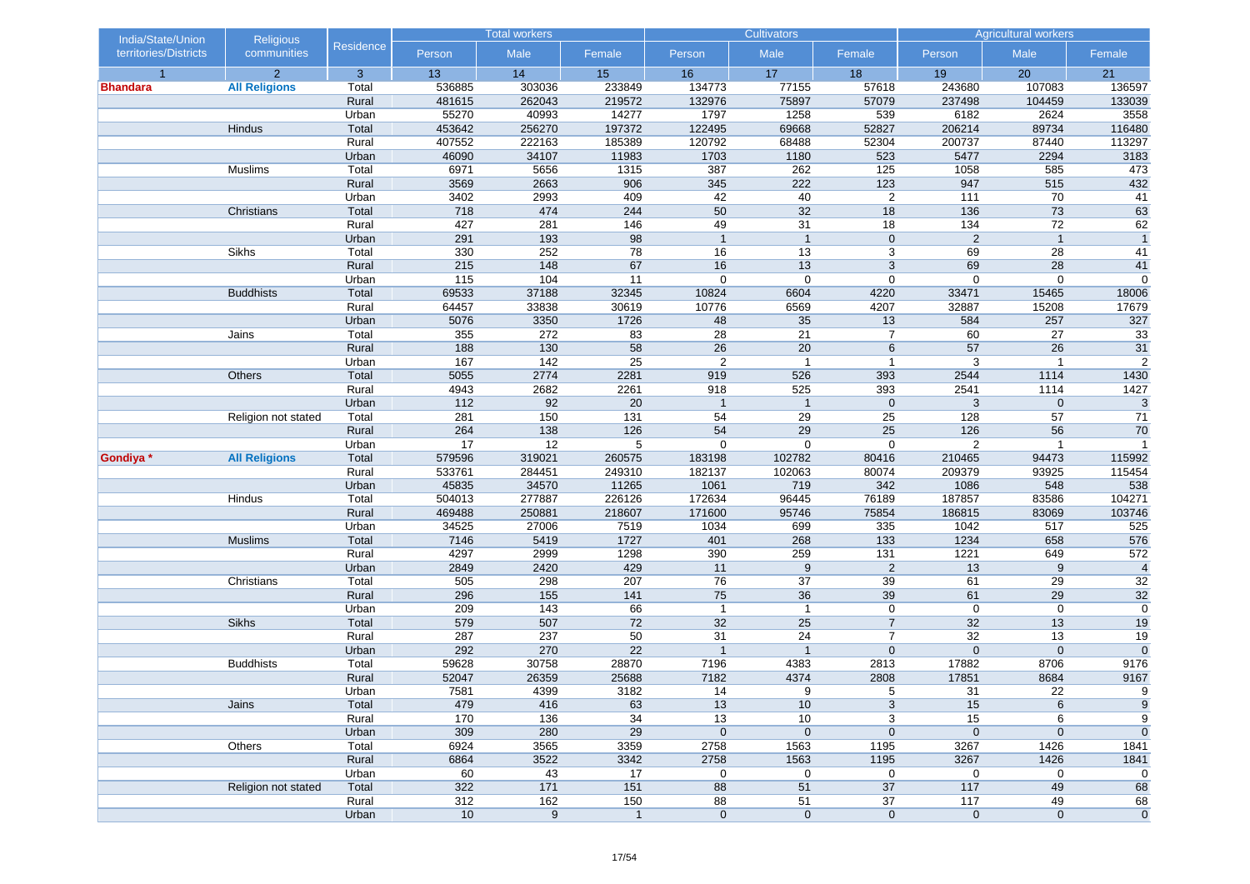| India/State/Union     | <b>Religious</b>     |                | <b>Total workers</b> |              | <b>Cultivators</b> |                |                  | <b>Agricultural workers</b> |                  |                  |                  |
|-----------------------|----------------------|----------------|----------------------|--------------|--------------------|----------------|------------------|-----------------------------|------------------|------------------|------------------|
| territories/Districts | communities          | Residence      | Person               | Male         | Female             | Person         | Male             | Female                      | Person           | Male             | Female           |
| $\overline{1}$        | $\overline{2}$       | 3              | 13                   | 14           | 15                 | 16             | 17               | 18                          | 19               | 20               | 21               |
| <b>Bhandara</b>       | <b>All Religions</b> | Total          | 536885               | 303036       | 233849             | 134773         | 77155            | 57618                       | 243680           | 107083           | 136597           |
|                       |                      | Rural          | 481615               | 262043       | 219572             | 132976         | 75897            | 57079                       | 237498           | 104459           | 133039           |
|                       |                      | Urban          | 55270                | 40993        | 14277              | 1797           | 1258             | 539                         | 6182             | 2624             | 3558             |
|                       | Hindus               | Total          | 453642               | 256270       | 197372             | 122495         | 69668            | 52827                       | 206214           | 89734            | 116480           |
|                       |                      | Rural          | 407552               | 222163       | 185389             | 120792         | 68488            | 52304                       | 200737           | 87440            | 113297           |
|                       |                      | Urban          | 46090                | 34107        | 11983              | 1703           | 1180             | 523                         | 5477             | 2294             | 3183             |
|                       | Muslims              | Total          | 6971                 | 5656         | 1315               | 387            | 262              | 125                         | 1058             | 585              | 473              |
|                       |                      | Rural<br>Urban | 3569<br>3402         | 2663<br>2993 | 906<br>409         | 345<br>42      | 222<br>40        | 123                         | 947<br>111       | 515<br>70        | 432              |
|                       | Christians           | Total          | 718                  | 474          | 244                | 50             | 32               | $\overline{2}$<br>18        | 136              | 73               | 41<br>63         |
|                       |                      | Rural          | 427                  | 281          | 146                | 49             | 31               | 18                          | $\overline{134}$ | $\overline{72}$  | 62               |
|                       |                      | Urban          | 291                  | 193          | 98                 | $\overline{1}$ | $\overline{1}$   | $\mathbf 0$                 | $\overline{2}$   | $\overline{1}$   | $\overline{1}$   |
|                       | Sikhs                | Total          | 330                  | 252          | 78                 | 16             | 13               | 3                           | 69               | 28               | 41               |
|                       |                      | Rural          | 215                  | 148          | 67                 | 16             | 13               | 3                           | 69               | 28               | 41               |
|                       |                      | Urban          | 115                  | 104          | 11                 | $\mathbf 0$    | $\mathbf 0$      | $\mathbf 0$                 | $\mathbf 0$      | $\pmb{0}$        | $\mathbf 0$      |
|                       | <b>Buddhists</b>     | Total          | 69533                | 37188        | 32345              | 10824          | 6604             | 4220                        | 33471            | 15465            | 18006            |
|                       |                      | Rural          | 64457                | 33838        | 30619              | 10776          | 6569             | 4207                        | 32887            | 15208            | 17679            |
|                       |                      | Urban          | 5076                 | 3350         | 1726               | 48             | 35               | 13                          | 584              | 257              | 327              |
|                       | Jains                | Total          | 355                  | 272          | 83                 | 28             | 21               | 7                           | 60               | 27               | 33               |
|                       |                      | Rural          | 188                  | 130          | 58                 | 26             | 20               | 6                           | 57               | 26               | 31               |
|                       |                      | Urban          | 167                  | 142          | 25                 | 2              | $\overline{1}$   | $\mathbf{1}$                | 3                | $\mathbf{1}$     | $\overline{2}$   |
|                       | Others               | Total          | 5055                 | 2774         | 2281               | 919            | 526              | 393                         | 2544             | 1114             | 1430             |
|                       |                      | Rural          | 4943                 | 2682         | 2261               | 918            | 525              | 393                         | 2541             | 1114             | 1427             |
|                       |                      | Urban          | 112                  | 92           | 20                 | $\overline{1}$ | $\mathbf{1}$     | $\boldsymbol{0}$            | 3                | $\pmb{0}$        | $\sqrt{3}$       |
|                       | Religion not stated  | Total          | 281                  | 150          | 131                | 54             | 29               | 25                          | 128              | 57               | 71               |
|                       |                      | Rural          | 264                  | 138          | 126                | 54             | 29               | 25                          | 126              | 56               | 70               |
|                       |                      | Urban          | 17                   | 12           | 5                  | $\mathbf 0$    | $\mathbf 0$      | $\mathbf 0$                 | 2                | $\mathbf{1}$     | $\mathbf{1}$     |
| Gondiya *             | <b>All Religions</b> | Total          | 579596               | 319021       | 260575             | 183198         | 102782           | 80416                       | 210465           | 94473            | 115992           |
|                       |                      | Rural          | 533761               | 284451       | 249310             | 182137         | 102063           | 80074                       | 209379           | 93925            | 115454           |
|                       |                      | Urban          | 45835                | 34570        | 11265              | 1061           | 719              | 342                         | 1086             | 548              | 538              |
|                       | Hindus               | Total          | 504013               | 277887       | 226126             | 172634         | 96445            | 76189                       | 187857           | 83586            | 104271           |
|                       |                      | Rural          | 469488               | 250881       | 218607             | 171600         | 95746            | 75854                       | 186815           | 83069            | 103746           |
|                       |                      | Urban          | 34525                | 27006        | 7519               | 1034           | 699              | 335                         | 1042             | 517              | 525              |
|                       | <b>Muslims</b>       | Total          | 7146                 | 5419         | 1727               | 401            | 268              | 133                         | 1234             | 658              | 576              |
|                       |                      | Rural          | 4297                 | 2999         | 1298               | 390            | 259              | $131$                       | 1221             | 649              | 572              |
|                       |                      | Urban          | 2849                 | 2420         | 429                | 11             | $\boldsymbol{9}$ | $\overline{2}$              | 13               | $\boldsymbol{9}$ | $\overline{4}$   |
|                       | Christians           | Total<br>Rural | 505<br>296           | 298<br>155   | 207<br>141         | 76<br>75       | 37<br>36         | 39<br>39                    | 61<br>61         | 29<br>29         | 32<br>32         |
|                       |                      | Urban          | 209                  | 143          | 66                 | $\mathbf{1}$   | $\mathbf{1}$     | 0                           | $\mathbf 0$      | $\pmb{0}$        | $\boldsymbol{0}$ |
|                       | Sikhs                | Total          | 579                  | 507          | 72                 | 32             | 25               | $\overline{7}$              | 32               | 13               | 19               |
|                       |                      | Rural          | 287                  | 237          | 50                 | 31             | 24               | $\overline{7}$              | 32               | 13               | 19               |
|                       |                      | Urban          | 292                  | 270          | $\overline{22}$    | $\overline{1}$ | $\mathbf{1}$     | $\mathbf 0$                 | $\mathbf 0$      | $\mathbf 0$      | $\mathbf 0$      |
|                       | <b>Buddhists</b>     | Total          | 59628                | 30758        | 28870              | 7196           | 4383             | 2813                        | 17882            | 8706             | 9176             |
|                       |                      | Rural          | 52047                | 26359        | 25688              | 7182           | 4374             | 2808                        | 17851            | 8684             | 9167             |
|                       |                      | Urban          | 7581                 | 4399         | 3182               | 14             | 9                | 5                           | 31               | 22               | 9                |
|                       | Jains                | Total          | 479                  | 416          | 63                 | 13             | 10               | 3                           | 15               | 6                | $\boldsymbol{9}$ |
|                       |                      | Rural          | 170                  | 136          | 34                 | 13             | 10               | 3                           | 15               | 6                | 9                |
|                       |                      | Urban          | 309                  | 280          | 29                 | $\mathbf 0$    | $\mathbf 0$      | $\mathbf 0$                 | $\pmb{0}$        | $\mathbf 0$      | $\mathbf 0$      |
|                       | Others               | Total          | 6924                 | 3565         | 3359               | 2758           | 1563             | 1195                        | 3267             | 1426             | 1841             |
|                       |                      | Rural          | 6864                 | 3522         | 3342               | 2758           | 1563             | 1195                        | 3267             | 1426             | 1841             |
|                       |                      | Urban          | 60                   | 43           | 17                 | 0              | 0                | $\pmb{0}$                   | $\pmb{0}$        | 0                | 0                |
|                       | Religion not stated  | Total          | 322                  | 171          | $151$              | 88             | 51               | 37                          | 117              | 49               | 68               |
|                       |                      | Rural          | 312                  | 162          | 150                | 88             | 51               | 37                          | $\frac{117}{11}$ | 49               | 68               |
|                       |                      | Urban          | 10                   | 9            | $\mathbf{1}$       | $\mathbf 0$    | $\mathbf 0$      | $\mathbf 0$                 | $\mathbf 0$      | $\mathbf 0$      | $\overline{0}$   |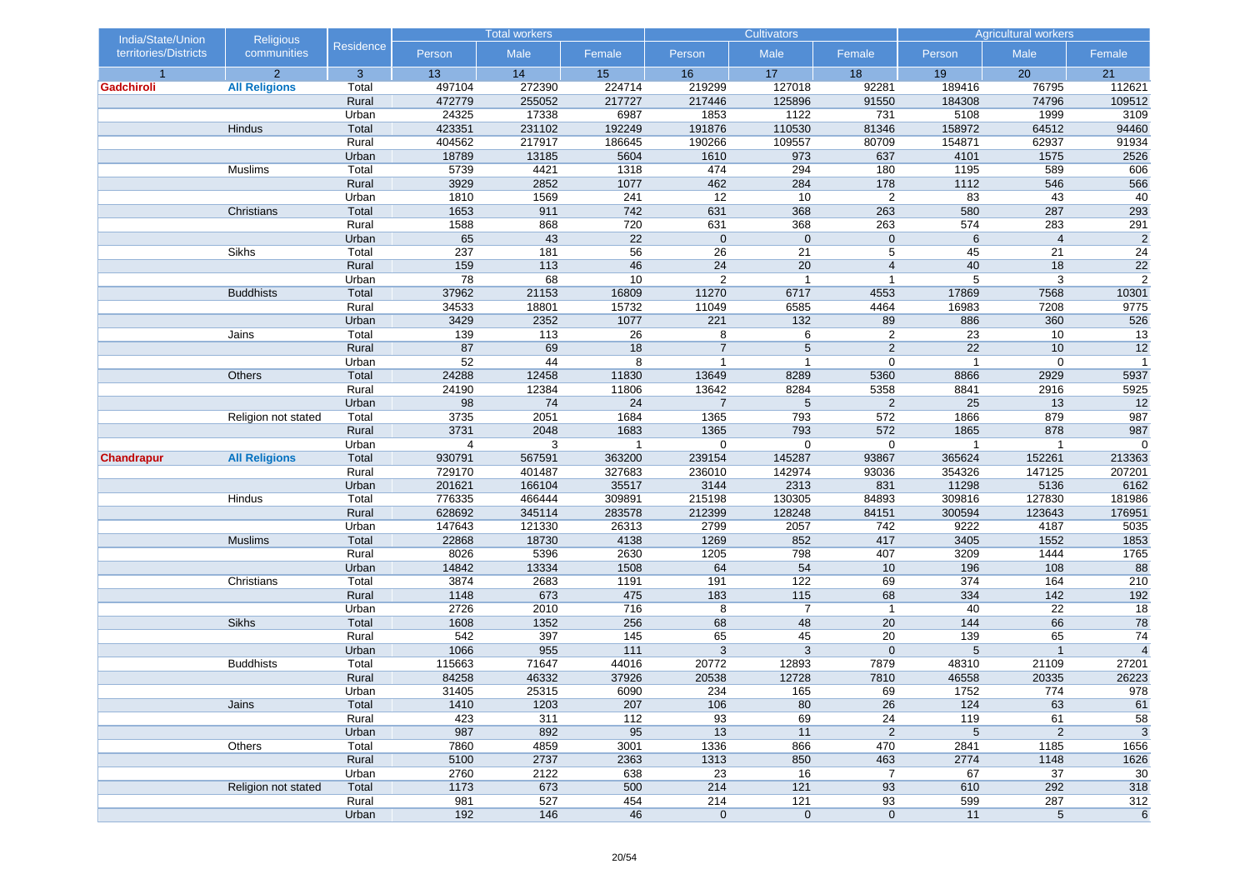| India/State/Union     | <b>Religious</b>     |                  | <b>Total workers</b> |           | <b>Cultivators</b> |                |                | <b>Agricultural workers</b> |                |                      |                           |
|-----------------------|----------------------|------------------|----------------------|-----------|--------------------|----------------|----------------|-----------------------------|----------------|----------------------|---------------------------|
| territories/Districts | communities          | <b>Residence</b> | Person               | Male      | Female             | Person         | Male           | Female                      | Person         | Male                 | Female                    |
| $\overline{1}$        | $\overline{2}$       | 3                | 13                   | 14        | 15                 | 16             | 17             | 18                          | 19             | 20                   | 21                        |
| Gadchiroli            | <b>All Religions</b> | Total            | 497104               | 272390    | 224714             | 219299         | 127018         | 92281                       | 189416         | 76795                | 112621                    |
|                       |                      | Rural            | 472779               | 255052    | 217727             | 217446         | 125896         | 91550                       | 184308         | 74796                | 109512                    |
|                       |                      | Urban            | 24325                | 17338     | 6987               | 1853           | 1122           | 731                         | 5108           | 1999                 | 3109                      |
|                       | Hindus               | Total            | 423351               | 231102    | 192249             | 191876         | 110530         | 81346                       | 158972         | 64512                | 94460                     |
|                       |                      | Rural            | 404562               | 217917    | 186645             | 190266         | 109557         | 80709                       | 154871         | 62937                | 91934                     |
|                       |                      | Urban            | 18789                | 13185     | 5604               | 1610           | 973            | 637                         | 4101           | 1575                 | 2526                      |
|                       | Muslims              | Total            | 5739                 | 4421      | 1318               | 474            | 294            | 180                         | 1195           | 589                  | 606                       |
|                       |                      | Rural            | 3929                 | 2852      | 1077               | 462            | 284            | 178                         | 1112           | 546                  | 566                       |
|                       |                      | Urban            | 1810                 | 1569      | 241                | 12             | 10             | $\overline{2}$              | 83             | 43                   | 40                        |
|                       | Christians           | Total            | 1653                 | 911       | 742                | 631            | 368            | 263                         | 580            | 287                  | 293                       |
|                       |                      | Rural            | 1588<br>65           | 868<br>43 | 720<br>22          | 631            | 368            | 263                         | 574            | 283                  | 291                       |
|                       | Sikhs                | Urban<br>Total   | 237                  | 181       | 56                 | $\mathbf 0$    | $\mathbf 0$    | $\mathbf 0$<br>5            | 6              | $\overline{4}$<br>21 | $\overline{2}$<br>24      |
|                       |                      | Rural            | 159                  | 113       | 46                 | 26<br>24       | 21<br>20       | $\overline{4}$              | 45<br>40       | 18                   | 22                        |
|                       |                      | Urban            | 78                   | 68        | 10                 | $\overline{2}$ | $\overline{1}$ | $\mathbf{1}$                | 5              | 3                    | $\overline{2}$            |
|                       | <b>Buddhists</b>     | Total            | 37962                | 21153     | 16809              | 11270          | 6717           | 4553                        | 17869          | 7568                 | 10301                     |
|                       |                      | Rural            | 34533                | 18801     | 15732              | 11049          | 6585           | 4464                        | 16983          | 7208                 | 9775                      |
|                       |                      | Urban            | 3429                 | 2352      | 1077               | 221            | $132$          | 89                          | 886            | 360                  | 526                       |
|                       | Jains                | Total            | 139                  | 113       | 26                 | 8              | 6              | $\overline{2}$              | 23             | 10                   | 13                        |
|                       |                      | Rural            | 87                   | 69        | 18                 | $\overline{7}$ | 5              | $\overline{2}$              | 22             | 10                   | $\overline{12}$           |
|                       |                      | Urban            | 52                   | 44        | 8                  | $\mathbf{1}$   | $\mathbf{1}$   | $\mathbf 0$                 | $\overline{1}$ | $\boldsymbol{0}$     | $\overline{1}$            |
|                       | Others               | Total            | 24288                | 12458     | 11830              | 13649          | 8289           | 5360                        | 8866           | 2929                 | 5937                      |
|                       |                      | Rural            | 24190                | 12384     | 11806              | 13642          | 8284           | 5358                        | 8841           | 2916                 | 5925                      |
|                       |                      | Urban            | 98                   | 74        | 24                 | $\overline{7}$ | 5              | $\overline{c}$              | 25             | 13                   | 12                        |
|                       | Religion not stated  | Total            | 3735                 | 2051      | 1684               | 1365           | 793            | 572                         | 1866           | 879                  | 987                       |
|                       |                      | Rural            | 3731                 | 2048      | 1683               | 1365           | 793            | 572                         | 1865           | 878                  | 987                       |
|                       |                      | Urban            | $\overline{4}$       | 3         | $\overline{1}$     | $\mathbf 0$    | $\mathbf 0$    | $\mathbf 0$                 | 1              | $\overline{1}$       | $\mathbf 0$               |
| <b>Chandrapur</b>     | <b>All Religions</b> | Total            | 930791               | 567591    | 363200             | 239154         | 145287         | 93867                       | 365624         | 152261               | 213363                    |
|                       |                      | Rural            | 729170               | 401487    | 327683             | 236010         | 142974         | 93036                       | 354326         | 147125               | 207201                    |
|                       |                      | Urban            | 201621               | 166104    | 35517              | 3144           | 2313           | 831                         | 11298          | 5136                 | 6162                      |
|                       | Hindus               | Total            | 776335               | 466444    | 309891             | 215198         | 130305         | 84893                       | 309816         | 127830               | 181986                    |
|                       |                      | Rural            | 628692               | 345114    | 283578             | 212399         | 128248         | 84151                       | 300594         | 123643               | 176951                    |
|                       |                      | Urban            | 147643               | 121330    | 26313              | 2799           | 2057           | 742                         | 9222           | 4187                 | 5035                      |
|                       | <b>Muslims</b>       | Total            | 22868                | 18730     | 4138               | 1269           | 852            | 417                         | 3405           | 1552                 | 1853                      |
|                       |                      | Rural            | 8026                 | 5396      | 2630               | 1205           | 798            | 407                         | 3209           | 1444                 | 1765                      |
|                       |                      | Urban            | 14842                | 13334     | 1508               | 64             | 54             | 10                          | 196            | 108                  | 88                        |
|                       | Christians           | Total            | 3874                 | 2683      | 1191               | 191            | 122            | 69                          | 374            | 164                  | 210                       |
|                       |                      | Rural            | 1148                 | 673       | 475                | 183            | 115            | 68                          | 334            | $142$                | 192                       |
|                       |                      | Urban            | 2726                 | 2010      | 716                | 8              | $\overline{7}$ | $\mathbf{1}$                | 40             | 22                   | 18                        |
|                       | Sikhs                | Total            | 1608                 | 1352      | 256                | 68             | 48             | 20                          | 144            | 66                   | 78                        |
|                       |                      | Rural            | 542                  | 397       | 145                | 65             | 45             | 20                          | 139            | 65                   | 74                        |
|                       |                      | Urban            | 1066                 | 955       | 111                | $\mathbf{3}$   | 3              | $\mathbf 0$                 | 5              | $\mathbf{1}$         | $\overline{4}$            |
|                       | <b>Buddhists</b>     | Total            | 115663               | 71647     | 44016              | 20772          | 12893          | 7879                        | 48310          | 21109                | 27201                     |
|                       |                      | Rural            | 84258                | 46332     | 37926              | 20538          | 12728          | 7810                        | 46558          | 20335                | 26223                     |
|                       |                      | Urban            | 31405                | 25315     | 6090               | 234            | 165            | 69                          | 1752           | 774                  | 978                       |
|                       | Jains                | Total            | 1410                 | 1203      | 207                | 106            | 80             | 26                          | 124            | 63                   | 61                        |
|                       |                      | Rural            | 423                  | 311       | 112                | 93             | 69             | 24                          | 119            | 61                   | 58                        |
|                       |                      | Urban            | 987                  | 892       | 95                 | 13             | 11             | $\overline{c}$              | $\sqrt{5}$     | $\sqrt{2}$           | $\ensuremath{\mathsf{3}}$ |
|                       | Others               | Total            | 7860                 | 4859      | 3001               | 1336           | 866            | 470                         | 2841           | 1185                 | 1656                      |
|                       |                      | Rural            | 5100                 | 2737      | 2363               | 1313           | 850            | 463                         | 2774           | 1148                 | 1626                      |
|                       |                      | Urban            | 2760                 | 2122      | 638                | 23             | 16             | $\overline{7}$              | 67             | 37                   | 30                        |
|                       | Religion not stated  | Total            | 1173                 | 673       | 500                | 214            | 121            | 93                          | 610            | 292                  | 318                       |
|                       |                      | Rural            | 981                  | 527       | 454                | 214            | 121            | 93                          | 599            | 287                  | 312                       |
|                       |                      | Urban            | 192                  | 146       | 46                 | $\mathbf 0$    | $\pmb{0}$      | $\mathbf 0$                 | 11             | $\,$ 5 $\,$          | 6                         |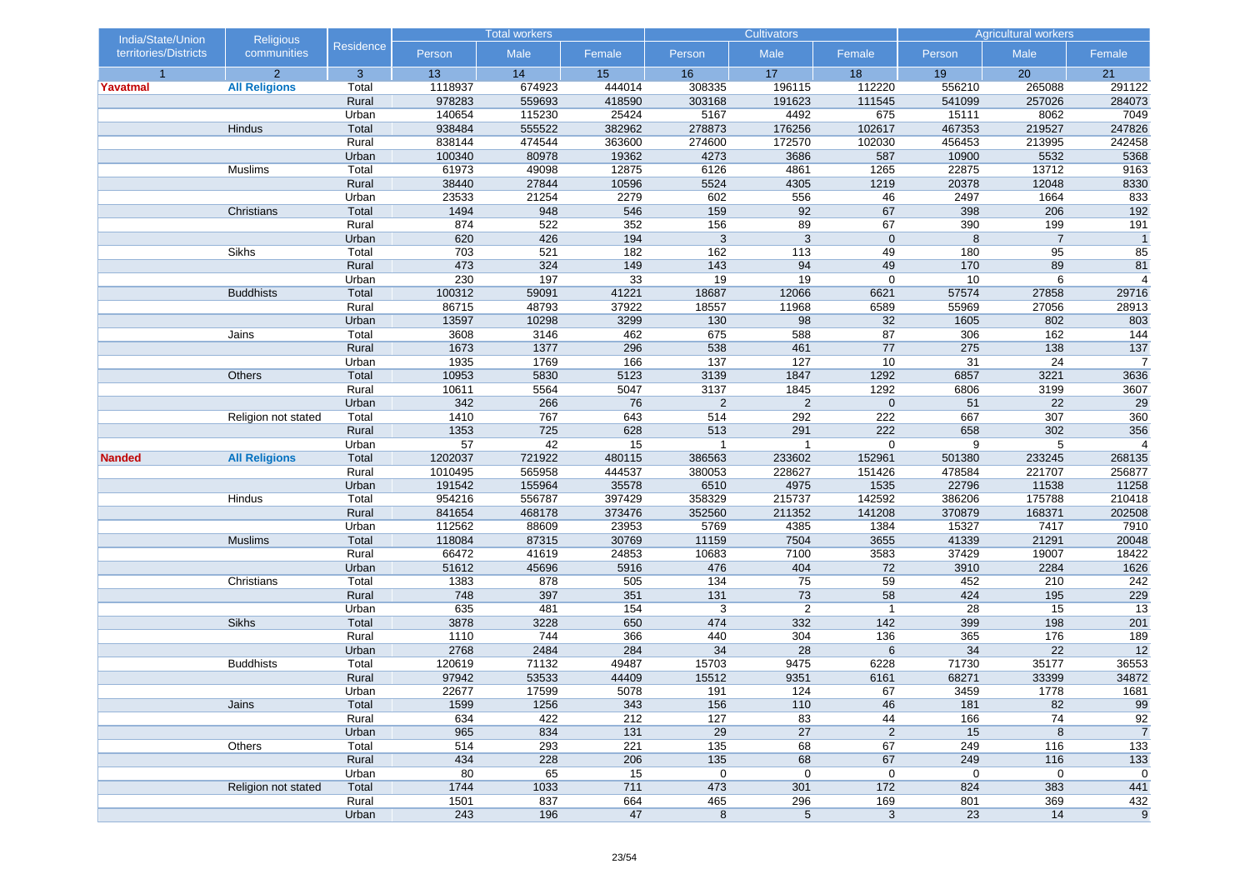| India/State/Union     | <b>Religious</b>     |                | <b>Total workers</b> |            | <b>Cultivators</b> |                |                | <b>Agricultural workers</b> |            |                |                  |
|-----------------------|----------------------|----------------|----------------------|------------|--------------------|----------------|----------------|-----------------------------|------------|----------------|------------------|
| territories/Districts | communities          | Residence      | Person               | Male       | Female             | Person         | Male           | Female                      | Person     | Male           | Female           |
| $\overline{1}$        | $\overline{2}$       | 3              | 13                   | 14         | 15                 | 16             | 17             | 18                          | 19         | 20             | 21               |
| Yavatmal              | <b>All Religions</b> | Total          | 1118937              | 674923     | 444014             | 308335         | 196115         | 112220                      | 556210     | 265088         | 291122           |
|                       |                      | Rural          | 978283               | 559693     | 418590             | 303168         | 191623         | 111545                      | 541099     | 257026         | 284073           |
|                       |                      | Urban          | 140654               | 115230     | 25424              | 5167           | 4492           | 675                         | 15111      | 8062           | 7049             |
|                       | Hindus               | Total          | 938484               | 555522     | 382962             | 278873         | 176256         | 102617                      | 467353     | 219527         | 247826           |
|                       |                      | Rural          | 838144               | 474544     | 363600             | 274600         | 172570         | 102030                      | 456453     | 213995         | 242458           |
|                       |                      | Urban          | 100340               | 80978      | 19362              | 4273           | 3686           | 587                         | 10900      | 5532           | 5368             |
|                       | Muslims              | Total          | 61973                | 49098      | 12875              | 6126           | 4861           | 1265                        | 22875      | 13712          | 9163             |
|                       |                      | Rural          | 38440                | 27844      | 10596              | 5524           | 4305           | 1219                        | 20378      | 12048          | 8330             |
|                       |                      | Urban          | 23533                | 21254      | 2279               | 602            | 556            | 46<br>67                    | 2497       | 1664           | 833              |
|                       | Christians           | Total          | 1494<br>874          | 948        | 546<br>352         | 159<br>156     | 92<br>89       |                             | 398<br>390 | 206<br>199     | 192<br>191       |
|                       |                      | Rural          | 620                  | 522<br>426 | 194                | 3              | 3              | 67<br>$\mathbf 0$           | 8          | $\overline{7}$ | $\overline{1}$   |
|                       | Sikhs                | Urban<br>Total | 703                  | 521        | 182                | 162            | 113            | 49                          | 180        | 95             | 85               |
|                       |                      | Rural          | 473                  | 324        | 149                | 143            | 94             | 49                          | 170        | 89             | 81               |
|                       |                      | Urban          | 230                  | 197        | 33                 | 19             | 19             | 0                           | 10         | 6              | $\overline{4}$   |
|                       | <b>Buddhists</b>     | Total          | 100312               | 59091      | 41221              | 18687          | 12066          | 6621                        | 57574      | 27858          | 29716            |
|                       |                      | Rural          | 86715                | 48793      | 37922              | 18557          | 11968          | 6589                        | 55969      | 27056          | 28913            |
|                       |                      | Urban          | 13597                | 10298      | 3299               | 130            | 98             | 32                          | 1605       | 802            | 803              |
|                       | Jains                | Total          | 3608                 | 3146       | 462                | 675            | 588            | 87                          | 306        | 162            | 144              |
|                       |                      | Rural          | 1673                 | 1377       | 296                | 538            | 461            | 77                          | 275        | 138            | 137              |
|                       |                      | Urban          | 1935                 | 1769       | 166                | 137            | 127            | 10                          | 31         | 24             | $\overline{7}$   |
|                       | Others               | Total          | 10953                | 5830       | 5123               | 3139           | 1847           | 1292                        | 6857       | 3221           | 3636             |
|                       |                      | Rural          | 10611                | 5564       | 5047               | 3137           | 1845           | 1292                        | 6806       | 3199           | 3607             |
|                       |                      | Urban          | 342                  | 266        | 76                 | $\overline{c}$ | $\sqrt{2}$     | $\boldsymbol{0}$            | 51         | 22             | 29               |
|                       | Religion not stated  | Total          | 1410                 | 767        | 643                | 514            | 292            | 222                         | 667        | 307            | 360              |
|                       |                      | Rural          | 1353                 | 725        | 628                | 513            | 291            | 222                         | 658        | 302            | 356              |
|                       |                      | Urban          | 57                   | 42         | 15                 | $\mathbf{1}$   | $\mathbf{1}$   | $\mathbf 0$                 | 9          | 5              | $\overline{4}$   |
| <b>Nanded</b>         | <b>All Religions</b> | Total          | 1202037              | 721922     | 480115             | 386563         | 233602         | 152961                      | 501380     | 233245         | 268135           |
|                       |                      | Rural          | 1010495              | 565958     | 444537             | 380053         | 228627         | 151426                      | 478584     | 221707         | 256877           |
|                       |                      | Urban          | 191542               | 155964     | 35578              | 6510           | 4975           | 1535                        | 22796      | 11538          | 11258            |
|                       | Hindus               | Total          | 954216               | 556787     | 397429             | 358329         | 215737         | 142592                      | 386206     | 175788         | 210418           |
|                       |                      | Rural          | 841654               | 468178     | 373476             | 352560         | 211352         | 141208                      | 370879     | 168371         | 202508           |
|                       |                      | Urban          | 112562               | 88609      | 23953              | 5769           | 4385           | 1384                        | 15327      | 7417           | 7910             |
|                       | <b>Muslims</b>       | Total          | 118084               | 87315      | 30769              | 11159          | 7504           | 3655                        | 41339      | 21291          | 20048            |
|                       |                      | Rural          | 66472                | 41619      | 24853              | 10683          | 7100           | 3583                        | 37429      | 19007          | 18422            |
|                       |                      | Urban          | 51612                | 45696      | 5916               | 476            | 404            | 72                          | 3910       | 2284           | 1626             |
|                       | Christians           | Total          | 1383                 | 878        | 505                | 134            | 75             | 59                          | 452        | 210            | 242              |
|                       |                      | Rural          | 748                  | 397        | 351                | 131            | 73             | 58                          | 424        | 195            | 229              |
|                       |                      | Urban          | 635                  | 481        | 154                | 3              | $\overline{2}$ | $\mathbf{1}$                | 28         | 15             | 13               |
|                       | Sikhs                | Total          | 3878                 | 3228       | 650                | 474            | 332            | 142                         | 399        | 198            | 201              |
|                       |                      | Rural          | 1110                 | 744        | 366                | 440            | 304            | 136                         | 365        | 176            | 189              |
|                       |                      | Urban          | 2768                 | 2484       | 284                | 34             | 28             | 6                           | 34         | 22             | 12               |
|                       | <b>Buddhists</b>     | Total          | 120619               | 71132      | 49487              | 15703          | 9475           | 6228                        | 71730      | 35177          | 36553            |
|                       |                      | Rural          | 97942                | 53533      | 44409              | 15512          | 9351           | 6161                        | 68271      | 33399          | 34872            |
|                       |                      | Urban          | 22677                | 17599      | 5078               | 191            | 124            | 67                          | 3459       | 1778           | 1681             |
|                       | Jains                | Total          | 1599                 | 1256       | 343                | 156            | 110            | 46                          | 181        | 82             | 99               |
|                       |                      | Rural          | 634                  | 422        | 212                | 127            | 83             | 44                          | 166        | 74             | 92               |
|                       |                      | Urban          | 965                  | 834        | 131                | 29             | 27             | $\overline{c}$              | 15         | $\bf 8$        | $\overline{7}$   |
|                       | Others               | Total          | 514                  | 293        | 221                | 135            | 68             | 67                          | 249        | 116            | 133              |
|                       |                      | Rural          | 434                  | 228        | 206                | 135            | 68             | 67                          | 249        | 116            | 133              |
|                       |                      | Urban          | 80                   | 65         | 15                 | 0              | 0              | $\pmb{0}$                   | $\pmb{0}$  | 0              | $\mathbf 0$      |
|                       | Religion not stated  | Total          | 1744                 | 1033       | 711                | 473            | 301            | 172                         | 824        | 383            | 441              |
|                       |                      | Rural<br>Urban | 1501<br>243          | 837<br>196 | 664<br>47          | 465            | 296            | 169                         | 801<br>23  | 369<br>14      | 432              |
|                       |                      |                |                      |            |                    | $\bf 8$        | $\,$ 5 $\,$    | $\sqrt{3}$                  |            |                | $\boldsymbol{9}$ |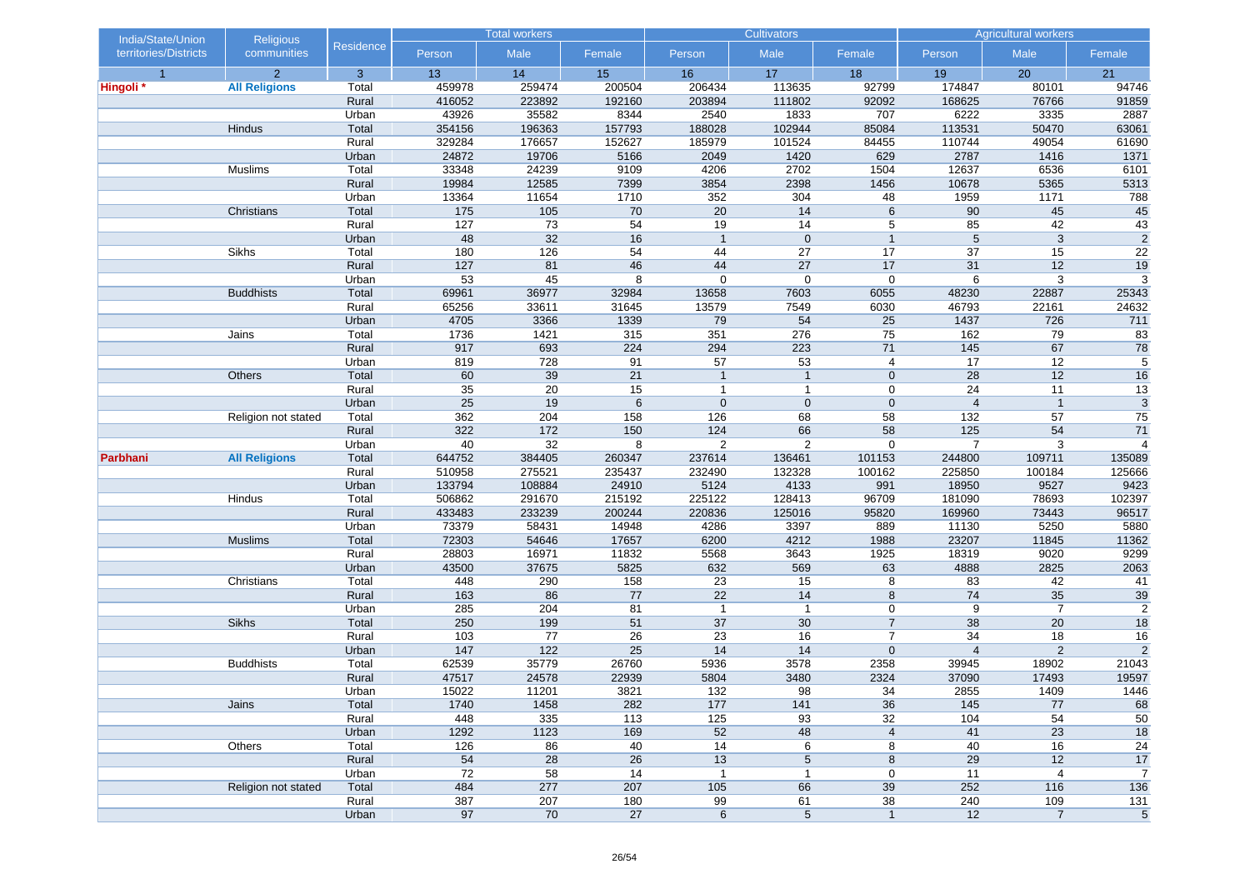| India/State/Union     | <b>Religious</b>     |                  |                 | <b>Total workers</b> |            |                       | <b>Cultivators</b>      |                      |                | <b>Agricultural workers</b> |                         |
|-----------------------|----------------------|------------------|-----------------|----------------------|------------|-----------------------|-------------------------|----------------------|----------------|-----------------------------|-------------------------|
| territories/Districts | communities          | <b>Residence</b> | Person          | Male                 | Female     | Person                | Male                    | Female               | Person         | Male                        | Female                  |
| $\overline{1}$        | $\overline{2}$       | 3                | 13              | 14                   | 15         | 16                    | 17                      | 18                   | 19             | 20                          | 21                      |
| Hingoli *             | <b>All Religions</b> | Total            | 459978          | 259474               | 200504     | 206434                | 113635                  | 92799                | 174847         | 80101                       | 94746                   |
|                       |                      | Rural            | 416052          | 223892               | 192160     | 203894                | 111802                  | 92092                | 168625         | 76766                       | 91859                   |
|                       |                      | Urban            | 43926           | 35582                | 8344       | 2540                  | 1833                    | 707                  | 6222           | 3335                        | 2887                    |
|                       | Hindus               | Total            | 354156          | 196363               | 157793     | 188028                | 102944                  | 85084                | 113531         | 50470                       | 63061                   |
|                       |                      | Rural            | 329284          | 176657               | 152627     | 185979                | 101524                  | 84455                | 110744         | 49054                       | 61690                   |
|                       |                      | Urban            | 24872           | 19706                | 5166       | 2049                  | 1420                    | 629                  | 2787           | 1416                        | 1371                    |
|                       | Muslims              | Total            | 33348           | 24239                | 9109       | 4206                  | 2702                    | 1504                 | 12637          | 6536                        | 6101                    |
|                       |                      | Rural            | 19984           | 12585                | 7399       | 3854                  | 2398                    | 1456                 | 10678          | 5365                        | 5313                    |
|                       | Christians           | Urban<br>Total   | 13364<br>175    | 11654<br>105         | 1710<br>70 | 352<br>20             | 304<br>14               | 48<br>$6\phantom{1}$ | 1959<br>90     | 1171<br>45                  | 788<br>45               |
|                       |                      | Rural            | 127             | 73                   | 54         | $\overline{19}$       | 14                      | 5                    | 85             | 42                          | 43                      |
|                       |                      |                  | 48              | 32                   | 16         | $\mathbf{1}$          | $\mathbf{0}$            | $\mathbf{1}$         | 5              | $\overline{3}$              | $\overline{2}$          |
|                       | Sikhs                | Urban<br>Total   | 180             | 126                  | 54         | 44                    | 27                      | 17                   | 37             | 15                          | 22                      |
|                       |                      | Rural            | 127             | 81                   | 46         | 44                    | 27                      | 17                   | 31             | 12                          | 19                      |
|                       |                      | Urban            | 53              | 45                   | 8          | $\mathbf 0$           | $\mathbf 0$             | $\mathbf 0$          | 6              | 3                           | 3                       |
|                       | <b>Buddhists</b>     | Total            | 69961           | 36977                | 32984      | 13658                 | 7603                    | 6055                 | 48230          | 22887                       | 25343                   |
|                       |                      | Rural            | 65256           | 33611                | 31645      | 13579                 | 7549                    | 6030                 | 46793          | 22161                       | 24632                   |
|                       |                      | Urban            | 4705            | 3366                 | 1339       | 79                    | 54                      | $\overline{25}$      | 1437           | 726                         | 711                     |
|                       | Jains                | Total            | 1736            | 1421                 | 315        | 351                   | 276                     | 75                   | 162            | 79                          | 83                      |
|                       |                      | Rural            | 917             | 693                  | 224        | 294                   | 223                     | 71                   | 145            | 67                          | $\overline{78}$         |
|                       |                      | Urban            | 819             | 728                  | 91         | 57                    | 53                      | 4                    | 17             | 12                          | $5\overline{)}$         |
|                       | Others               | Total            | 60              | 39                   | 21         | $\mathbf{1}$          | $\mathbf{1}$            | $\mathbf 0$          | 28             | 12                          | 16                      |
|                       |                      | Rural            | $\overline{35}$ | $\overline{20}$      | 15         | $\mathbf{1}$          | $\mathbf{1}$            | $\mathbf 0$          | 24             | 11                          | 13                      |
|                       |                      | Urban            | 25              | 19                   | 6          | $\mathbf 0$           | $\mathbf{0}$            | $\mathbf 0$          | $\overline{4}$ | $\mathbf{1}$                | $\sqrt{3}$              |
|                       | Religion not stated  | Total            | 362             | 204                  | 158        | 126                   | 68                      | 58                   | 132            | 57                          | 75                      |
|                       |                      | Rural            | 322             | 172                  | 150        | 124                   | 66                      | 58                   | 125            | 54                          | 71                      |
|                       |                      | Urban            | 40              | 32                   | 8          | 2                     | $\overline{2}$          | $\mathbf 0$          | $\overline{7}$ | 3                           | $\overline{4}$          |
| Parbhani              | <b>All Religions</b> | Total            | 644752          | 384405               | 260347     | 237614                | 136461                  | 101153               | 244800         | 109711                      | 135089                  |
|                       |                      | Rural            | 510958          | 275521               | 235437     | 232490                | 132328                  | 100162               | 225850         | 100184                      | 125666                  |
|                       |                      | Urban            | 133794          | 108884               | 24910      | 5124                  | 4133                    | 991                  | 18950          | 9527                        | 9423                    |
|                       | Hindus               | Total            | 506862          | 291670               | 215192     | 225122                | 128413                  | 96709                | 181090         | 78693                       | 102397                  |
|                       |                      | Rural            | 433483          | 233239               | 200244     | 220836                | 125016                  | 95820                | 169960         | 73443                       | 96517                   |
|                       |                      | Urban            | 73379           | 58431                | 14948      | 4286                  | 3397                    | 889                  | 11130          | 5250                        | 5880                    |
|                       | <b>Muslims</b>       | Total            | 72303           | 54646                | 17657      | 6200                  | 4212                    | 1988                 | 23207          | 11845                       | 11362                   |
|                       |                      | Rural            | 28803           | 16971                | 11832      | 5568                  | 3643                    | 1925                 | 18319          | 9020                        | 9299                    |
|                       |                      | Urban            | 43500           | 37675                | 5825       | 632                   | 569                     | 63                   | 4888           | 2825                        | 2063                    |
|                       | Christians           | Total            | 448             | 290                  | 158        | 23                    | 15                      | 8                    | 83             | 42                          | 41                      |
|                       |                      | Rural            | 163             | 86                   | 77         | 22                    | 14                      | 8                    | 74             | 35                          | 39                      |
|                       |                      | Urban            | 285             | 204                  | 81         | $\mathbf{1}$          | $\mathbf{1}$            | 0                    | 9              | $\overline{7}$              | $\overline{2}$          |
|                       | Sikhs                | Total            | 250             | 199                  | 51         | 37                    | 30                      | $\overline{7}$       | 38             | 20                          | 18                      |
|                       |                      | Rural            | 103             | 77                   | 26         | 23                    | 16                      | $\overline{7}$       | 34             | 18                          | 16                      |
|                       |                      | Urban            | 147             | 122                  | 25         | 14                    | 14                      | $\mathbf 0$          | $\overline{4}$ | $\overline{2}$              | $\overline{2}$          |
|                       | <b>Buddhists</b>     | Total            | 62539           | 35779                | 26760      | 5936                  | 3578                    | 2358                 | 39945          | 18902                       | 21043                   |
|                       |                      | Rural            | 47517           | 24578                | 22939      | 5804                  | 3480                    | 2324                 | 37090          | 17493                       | 19597                   |
|                       |                      | Urban            | 15022           | 11201                | 3821       | $132$                 | 98                      | 34                   | 2855           | 1409                        | 1446                    |
|                       | Jains                | Total            | 1740<br>448     | 1458                 | 282<br>113 | 177                   | 141                     | 36                   | 145            | 77<br>$\overline{54}$       | 68                      |
|                       |                      | Rural            |                 | 335                  |            | 125                   | 93                      | 32                   | 104            |                             | 50                      |
|                       |                      | Urban            | 1292            | 1123                 | 169<br>40  | 52<br>$\overline{14}$ | 48                      | $\overline{4}$       | 41             | 23                          | 18                      |
|                       | Others               | Total            | 126<br>54       | 86<br>28             | 26         |                       | 6                       | 8                    | 40<br>29       | 16<br>12                    | 24                      |
|                       |                      | Rural<br>Urban   | 72              | 58                   | 14         | 13<br>$\mathbf{1}$    | 5<br>$\mathbf{1}$       | 8<br>0               | 11             | 4                           | 17<br>$\overline{7}$    |
|                       | Religion not stated  | Total            | 484             | 277                  | 207        | 105                   | 66                      | 39                   | 252            | 116                         | 136                     |
|                       |                      | Rural            | 387             | 207                  | 180        | 99                    | 61                      | 38                   | 240            | 109                         | 131                     |
|                       |                      | Urban            | 97              | 70                   | 27         | $\,6\,$               | $\overline{\mathbf{5}}$ | $\mathbf{1}$         | 12             | $\overline{7}$              | $\overline{\mathbf{5}}$ |
|                       |                      |                  |                 |                      |            |                       |                         |                      |                |                             |                         |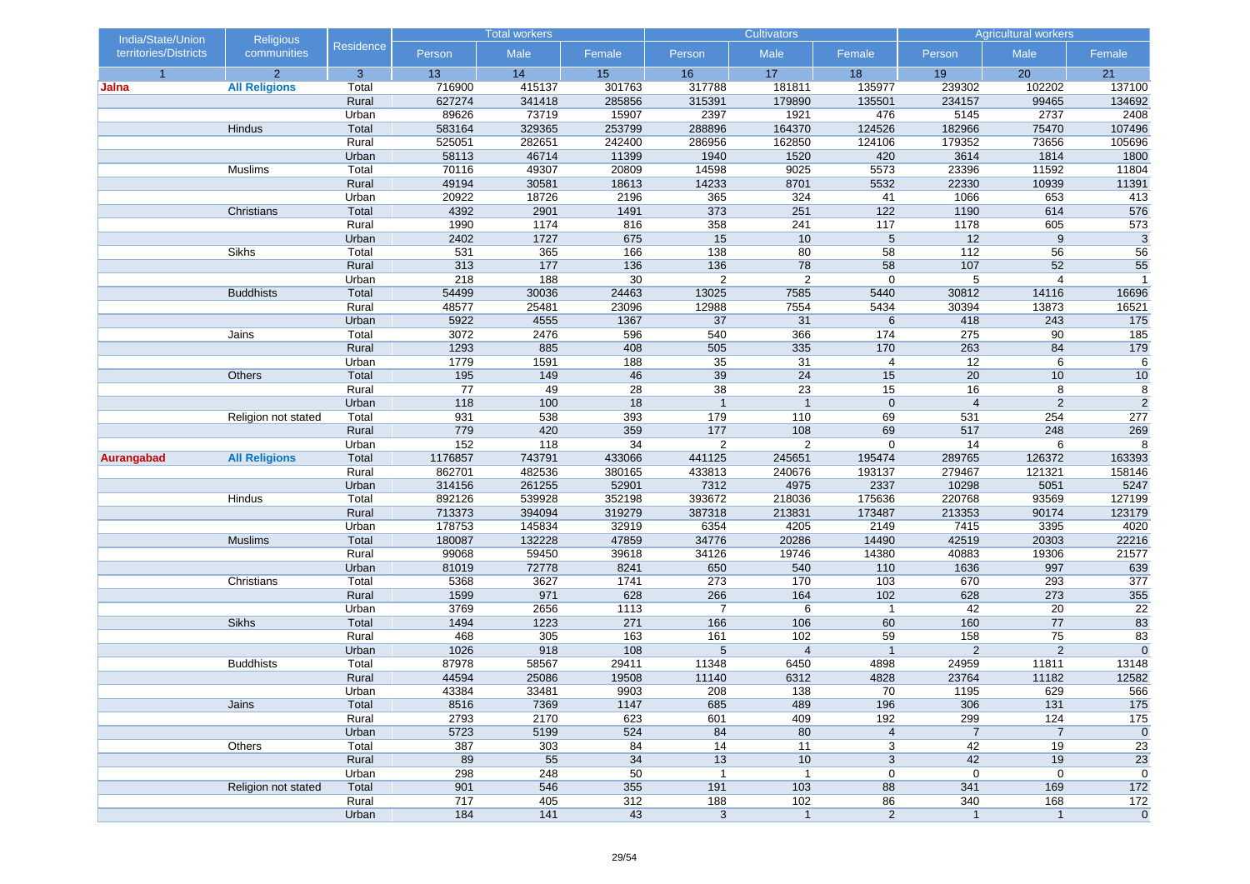| India/State/Union     | <b>Religious</b>     |                  | <b>Total workers</b> |               | <b>Cultivators</b> |                |                       | <b>Agricultural workers</b> |                       |                      |                   |
|-----------------------|----------------------|------------------|----------------------|---------------|--------------------|----------------|-----------------------|-----------------------------|-----------------------|----------------------|-------------------|
| territories/Districts | communities          | <b>Residence</b> | Person               | Male          | Female             | Person         | Male                  | Female                      | Person                | Male                 | Female            |
| $\overline{1}$        | $\overline{2}$       | 3                | 13                   | 14            | 15                 | 16             | 17                    | 18                          | 19                    | 20                   | 21                |
| Jalna                 | <b>All Religions</b> | Total            | 716900               | 415137        | 301763             | 317788         | 181811                | 135977                      | 239302                | 102202               | 137100            |
|                       |                      | Rural            | 627274               | 341418        | 285856             | 315391         | 179890                | 135501                      | 234157                | 99465                | 134692            |
|                       |                      | Urban            | 89626                | 73719         | 15907              | 2397           | 1921                  | 476                         | 5145                  | 2737                 | 2408              |
|                       | Hindus               | Total            | 583164               | 329365        | 253799             | 288896         | 164370                | 124526                      | 182966                | 75470                | 107496            |
|                       |                      | Rural            | 525051               | 282651        | 242400             | 286956         | 162850                | 124106                      | 179352                | 73656                | 105696            |
|                       |                      | Urban            | 58113                | 46714         | 11399              | 1940           | 1520                  | 420                         | 3614                  | 1814                 | 1800              |
|                       | Muslims              | Total            | 70116                | 49307         | 20809              | 14598          | 9025                  | 5573                        | 23396                 | 11592                | 11804             |
|                       |                      | Rural            | 49194                | 30581         | 18613              | 14233          | 8701                  | 5532                        | 22330                 | 10939                | 11391             |
|                       | Christians           | Urban<br>Total   | 20922<br>4392        | 18726<br>2901 | 2196<br>1491       | 365<br>373     | 324<br>251            | 41<br>122                   | 1066<br>1190          | 653<br>614           | 413<br>576        |
|                       |                      | Rural            | 1990                 | 1174          | 816                | 358            | 241                   | 117                         | 1178                  | 605                  | 573               |
|                       |                      | Urban            | 2402                 | 1727          | 675                | 15             | 10                    | 5                           | 12                    | 9                    | $\overline{3}$    |
|                       | Sikhs                | Total            | 531                  | 365           | 166                | 138            | 80                    | 58                          | 112                   | 56                   | 56                |
|                       |                      | Rural            | 313                  | 177           | 136                | 136            | 78                    | 58                          | 107                   | 52                   | 55                |
|                       |                      | Urban            | 218                  | 188           | 30                 | $\overline{2}$ | $\overline{2}$        | $\mathbf 0$                 | 5                     | $\overline{4}$       | $\overline{1}$    |
|                       | <b>Buddhists</b>     | Total            | 54499                | 30036         | 24463              | 13025          | 7585                  | 5440                        | 30812                 | 14116                | 16696             |
|                       |                      | Rural            | 48577                | 25481         | 23096              | 12988          | 7554                  | 5434                        | 30394                 | 13873                | 16521             |
|                       |                      | Urban            | 5922                 | 4555          | 1367               | 37             | 31                    | 6                           | 418                   | 243                  | $\overline{175}$  |
|                       | Jains                | Total            | 3072                 | 2476          | 596                | 540            | 366                   | 174                         | 275                   | 90                   | 185               |
|                       |                      | Rural            | 1293                 | 885           | 408                | 505            | 335                   | 170                         | 263                   | 84                   | 179               |
|                       |                      | Urban            | 1779                 | 1591          | 188                | 35             | 31                    | 4                           | 12                    | 6                    | 6                 |
|                       | Others               | Total            | 195                  | 149           | 46                 | 39             | 24                    | 15                          | 20                    | 10                   | 10                |
|                       |                      | Rural            | 77                   | 49            | 28                 | 38             | 23                    | 15                          | 16                    | 8                    | $\overline{8}$    |
|                       |                      | Urban            | 118                  | 100           | 18                 | $\overline{1}$ | $\overline{1}$        | $\mathbf 0$                 | $\overline{4}$        | $\overline{2}$       | $\overline{2}$    |
|                       | Religion not stated  | Total            | 931                  | 538           | 393                | 179            | 110                   | 69                          | 531                   | 254                  | 277               |
|                       |                      | Rural            | 779                  | 420           | 359                | 177            | 108                   | 69                          | 517                   | 248                  | 269               |
|                       |                      | Urban            | 152                  | 118           | 34                 | $\overline{c}$ | $\overline{2}$        | $\mathbf 0$                 | 14                    | 6                    | 8                 |
| Aurangabad            | <b>All Religions</b> | Total            | 1176857              | 743791        | 433066             | 441125         | 245651                | 195474                      | 289765                | 126372               | 163393            |
|                       |                      | Rural            | 862701               | 482536        | 380165             | 433813         | 240676                | 193137                      | 279467                | 121321               | 158146            |
|                       |                      | Urban            | 314156               | 261255        | 52901              | 7312           | 4975                  | 2337                        | 10298                 | 5051                 | 5247              |
|                       | Hindus               | Total            | 892126               | 539928        | 352198             | 393672         | 218036                | 175636                      | 220768                | 93569                | 127199            |
|                       |                      | Rural            | 713373               | 394094        | 319279             | 387318         | 213831                | 173487                      | 213353                | 90174                | 123179            |
|                       |                      | Urban            | 178753               | 145834        | 32919              | 6354           | 4205                  | 2149                        | 7415                  | 3395                 | 4020              |
|                       | <b>Muslims</b>       | Total            | 180087               | 132228        | 47859              | 34776          | 20286                 | 14490                       | 42519                 | 20303                | 22216             |
|                       |                      | Rural            | 99068                | 59450         | 39618              | 34126          | 19746                 | 14380                       | 40883                 | 19306                | 21577             |
|                       |                      | Urban            | 81019                | 72778         | 8241               | 650            | 540                   | 110                         | 1636                  | 997                  | 639               |
|                       | Christians           | Total            | 5368                 | 3627          | 1741               | 273            | 170                   | 103                         | 670                   | 293                  | 377               |
|                       |                      | Rural            | 1599                 | 971           | 628                | 266            | 164                   | 102                         | 628                   | 273                  | 355               |
|                       |                      | Urban            | 3769                 | 2656          | 1113               | $\overline{7}$ | 6                     | $\mathbf{1}$                | 42                    | 20                   | 22                |
|                       | Sikhs                | Total            | 1494<br>468          | 1223          | 271                | 166            | 106                   | 60                          | 160                   | 77                   | 83                |
|                       |                      | Rural            | 1026                 | 305           | 163                | 161<br>5       | 102<br>$\overline{4}$ | 59<br>$\mathbf{1}$          | 158<br>$\overline{2}$ | 75<br>$\overline{2}$ | 83<br>$\mathbf 0$ |
|                       | <b>Buddhists</b>     | Urban<br>Total   | 87978                | 918<br>58567  | 108<br>29411       | 11348          | 6450                  | 4898                        | 24959                 | 11811                | 13148             |
|                       |                      | Rural            | 44594                | 25086         | 19508              | 11140          | 6312                  | 4828                        | 23764                 | 11182                | 12582             |
|                       |                      |                  | 43384                | 33481         | 9903               | 208            | 138                   | 70                          | 1195                  | 629                  | 566               |
|                       | Jains                | Urban<br>Total   | 8516                 | 7369          | 1147               | 685            | 489                   | 196                         | 306                   | 131                  | 175               |
|                       |                      | Rural            | 2793                 | 2170          | 623                | 601            | 409                   | 192                         | 299                   | 124                  | 175               |
|                       |                      | Urban            | 5723                 | 5199          | 524                | 84             | 80                    | $\overline{\mathbf{4}}$     | $\overline{7}$        | $\overline{7}$       | $\mathbf 0$       |
|                       | Others               | Total            | 387                  | 303           | 84                 | 14             | 11                    | 3                           | 42                    | 19                   | 23                |
|                       |                      | Rural            | 89                   | 55            | 34                 | 13             | 10                    | 3                           | 42                    | 19                   | 23                |
|                       |                      | Urban            | 298                  | 248           | 50                 | $\mathbf{1}$   | $\mathbf{1}$          | 0                           | $\pmb{0}$             | 0                    | $\mathbf 0$       |
|                       | Religion not stated  | Total            | 901                  | 546           | 355                | 191            | 103                   | 88                          | 341                   | 169                  | 172               |
|                       |                      | Rural            | 717                  | 405           | 312                | 188            | 102                   | 86                          | 340                   | 168                  | $172$             |
|                       |                      | Urban            | 184                  | 141           | 43                 | $\mathbf{3}$   | $\mathbf{1}$          | $\overline{c}$              | $\overline{1}$        | $\mathbf{1}$         | $\mathbf 0$       |
|                       |                      |                  |                      |               |                    |                |                       |                             |                       |                      |                   |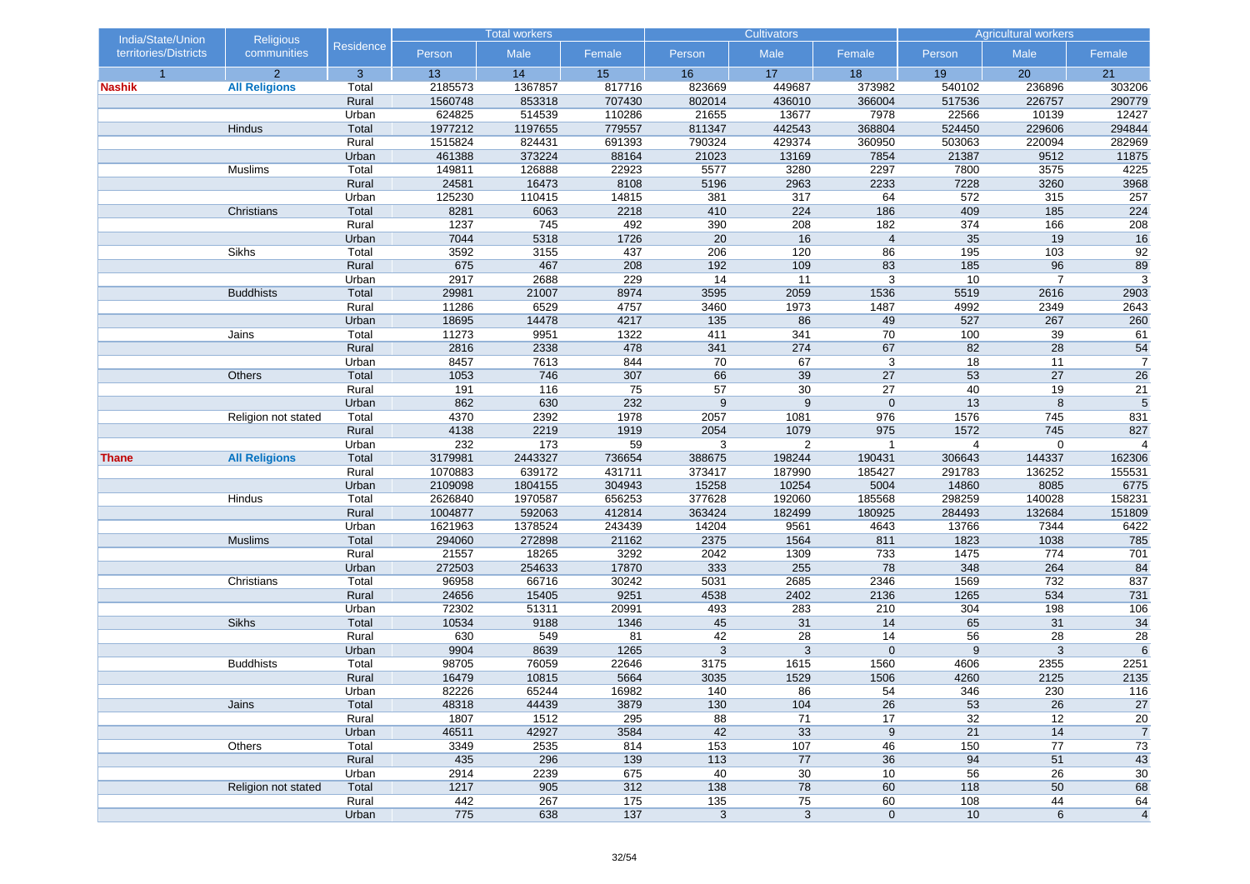| India/State/Union     | <b>Religious</b>     |                | <b>Total workers</b> |                 | <b>Cultivators</b> |              |                | <b>Agricultural workers</b> |                 |                |                       |
|-----------------------|----------------------|----------------|----------------------|-----------------|--------------------|--------------|----------------|-----------------------------|-----------------|----------------|-----------------------|
| territories/Districts | communities          | Residence      | Person               | Male            | Female             | Person       | Male           | Female                      | Person          | Male           | Female                |
| $\overline{1}$        | $\overline{2}$       | 3              | 13                   | 14              | 15                 | 16           | 17             | 18                          | 19              | 20             | 21                    |
| <b>Nashik</b>         | <b>All Religions</b> | Total          | 2185573              | 1367857         | 817716             | 823669       | 449687         | 373982                      | 540102          | 236896         | 303206                |
|                       |                      | Rural          | 1560748              | 853318          | 707430             | 802014       | 436010         | 366004                      | 517536          | 226757         | 290779                |
|                       |                      | Urban          | 624825               | 514539          | 110286             | 21655        | 13677          | 7978                        | 22566           | 10139          | 12427                 |
|                       | Hindus               | Total          | 1977212              | 1197655         | 779557             | 811347       | 442543         | 368804                      | 524450          | 229606         | 294844                |
|                       |                      | Rural          | 1515824              | 824431          | 691393             | 790324       | 429374         | 360950                      | 503063          | 220094         | 282969                |
|                       |                      | Urban          | 461388               | 373224          | 88164              | 21023        | 13169          | 7854                        | 21387           | 9512           | 11875                 |
|                       | Muslims              | Total          | 149811               | 126888          | 22923              | 5577         | 3280           | 2297                        | 7800            | 3575           | 4225                  |
|                       |                      | Rural<br>Urban | 24581<br>125230      | 16473<br>110415 | 8108<br>14815      | 5196<br>381  | 2963<br>317    | 2233<br>64                  | 7228<br>572     | 3260<br>315    | 3968<br>257           |
|                       | Christians           | Total          | 8281                 | 6063            | 2218               | 410          | 224            | 186                         | 409             | 185            | 224                   |
|                       |                      | Rural          | 1237                 | 745             | 492                | 390          | 208            | 182                         | 374             | 166            | 208                   |
|                       |                      | Urban          | 7044                 | 5318            | 1726               | 20           | 16             | $\overline{4}$              | $\overline{35}$ | 19             | 16                    |
|                       | Sikhs                | Total          | 3592                 | 3155            | 437                | 206          | 120            | 86                          | 195             | 103            | 92                    |
|                       |                      | Rural          | 675                  | 467             | 208                | 192          | 109            | 83                          | 185             | 96             | 89                    |
|                       |                      | Urban          | 2917                 | 2688            | 229                | 14           | 11             | 3                           | 10              | $\overline{7}$ | 3                     |
|                       | <b>Buddhists</b>     | Total          | 29981                | 21007           | 8974               | 3595         | 2059           | 1536                        | 5519            | 2616           | 2903                  |
|                       |                      | Rural          | 11286                | 6529            | 4757               | 3460         | 1973           | 1487                        | 4992            | 2349           | 2643                  |
|                       |                      | Urban          | 18695                | 14478           | 4217               | 135          | 86             | 49                          | 527             | 267            | 260                   |
|                       | Jains                | Total          | 11273                | 9951            | 1322               | 411          | 341            | 70                          | 100             | 39             | 61                    |
|                       |                      | Rural          | 2816                 | 2338            | 478                | 341          | 274            | 67                          | 82              | 28             | 54                    |
|                       |                      | Urban          | 8457                 | 7613            | 844                | 70           | 67             | 3                           | 18              | 11             | $\overline{7}$        |
|                       | Others               | Total          | 1053                 | 746             | 307                | 66           | 39             | 27                          | 53              | 27             | 26                    |
|                       |                      | Rural          | 191                  | 116             | 75                 | 57           | 30             | 27                          | 40              | 19             | 21                    |
|                       |                      | Urban          | 862                  | 630             | 232                | 9            | 9              | $\mathbf 0$                 | 13              | 8              | 5                     |
|                       | Religion not stated  | Total          | 4370                 | 2392            | 1978               | 2057         | 1081           | 976                         | 1576            | 745            | 831                   |
|                       |                      | Rural          | 4138                 | 2219            | 1919               | 2054         | 1079           | 975                         | 1572            | 745            | 827                   |
|                       |                      | Urban          | 232                  | 173             | 59                 | 3            | $\overline{2}$ | $\mathbf 1$                 | $\overline{4}$  | 0              | $\overline{4}$        |
| <b>Thane</b>          | <b>All Religions</b> | Total          | 3179981              | 2443327         | 736654             | 388675       | 198244         | 190431                      | 306643          | 144337         | 162306                |
|                       |                      | Rural          | 1070883              | 639172          | 431711             | 373417       | 187990         | 185427                      | 291783          | 136252         | 155531                |
|                       |                      | Urban          | 2109098              | 1804155         | 304943             | 15258        | 10254          | 5004                        | 14860           | 8085           | 6775                  |
|                       | Hindus               | Total          | 2626840              | 1970587         | 656253             | 377628       | 192060         | 185568                      | 298259          | 140028         | 158231                |
|                       |                      | Rural          | 1004877              | 592063          | 412814             | 363424       | 182499         | 180925                      | 284493          | 132684         | 151809                |
|                       |                      | Urban          | 1621963              | 1378524         | 243439             | 14204        | 9561           | 4643                        | 13766           | 7344           | 6422                  |
|                       | <b>Muslims</b>       | Total          | 294060               | 272898          | 21162              | 2375         | 1564           | 811                         | 1823            | 1038           | 785                   |
|                       |                      | Rural          | 21557                | 18265           | 3292               | 2042         | 1309           | 733                         | 1475            | 774            | 701                   |
|                       |                      | Urban          | 272503               | 254633          | 17870              | 333          | 255            | 78                          | 348             | 264            | 84                    |
|                       | Christians           | Total          | 96958                | 66716           | 30242              | 5031         | 2685           | 2346                        | 1569            | 732            | 837                   |
|                       |                      | Rural          | 24656                | 15405           | 9251               | 4538         | 2402           | 2136                        | 1265            | 534            | 731                   |
|                       |                      | Urban          | 72302                | 51311           | 20991              | 493          | 283            | 210                         | 304             | 198            | 106                   |
|                       | <b>Sikhs</b>         | Total          | 10534                | 9188            | 1346               | 45           | 31             | 14                          | 65              | 31             | 34                    |
|                       |                      | Rural          | 630                  | 549             | 81                 | 42           | 28             | 14                          | 56              | 28             | $\overline{28}$       |
|                       |                      | Urban          | 9904                 | 8639            | 1265               | 3            | 3              | $\mathbf 0$                 | 9               | 3              | 6                     |
|                       | <b>Buddhists</b>     | Total<br>Rural | 98705<br>16479       | 76059<br>10815  | 22646<br>5664      | 3175<br>3035 | 1615<br>1529   | 1560<br>1506                | 4606<br>4260    | 2355<br>2125   | 2251<br>2135          |
|                       |                      |                |                      |                 |                    |              |                | 54                          |                 | 230            |                       |
|                       | Jains                | Urban          | 82226                | 65244           | 16982              | 140<br>130   | 86<br>104      | 26                          | 346<br>53       | 26             | $\frac{116}{ }$<br>27 |
|                       |                      | Total<br>Rural | 48318<br>1807        | 44439<br>1512   | 3879<br>295        | 88           | 71             | 17                          | 32              | 12             | 20                    |
|                       |                      | Urban          | 46511                | 42927           | 3584               | 42           | 33             | 9                           | 21              | 14             | $\overline{7}$        |
|                       | Others               | Total          | 3349                 | 2535            | 814                | 153          | 107            | 46                          | 150             | 77             | 73                    |
|                       |                      | Rural          | 435                  | 296             | 139                | 113          | 77             | 36                          | 94              | 51             | 43                    |
|                       |                      | Urban          | 2914                 | 2239            | 675                | 40           | 30             | 10                          | 56              | 26             | 30                    |
|                       | Religion not stated  | Total          | 1217                 | 905             | 312                | 138          | 78             | 60                          | 118             | 50             | 68                    |
|                       |                      | Rural          | 442                  | 267             | $175$              | $135$        | 75             | 60                          | 108             | 44             | 64                    |
|                       |                      | Urban          | 775                  | 638             | $137$              | $\mathsf 3$  | $\mathbf{3}$   | $\mathbf 0$                 | 10              | 6              | $\overline{4}$        |
|                       |                      |                |                      |                 |                    |              |                |                             |                 |                |                       |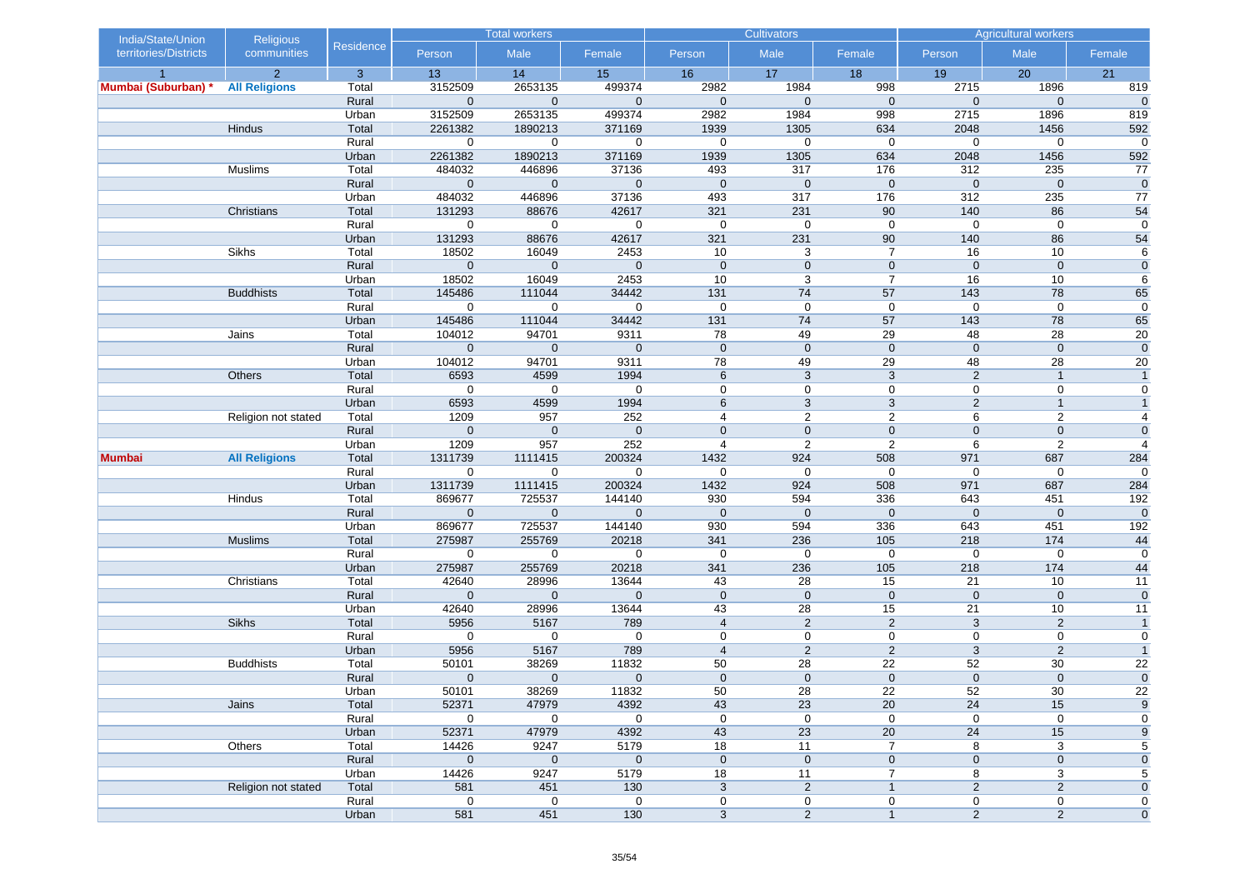| India/State/Union     | <b>Religious</b>     |                |                        | <b>Total workers</b>   |                       |                     | <b>Cultivators</b>  |                     |                     | <b>Agricultural workers</b> |                    |
|-----------------------|----------------------|----------------|------------------------|------------------------|-----------------------|---------------------|---------------------|---------------------|---------------------|-----------------------------|--------------------|
| territories/Districts | communities          | Residence      | Person                 | Male                   | Female                | Person              | Male                | Female              | Person              | Male                        | Female             |
|                       | 2                    | $\mathbf{3}$   | 13                     | 14                     | 15                    | 16                  | 17                  | 18                  | 19                  | 20                          | 21                 |
| Mumbai (Suburban)     | <b>All Religions</b> | Total          | 3152509                | 2653135                | 499374                | 2982                | 1984                | 998                 | 2715                | 1896                        | 819                |
|                       |                      | Rural          | $\mathbf 0$            | $\mathbf 0$            | $\mathbf{0}$          | $\mathbf 0$         | $\mathbf 0$         | $\mathbf{0}$        | $\mathbf 0$         | $\mathbf 0$                 | $\mathbf 0$        |
|                       |                      | Urban          | 3152509                | 2653135                | 499374                | 2982                | 1984                | 998                 | 2715                | 1896                        | 819                |
|                       | <b>Hindus</b>        | Total          | 2261382<br>$\mathbf 0$ | 1890213<br>$\mathbf 0$ | 371169<br>$\mathbf 0$ | 1939<br>$\mathbf 0$ | 1305<br>$\mathbf 0$ | 634<br>$\mathbf 0$  | 2048<br>0           | 1456<br>$\mathbf 0$         | 592<br>$\mathbf 0$ |
|                       |                      | Rural<br>Urban | 2261382                | 1890213                | 371169                | 1939                | 1305                | 634                 | 2048                | 1456                        | 592                |
|                       | Muslims              | Total          | 484032                 | 446896                 | 37136                 | 493                 | 317                 | 176                 | 312                 | 235                         | 77                 |
|                       |                      | Rural          | $\mathbf 0$            | $\mathbf 0$            | $\mathbf{0}$          | $\mathbf 0$         | $\mathbf 0$         | $\mathbf 0$         | $\mathbf 0$         | $\mathbf 0$                 | $\mathbf 0$        |
|                       |                      | Urban          | 484032                 | 446896                 | 37136                 | 493                 | 317                 | 176                 | 312                 | 235                         | 77                 |
|                       | Christians           | Total          | 131293                 | 88676                  | 42617                 | 321                 | 231                 | 90                  | 140                 | 86                          | 54                 |
|                       |                      | Rural          | $\mathbf 0$            | 0                      | $\mathbf 0$           | $\mathbf 0$         | $\mathbf 0$         | $\mathbf 0$         | 0                   | $\mathbf 0$                 | 0                  |
|                       |                      | Urban          | 131293                 | 88676                  | 42617                 | 321                 | 231                 | 90                  | 140                 | 86                          | 54                 |
|                       | Sikhs                | Total          | 18502                  | 16049                  | 2453                  | 10                  | 3                   | $\overline{7}$      | 16                  | 10                          | 6                  |
|                       |                      | Rural          | $\mathbf 0$            | $\mathbf 0$            | $\mathbf 0$           | $\mathbf 0$         | $\mathbf 0$         | $\mathbf 0$         | $\mathbf 0$         | $\pmb{0}$                   | $\mathbf 0$        |
|                       |                      | Urban          | 18502                  | 16049                  | 2453                  | 10                  | 3                   | $\overline{7}$      | 16                  | 10                          | 6                  |
|                       | <b>Buddhists</b>     | Total          | 145486                 | 111044                 | 34442                 | 131                 | 74                  | 57                  | 143                 | 78                          | 65                 |
|                       |                      | Rural          | $\mathbf 0$            | $\mathbf 0$            | $\mathbf 0$           | $\mathbf 0$         | $\mathbf 0$         | $\mathbf 0$         | $\mathbf 0$         | $\mathbf 0$                 | $\mathbf 0$        |
|                       |                      | Urban          | 145486                 | 111044                 | 34442                 | 131                 | 74                  | 57                  | 143                 | 78                          | 65                 |
|                       | Jains                | Total          | 104012                 | 94701                  | 9311                  | 78                  | 49                  | 29                  | 48                  | 28                          | 20                 |
|                       |                      | Rural          | $\mathbf 0$            | $\mathbf 0$            | $\mathbf 0$           | $\mathbf 0$         | $\mathbf 0$         | $\mathbf 0$         | $\mathbf 0$         | $\mathbf 0$                 | $\mathbf 0$        |
|                       |                      | Urban          | 104012                 | 94701                  | 9311                  | 78                  | 49                  | 29                  | 48                  | 28                          | 20                 |
|                       | Others               | Total          | 6593                   | 4599                   | 1994                  | 6                   | 3                   | 3                   | $\overline{2}$      | $\overline{1}$              | $\mathbf{1}$       |
|                       |                      | Rural          | 0                      | $\mathbf 0$            | $\mathbf 0$           | $\mathbf 0$         | $\mathbf 0$         | $\mathbf 0$         | 0                   | 0                           | $\mathbf 0$        |
|                       |                      | Urban          | 6593                   | 4599                   | 1994                  | 6                   | 3                   | 3                   | $\overline{2}$      | $\mathbf{1}$                | $\overline{1}$     |
|                       | Religion not stated  | Total          | 1209                   | 957                    | 252                   | 4                   | $\overline{2}$      | $\overline{c}$      | 6                   | $\overline{c}$              | $\overline{4}$     |
|                       |                      | Rural          | $\mathbf{0}$           | $\mathbf 0$            | $\mathbf{0}$          | $\mathbf 0$         | $\mathbf 0$         | $\mathbf 0$         | $\mathbf{0}$        | $\mathbf 0$                 | $\mathbf 0$        |
|                       |                      | Urban          | 1209                   | 957                    | 252                   | $\overline{4}$      | 2                   | $\overline{2}$      | 6                   | $\overline{2}$              | $\overline{4}$     |
| <b>Mumbai</b>         | <b>All Religions</b> | Total          | 1311739                | 1111415                | 200324                | 1432                | 924                 | 508                 | 971                 | 687                         | 284                |
|                       |                      | Rural          | $\mathbf 0$            | $\mathbf 0$            | $\mathbf 0$           | $\mathbf 0$<br>1432 | $\mathbf 0$<br>924  | $\mathbf 0$<br>508  | 0<br>971            | $\mathbf 0$<br>687          | $\mathbf 0$        |
|                       | Hindus               | Urban<br>Total | 1311739<br>869677      | 1111415<br>725537      | 200324<br>144140      | 930                 | 594                 | 336                 | 643                 | 451                         | 284<br>192         |
|                       |                      | Rural          | $\mathbf 0$            | $\mathbf 0$            | $\mathbf{0}$          | $\mathbf 0$         | $\mathbf{0}$        | $\mathbf 0$         | $\mathbf{0}$        | $\mathbf 0$                 | $\mathbf 0$        |
|                       |                      | Urban          | 869677                 | 725537                 | 144140                | 930                 | 594                 | 336                 | 643                 | 451                         | 192                |
|                       | <b>Muslims</b>       | Total          | 275987                 | 255769                 | 20218                 | 341                 | 236                 | 105                 | 218                 | 174                         | 44                 |
|                       |                      | Rural          | 0                      | $\mathbf 0$            | $\mathbf 0$           | $\mathbf 0$         | $\mathbf 0$         | $\mathbf 0$         | $\mathbf 0$         | $\mathbf 0$                 | 0                  |
|                       |                      | Urban          | 275987                 | 255769                 | 20218                 | 341                 | 236                 | 105                 | 218                 | 174                         | 44                 |
|                       | Christians           | Total          | 42640                  | 28996                  | 13644                 | 43                  | 28                  | 15                  | 21                  | 10                          | 11                 |
|                       |                      | Rural          | $\mathbf 0$            | $\mathbf 0$            | $\mathbf 0$           | $\mathbf 0$         | $\mathbf 0$         | $\mathbf 0$         | $\mathbf 0$         | $\mathbf 0$                 | $\mathbf 0$        |
|                       |                      | Urban          | 42640                  | 28996                  | 13644                 | 43                  | 28                  | 15                  | 21                  | 10                          | 11                 |
|                       | Sikhs                | Total          | 5956                   | 5167                   | 789                   | $\overline{4}$      | $\overline{2}$      | 2                   | $\mathbf{3}$        | 2                           | $\overline{1}$     |
|                       |                      | Rural          | $\mathbf 0$            | $\mathbf 0$            | $\mathbf 0$           | $\mathbf 0$         | $\mathbf 0$         | 0                   | 0                   | $\mathbf 0$                 | $\mathbf 0$        |
|                       |                      | Urban          | 5956                   | 5167                   | 789                   | $\overline{4}$      | 2                   | 2                   | 3                   | $\overline{2}$              | $\overline{1}$     |
|                       | <b>Buddhists</b>     | Total          | 50101                  | 38269                  | 11832                 | 50                  | 28                  | 22                  | 52                  | 30                          | $\overline{22}$    |
|                       |                      | Rural          | $\mathbf{0}$           | $\mathbf 0$            | $\mathbf{0}$          | $\mathbf 0$         | $\mathbf 0$         | $\mathbf 0$         | $\mathbf 0$         | $\mathbf 0$                 | $\overline{0}$     |
|                       |                      | Urban          | 50101                  | 38269                  | 11832                 | 50                  | 28                  | 22                  | 52                  | 30                          | $\overline{22}$    |
|                       | Jains                | Total          | 52371                  | 47979                  | 4392                  | 43                  | 23                  | 20                  | 24                  | 15                          | $\boldsymbol{9}$   |
|                       |                      | Rural          | $\mathbf 0$            | $\mathbf 0$            | $\mathbf 0$           | $\mathbf 0$         | $\mathbf 0$         | $\mathbf 0$         | $\boldsymbol{0}$    | $\boldsymbol{0}$            | $\mathbf 0$        |
|                       |                      | Urban          | 52371                  | 47979                  | 4392                  | 43                  | 23                  | 20                  | 24                  | 15                          | 9                  |
|                       | Others               | Total          | 14426                  | 9247                   | 5179                  | 18                  | 11                  | 7                   | 8                   | 3                           | 5                  |
|                       |                      | Rural          | $\mathbf 0$            | $\mathbf 0$            | $\pmb{0}$             | $\mathbf 0$         | $\mathbf 0$         | $\mathbf 0$         | $\pmb{0}$           | $\pmb{0}$                   | $\mathbf 0$        |
|                       |                      | Urban          | 14426                  | 9247                   | 5179                  | 18                  | 11                  | 7                   | 8                   | 3                           | 5                  |
|                       | Religion not stated  | Total<br>Rural | 581<br>$\mathbf 0$     | 451<br>$\mathbf 0$     | 130                   | 3                   | $\overline{2}$      | $\mathbf{1}$        | $\sqrt{2}$          | $\overline{c}$              | $\mathbf 0$<br>0   |
|                       |                      | Urban          | 581                    | 451                    | 0<br>130              | 0<br>$\mathbf{3}$   | 0<br>$\overline{2}$ | 0<br>$\overline{1}$ | 0<br>$\overline{2}$ | 0<br>$\overline{2}$         | $\mathbf 0$        |
|                       |                      |                |                        |                        |                       |                     |                     |                     |                     |                             |                    |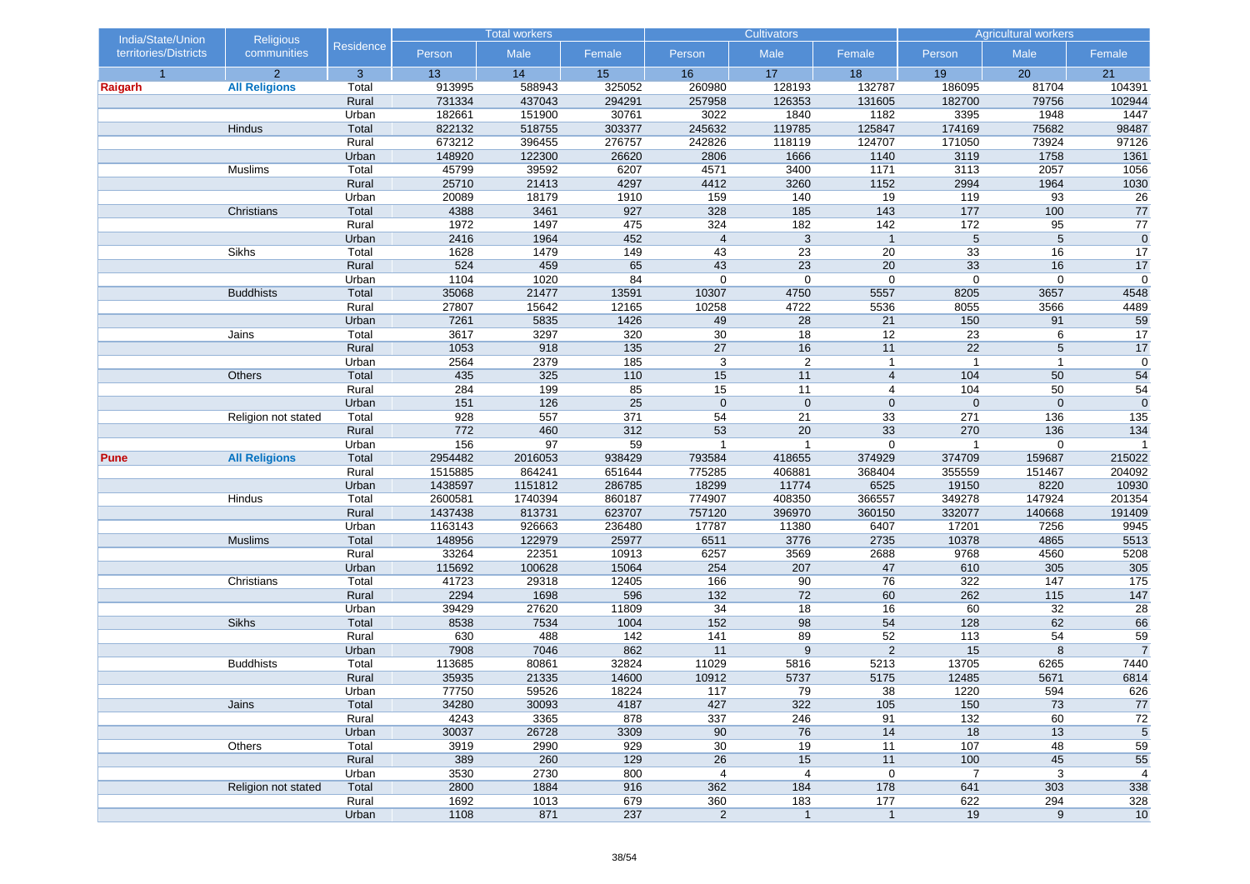| India/State/Union     | <b>Religious</b>     |                  | <b>Total workers</b> |               |             |                | <b>Cultivators</b> |                | <b>Agricultural workers</b> |                  |                      |
|-----------------------|----------------------|------------------|----------------------|---------------|-------------|----------------|--------------------|----------------|-----------------------------|------------------|----------------------|
| territories/Districts | communities          | <b>Residence</b> | Person               | Male          | Female      | Person         | Male               | Female         | Person                      | Male             | Female               |
| $\overline{1}$        | $\overline{2}$       | 3                | 13                   | 14            | 15          | 16             | 17                 | 18             | 19                          | 20               | 21                   |
| Raigarh               | <b>All Religions</b> | Total            | 913995               | 588943        | 325052      | 260980         | 128193             | 132787         | 186095                      | 81704            | 104391               |
|                       |                      | Rural            | 731334               | 437043        | 294291      | 257958         | 126353             | 131605         | 182700                      | 79756            | 102944               |
|                       |                      | Urban            | 182661               | 151900        | 30761       | 3022           | 1840               | 1182           | 3395                        | 1948             | 1447                 |
|                       | Hindus               | Total            | 822132               | 518755        | 303377      | 245632         | 119785             | 125847         | 174169                      | 75682            | 98487                |
|                       |                      | Rural            | 673212               | 396455        | 276757      | 242826         | 118119             | 124707         | 171050                      | 73924            | 97126                |
|                       |                      | Urban            | 148920               | 122300        | 26620       | 2806           | 1666               | 1140           | 3119                        | 1758             | 1361                 |
|                       | Muslims              | Total            | 45799                | 39592         | 6207        | 4571           | 3400               | 1171           | 3113                        | 2057             | 1056                 |
|                       |                      | Rural            | 25710                | 21413         | 4297        | 4412           | 3260               | 1152           | 2994                        | 1964             | 1030                 |
|                       | Christians           | Urban<br>Total   | 20089<br>4388        | 18179<br>3461 | 1910<br>927 | 159<br>328     | 140<br>185         | 19<br>143      | 119<br>177                  | 93<br>100        | 26<br>77             |
|                       |                      | Rural            | 1972                 | 1497          | 475         | 324            | 182                | 142            | 172                         | 95               | $\overline{77}$      |
|                       |                      |                  | 2416                 | 1964          | 452         | $\overline{4}$ | $\sqrt{3}$         | $\overline{1}$ | 5                           | 5                | $\mathbf 0$          |
|                       | Sikhs                | Urban<br>Total   | 1628                 | 1479          | 149         | 43             | 23                 | 20             | 33                          | 16               | 17                   |
|                       |                      | Rural            | 524                  | 459           | 65          | 43             | 23                 | 20             | 33                          | 16               | 17                   |
|                       |                      | Urban            | 1104                 | 1020          | 84          | $\mathbf 0$    | $\mathbf 0$        | $\mathbf 0$    | $\boldsymbol{0}$            | $\boldsymbol{0}$ | $\boldsymbol{0}$     |
|                       | <b>Buddhists</b>     | Total            | 35068                | 21477         | 13591       | 10307          | 4750               | 5557           | 8205                        | 3657             | 4548                 |
|                       |                      | Rural            | 27807                | 15642         | 12165       | 10258          | 4722               | 5536           | 8055                        | 3566             | 4489                 |
|                       |                      | Urban            | 7261                 | 5835          | 1426        | 49             | 28                 | 21             | 150                         | 91               | 59                   |
|                       | Jains                | Total            | 3617                 | 3297          | 320         | 30             | 18                 | 12             | 23                          | 6                | 17                   |
|                       |                      | Rural            | 1053                 | 918           | 135         | 27             | 16                 | 11             | 22                          | 5                | 17                   |
|                       |                      | Urban            | 2564                 | 2379          | 185         | 3              | $\overline{2}$     | $\mathbf{1}$   | $\overline{1}$              | $\mathbf{1}$     | $\mathbf 0$          |
|                       | Others               | Total            | 435                  | 325           | 110         | 15             | 11                 | $\overline{4}$ | 104                         | 50               | 54                   |
|                       |                      | Rural            | 284                  | 199           | 85          | 15             | 11                 | $\overline{4}$ | 104                         | 50               | 54                   |
|                       |                      | Urban            | 151                  | 126           | 25          | $\mathbf 0$    | $\mathbf{0}$       | $\mathbf 0$    | $\mathbf 0$                 | $\mathbf 0$      | $\mathbf 0$          |
|                       | Religion not stated  | Total            | 928                  | 557           | 371         | 54             | 21                 | 33             | 271                         | 136              | 135                  |
|                       |                      | Rural            | 772                  | 460           | 312         | 53             | 20                 | 33             | 270                         | 136              | 134                  |
|                       |                      | Urban            | 156                  | 97            | 59          | $\mathbf{1}$   | $\mathbf{1}$       | $\mathbf 0$    | 1                           | $\boldsymbol{0}$ | $\overline{1}$       |
| <b>Pune</b>           | <b>All Religions</b> | Total            | 2954482              | 2016053       | 938429      | 793584         | 418655             | 374929         | 374709                      | 159687           | 215022               |
|                       |                      | Rural            | 1515885              | 864241        | 651644      | 775285         | 406881             | 368404         | 355559                      | 151467           | 204092               |
|                       |                      | Urban            | 1438597              | 1151812       | 286785      | 18299          | 11774              | 6525           | 19150                       | 8220             | 10930                |
|                       | Hindus               | Total            | 2600581              | 1740394       | 860187      | 774907         | 408350             | 366557         | 349278                      | 147924           | 201354               |
|                       |                      | Rural            | 1437438              | 813731        | 623707      | 757120         | 396970             | 360150         | 332077                      | 140668           | 191409               |
|                       |                      | Urban            | 1163143              | 926663        | 236480      | 17787          | 11380              | 6407           | 17201                       | 7256             | 9945                 |
|                       | <b>Muslims</b>       | Total            | 148956               | 122979        | 25977       | 6511           | 3776               | 2735           | 10378                       | 4865             | 5513                 |
|                       |                      | Rural            | 33264                | 22351         | 10913       | 6257           | 3569               | 2688           | 9768                        | 4560             | 5208                 |
|                       |                      | Urban            | 115692               | 100628        | 15064       | 254            | 207                | 47             | 610                         | 305              | 305                  |
|                       | Christians           | Total            | 41723                | 29318         | 12405       | 166            | 90                 | 76             | 322                         | 147              | 175                  |
|                       |                      | Rural            | 2294                 | 1698          | 596         | $132$          | 72                 | 60             | 262                         | $115$            | $147$                |
|                       |                      | Urban            | 39429                | 27620         | 11809       | 34             | 18                 | 16             | 60                          | 32               | 28                   |
|                       | Sikhs                | Total            | 8538                 | 7534          | 1004        | 152            | 98                 | 54             | 128                         | 62               | 66                   |
|                       |                      | Rural            | 630                  | 488           | 142         | 141            | 89                 | 52             | 113                         | $\overline{54}$  | 59                   |
|                       |                      | Urban            | 7908                 | 7046          | 862         | 11             | 9                  | 2              | 15                          | 8                | $\overline{7}$       |
|                       | <b>Buddhists</b>     | Total            | 113685               | 80861         | 32824       | 11029          | 5816               | 5213           | 13705                       | 6265             | 7440                 |
|                       |                      | Rural            | 35935                | 21335         | 14600       | 10912          | 5737               | 5175           | 12485                       | 5671             | 6814                 |
|                       |                      | Urban            | 77750                | 59526         | 18224       | 117            | 79                 | 38             | 1220                        | 594              | 626                  |
|                       | Jains                | Total            | 34280                | 30093         | 4187        | 427            | 322                | 105            | 150                         | 73               | 77                   |
|                       |                      | Rural            | 4243                 | 3365          | 878         | 337            | 246                | 91             | $132$                       | 60               | 72                   |
|                       |                      | Urban            | 30037                | 26728         | 3309        | 90             | 76                 | 14             | 18                          | 13               | $\sqrt{5}$           |
|                       | Others               | Total            | 3919<br>389          | 2990<br>260   | 929<br>129  | 30<br>26       | 19<br>15           | 11<br>11       | 107                         | 48<br>45         | 59                   |
|                       |                      | Rural<br>Urban   | 3530                 | 2730          | 800         | 4              | 4                  | $\pmb{0}$      | 100<br>$\overline{7}$       | 3                | 55<br>$\overline{4}$ |
|                       |                      |                  | 2800                 | 1884          | 916         | 362            |                    |                |                             | 303              |                      |
|                       | Religion not stated  | Total<br>Rural   | 1692                 | 1013          | 679         | 360            | 184<br>183         | 178<br>177     | 641<br>622                  | 294              | 338<br>328           |
|                       |                      | Urban            | 1108                 | 871           | 237         | $\overline{2}$ | $\mathbf{1}$       | $\mathbf{1}$   | 19                          | $\boldsymbol{9}$ | 10                   |
|                       |                      |                  |                      |               |             |                |                    |                |                             |                  |                      |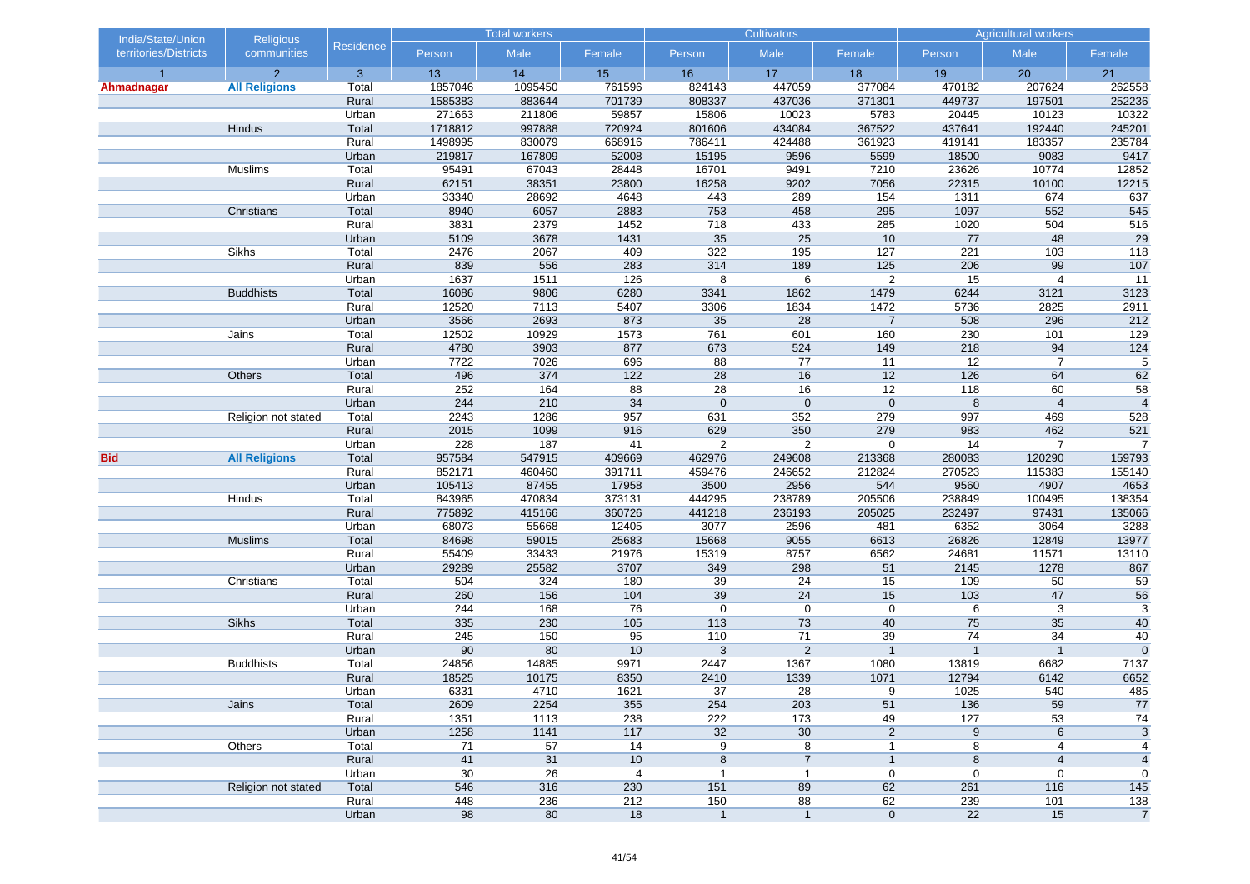| India/State/Union     | <b>Religious</b>     |                  |               | <b>Total workers</b> |                |                  | <b>Cultivators</b>  |                                         | <b>Agricultural workers</b> |                     |                     |
|-----------------------|----------------------|------------------|---------------|----------------------|----------------|------------------|---------------------|-----------------------------------------|-----------------------------|---------------------|---------------------|
| territories/Districts | communities          | <b>Residence</b> | Person        | Male                 | Female         | Person           | Male                | Female                                  | Person                      | Male                | Female              |
| $\overline{1}$        | $\overline{2}$       | 3                | 13            | 14                   | 15             | 16               | 17                  | 18                                      | 19                          | 20                  | 21                  |
| Ahmadnagar            | <b>All Religions</b> | Total            | 1857046       | 1095450              | 761596         | 824143           | 447059              | 377084                                  | 470182                      | 207624              | 262558              |
|                       |                      | Rural            | 1585383       | 883644               | 701739         | 808337           | 437036              | 371301                                  | 449737                      | 197501              | 252236              |
|                       |                      | Urban            | 271663        | 211806               | 59857          | 15806            | 10023               | 5783                                    | 20445                       | 10123               | 10322               |
|                       | Hindus               | Total            | 1718812       | 997888               | 720924         | 801606           | 434084              | 367522                                  | 437641                      | 192440              | 245201              |
|                       |                      | Rural            | 1498995       | 830079               | 668916         | 786411           | 424488              | 361923                                  | 419141                      | 183357              | 235784              |
|                       |                      | Urban            | 219817        | 167809               | 52008          | 15195            | 9596                | 5599                                    | 18500                       | 9083                | 9417                |
|                       | Muslims              | Total            | 95491         | 67043                | 28448          | 16701            | 9491                | 7210                                    | 23626                       | 10774               | 12852               |
|                       |                      | Rural            | 62151         | 38351                | 23800          | 16258            | 9202                | 7056                                    | 22315                       | 10100               | 12215               |
|                       | Christians           | Urban<br>Total   | 33340<br>8940 | 28692<br>6057        | 4648<br>2883   | 443<br>753       | 289<br>458          | 154<br>295                              | 1311<br>1097                | 674<br>552          | 637<br>545          |
|                       |                      | Rural            | 3831          | 2379                 | 1452           | 718              | 433                 | 285                                     | 1020                        | 504                 | 516                 |
|                       |                      |                  | 5109          | 3678                 | 1431           | $\overline{35}$  | 25                  | 10                                      | 77                          | 48                  | 29                  |
|                       | Sikhs                | Urban<br>Total   | 2476          | 2067                 | 409            | 322              | 195                 | 127                                     | 221                         | 103                 | 118                 |
|                       |                      | Rural            | 839           | 556                  | 283            | 314              | 189                 | 125                                     | 206                         | 99                  | 107                 |
|                       |                      | Urban            | 1637          | 1511                 | 126            | 8                | 6                   | $\overline{2}$                          | 15                          | $\overline{4}$      | 11                  |
|                       | <b>Buddhists</b>     | Total            | 16086         | 9806                 | 6280           | 3341             | 1862                | 1479                                    | 6244                        | 3121                | 3123                |
|                       |                      | Rural            | 12520         | 7113                 | 5407           | 3306             | 1834                | 1472                                    | 5736                        | 2825                | 2911                |
|                       |                      | Urban            | 3566          | 2693                 | 873            | 35               | 28                  | $\overline{7}$                          | 508                         | 296                 | 212                 |
|                       | Jains                | Total            | 12502         | 10929                | 1573           | 761              | 601                 | 160                                     | 230                         | 101                 | 129                 |
|                       |                      | Rural            | 4780          | 3903                 | 877            | 673              | 524                 | 149                                     | 218                         | 94                  | $124$               |
|                       |                      | Urban            | 7722          | 7026                 | 696            | 88               | 77                  | 11                                      | 12                          | $\overline{7}$      | $\overline{5}$      |
|                       | Others               | Total            | 496           | 374                  | 122            | 28               | 16                  | 12                                      | 126                         | 64                  | 62                  |
|                       |                      | Rural            | 252           | 164                  | 88             | 28               | 16                  | 12                                      | 118                         | 60                  | $\overline{58}$     |
|                       |                      | Urban            | 244           | 210                  | 34             | $\mathbf 0$      | $\mathbf 0$         | $\mathbf 0$                             | $\,8\,$                     | $\overline{4}$      | $\overline{4}$      |
|                       | Religion not stated  | Total            | 2243          | 1286                 | 957            | 631              | 352                 | 279                                     | 997                         | 469                 | 528                 |
|                       |                      | Rural            | 2015          | 1099                 | 916            | 629              | 350                 | 279                                     | 983                         | 462                 | 521                 |
|                       |                      | Urban            | 228           | 187                  | 41             | 2                | $\overline{2}$      | 0                                       | 14                          | $\overline{7}$      | $\overline{7}$      |
| <b>Bid</b>            | <b>All Religions</b> | Total            | 957584        | 547915               | 409669         | 462976           | 249608              | 213368                                  | 280083                      | 120290              | 159793              |
|                       |                      | Rural            | 852171        | 460460               | 391711         | 459476           | 246652              | 212824                                  | 270523                      | 115383              | 155140              |
|                       |                      | Urban            | 105413        | 87455                | 17958          | 3500             | 2956                | 544                                     | 9560                        | 4907                | 4653                |
|                       | Hindus               | Total            | 843965        | 470834               | 373131         | 444295           | 238789              | 205506                                  | 238849                      | 100495              | 138354              |
|                       |                      | Rural            | 775892        | 415166               | 360726         | 441218           | 236193              | 205025                                  | 232497                      | 97431               | 135066              |
|                       |                      | Urban            | 68073         | 55668                | 12405          | 3077             | 2596                | 481                                     | 6352                        | 3064                | 3288                |
|                       | <b>Muslims</b>       | Total            | 84698         | 59015                | 25683          | 15668            | 9055                | 6613                                    | 26826                       | 12849               | 13977               |
|                       |                      | Rural            | 55409         | 33433                | 21976          | 15319            | 8757                | 6562                                    | 24681                       | 11571               | 13110               |
|                       |                      | Urban            | 29289         | 25582                | 3707           | 349              | 298                 | 51                                      | 2145                        | 1278                | 867                 |
|                       | Christians           | Total            | 504           | 324                  | 180            | 39               | 24                  | 15                                      | 109                         | 50                  | 59                  |
|                       |                      | Rural            | 260           | 156                  | 104            | 39               | 24                  | 15                                      | 103                         | 47                  | 56                  |
|                       |                      | Urban            | 244           | 168                  | 76             | $\boldsymbol{0}$ | $\mathbf 0$         | $\mathbf 0$                             | 6                           | $\sqrt{3}$          | $\sqrt{3}$          |
|                       | Sikhs                | Total            | 335           | 230                  | 105            | 113              | 73                  | 40                                      | 75                          | 35                  | 40                  |
|                       |                      | Rural            | 245           | 150                  | 95             | 110              | 71                  | 39                                      | 74                          | 34                  | 40                  |
|                       |                      | Urban            | 90            | 80                   | 10             | 3                | 2                   | $\mathbf{1}$                            | $\mathbf{1}$                | $\mathbf{1}$        | $\mathbf 0$         |
|                       | <b>Buddhists</b>     | Total            | 24856         | 14885                | 9971           | 2447             | 1367                | 1080                                    | 13819                       | 6682                | 7137                |
|                       |                      | Rural            | 18525         | 10175                | 8350           | 2410             | 1339                | 1071                                    | 12794                       | 6142                | 6652                |
|                       |                      | Urban            | 6331          | 4710                 | 1621           | 37               | 28                  | 9                                       | 1025                        | 540                 | 485                 |
|                       | Jains                | Total            | 2609          | 2254                 | 355            | 254              | 203                 | 51                                      | 136                         | 59                  | 77                  |
|                       |                      | Rural            | 1351          | 1113                 | 238            | 222              | 173                 | 49                                      | 127                         | 53                  | 74                  |
|                       |                      | Urban<br>Total   | 1258          | 1141                 | 117<br>14      | 32               | 30                  | $\overline{\mathbf{c}}$<br>$\mathbf{1}$ | $\boldsymbol{9}$            | $\,6\,$             | $\sqrt{3}$          |
|                       | Others               |                  | 71<br>41      | 57                   | 10             | 9<br>8           | 8<br>$\overline{7}$ | $\mathbf{1}$                            | 8<br>8                      | 4<br>$\overline{4}$ | 4                   |
|                       |                      | Rural<br>Urban   | 30            | 31<br>26             | $\overline{4}$ | $\mathbf{1}$     | $\mathbf{1}$        | 0                                       | 0                           | 0                   | $\overline{4}$<br>0 |
|                       | Religion not stated  | Total            | 546           | 316                  | 230            | 151              | 89                  | 62                                      | 261                         | 116                 | 145                 |
|                       |                      | Rural            | 448           | 236                  | 212            | 150              | 88                  | 62                                      | 239                         | 101                 | 138                 |
|                       |                      | Urban            | 98            | 80                   | 18             | $\mathbf{1}$     | $\mathbf{1}$        | $\mathbf 0$                             | 22                          | 15                  | $\overline{7}$      |
|                       |                      |                  |               |                      |                |                  |                     |                                         |                             |                     |                     |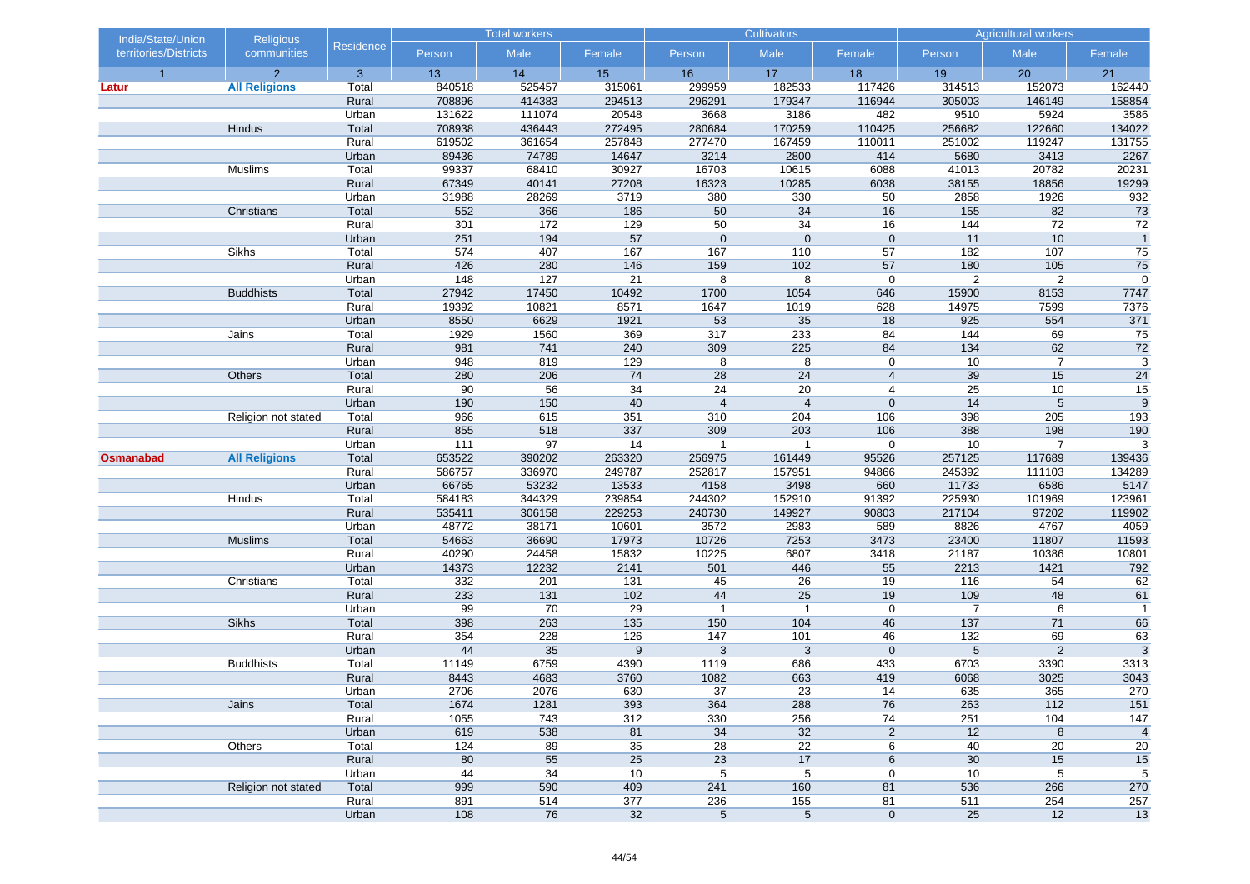| India/State/Union     | <b>Religious</b>     |                  | <b>Total workers</b> |              |                 |                 | <b>Cultivators</b> |                         | <b>Agricultural workers</b> |                 |                 |
|-----------------------|----------------------|------------------|----------------------|--------------|-----------------|-----------------|--------------------|-------------------------|-----------------------------|-----------------|-----------------|
| territories/Districts | communities          | <b>Residence</b> | Person               | Male         | Female          | Person          | Male               | Female                  | Person                      | Male            | Female          |
| $\overline{1}$        | $\overline{2}$       | 3                | 13                   | 14           | 15              | 16              | 17                 | 18                      | 19                          | 20              | 21              |
| Latur                 | <b>All Religions</b> | Total            | 840518               | 525457       | 315061          | 299959          | 182533             | 117426                  | 314513                      | 152073          | 162440          |
|                       |                      | Rural            | 708896               | 414383       | 294513          | 296291          | 179347             | 116944                  | 305003                      | 146149          | 158854          |
|                       |                      | Urban            | 131622               | 111074       | 20548           | 3668            | 3186               | 482                     | 9510                        | 5924            | 3586            |
|                       | Hindus               | Total            | 708938               | 436443       | 272495          | 280684          | 170259             | 110425                  | 256682                      | 122660          | 134022          |
|                       |                      | Rural            | 619502               | 361654       | 257848          | 277470          | 167459             | 110011                  | 251002                      | 119247          | 131755          |
|                       |                      | Urban            | 89436                | 74789        | 14647           | 3214            | 2800               | 414                     | 5680                        | 3413            | 2267            |
|                       | Muslims              | Total            | 99337                | 68410        | 30927           | 16703           | 10615              | 6088                    | 41013                       | 20782           | 20231           |
|                       |                      | Rural            | 67349                | 40141        | 27208           | 16323           | 10285              | 6038                    | 38155                       | 18856           | 19299           |
|                       | Christians           | Urban<br>Total   | 31988<br>552         | 28269<br>366 | 3719<br>186     | 380<br>50       | 330<br>34          | 50<br>16                | 2858<br>155                 | 1926<br>82      | 932<br>73       |
|                       |                      | Rural            | 301                  | 172          | 129             | $\overline{50}$ | 34                 | 16                      | 144                         | $\overline{72}$ | $\overline{72}$ |
|                       |                      |                  | 251                  | 194          | 57              | $\mathbf 0$     | $\mathbf 0$        | $\mathbf 0$             | 11                          | 10              | $\overline{1}$  |
|                       | Sikhs                | Urban<br>Total   | 574                  | 407          | 167             | 167             | 110                | 57                      | 182                         | 107             | 75              |
|                       |                      | Rural            | 426                  | 280          | 146             | 159             | 102                | 57                      | 180                         | 105             | 75              |
|                       |                      | Urban            | 148                  | 127          | 21              | 8               | 8                  | $\mathbf 0$             | $\overline{2}$              | $\overline{2}$  | 0               |
|                       | <b>Buddhists</b>     | Total            | 27942                | 17450        | 10492           | 1700            | 1054               | 646                     | 15900                       | 8153            | 7747            |
|                       |                      | Rural            | 19392                | 10821        | 8571            | 1647            | 1019               | 628                     | 14975                       | 7599            | 7376            |
|                       |                      | Urban            | 8550                 | 6629         | 1921            | 53              | $\overline{35}$    | 18                      | 925                         | 554             | 371             |
|                       | Jains                | Total            | 1929                 | 1560         | 369             | 317             | 233                | 84                      | 144                         | 69              | 75              |
|                       |                      | Rural            | 981                  | 741          | 240             | 309             | 225                | 84                      | 134                         | 62              | $\overline{72}$ |
|                       |                      | Urban            | 948                  | 819          | 129             | 8               | 8                  | $\mathbf 0$             | 10                          | $\overline{7}$  | $\overline{3}$  |
|                       | Others               | Total            | 280                  | 206          | 74              | 28              | 24                 | $\overline{\mathbf{4}}$ | 39                          | 15              | 24              |
|                       |                      | Rural            | 90                   | 56           | 34              | 24              | 20                 | 4                       | $\overline{25}$             | 10              | 15              |
|                       |                      | Urban            | 190                  | 150          | 40              | $\overline{4}$  | $\overline{4}$     | $\mathbf{0}$            | 14                          | 5               | 9               |
|                       | Religion not stated  | Total            | 966                  | 615          | 351             | 310             | 204                | 106                     | 398                         | 205             | 193             |
|                       |                      | Rural            | 855                  | 518          | 337             | 309             | 203                | 106                     | 388                         | 198             | 190             |
|                       |                      | Urban            | 111                  | 97           | 14              | $\overline{1}$  | $\mathbf 1$        | 0                       | 10                          | $\overline{7}$  | 3               |
| <b>Osmanabad</b>      | <b>All Religions</b> | Total            | 653522               | 390202       | 263320          | 256975          | 161449             | 95526                   | 257125                      | 117689          | 139436          |
|                       |                      | Rural            | 586757               | 336970       | 249787          | 252817          | 157951             | 94866                   | 245392                      | 111103          | 134289          |
|                       |                      | Urban            | 66765                | 53232        | 13533           | 4158            | 3498               | 660                     | 11733                       | 6586            | 5147            |
|                       | Hindus               | Total            | 584183               | 344329       | 239854          | 244302          | 152910             | 91392                   | 225930                      | 101969          | 123961          |
|                       |                      | Rural            | 535411               | 306158       | 229253          | 240730          | 149927             | 90803                   | 217104                      | 97202           | 119902          |
|                       |                      | Urban            | 48772                | 38171        | 10601           | 3572            | 2983               | 589                     | 8826                        | 4767            | 4059            |
|                       | <b>Muslims</b>       | Total            | 54663                | 36690        | 17973           | 10726           | 7253               | 3473                    | 23400                       | 11807           | 11593           |
|                       |                      | Rural            | 40290                | 24458        | 15832           | 10225           | 6807               | 3418                    | 21187                       | 10386           | 10801           |
|                       |                      | Urban            | 14373                | 12232        | 2141            | 501             | 446                | 55                      | 2213                        | 1421            | 792             |
|                       | Christians           | Total            | 332                  | 201          | 131             | 45              | 26                 | 19                      | 116                         | 54              | 62              |
|                       |                      | Rural            | 233                  | 131          | 102             | 44              | 25                 | 19                      | 109                         | 48              | 61              |
|                       |                      | Urban            | 99                   | 70           | 29              | $\overline{1}$  | $\overline{1}$     | $\mathbf 0$             | 7                           | 6               | $\overline{1}$  |
|                       | Sikhs                | Total            | 398                  | 263          | 135             | 150             | 104                | 46                      | 137                         | 71              | 66              |
|                       |                      | Rural            | 354                  | 228          | 126             | 147             | 101                | 46                      | 132                         | 69              | 63              |
|                       |                      | Urban            | 44                   | 35           | 9               | 3               | 3                  | $\mathbf{0}$            | 5                           | $\overline{2}$  | $\overline{3}$  |
|                       | <b>Buddhists</b>     | Total            | 11149                | 6759         | 4390            | 1119            | 686                | 433                     | 6703                        | 3390            | 3313            |
|                       |                      | Rural            | 8443                 | 4683         | 3760            | 1082            | 663                | 419                     | 6068                        | 3025            | 3043            |
|                       |                      | Urban            | 2706                 | 2076         | 630             | 37              | 23                 | 14                      | 635                         | 365             | 270             |
|                       | Jains                | Total<br>Rural   | 1674<br>1055         | 1281<br>743  | 393<br>312      | 364<br>330      | 288<br>256         | 76<br>74                | 263<br>251                  | $112$<br>104    | 151<br>147      |
|                       |                      | Urban            | 619                  | 538          | 81              | 34              | 32                 | $\overline{c}$          | 12                          | $\,8\,$         | $\overline{4}$  |
|                       | Others               | Total            | 124                  | 89           | $\overline{35}$ | $\overline{28}$ | $\overline{22}$    | 6                       | 40                          | 20              | 20              |
|                       |                      | Rural            | 80                   | 55           | 25              | 23              | 17                 | 6                       | 30                          | 15              |                 |
|                       |                      | Urban            | 44                   | 34           | 10              | 5               | 5                  | 0                       | 10                          | 5               | 15<br>5         |
|                       | Religion not stated  | Total            | 999                  | 590          | 409             | 241             | 160                | 81                      | 536                         | 266             | 270             |
|                       |                      | Rural            | 891                  | 514          | 377             | 236             | 155                | 81                      | 511                         | 254             | 257             |
|                       |                      | Urban            | 108                  | 76           | 32              | $\,$ 5 $\,$     | $\,$ 5 $\,$        | $\mathbf 0$             | $\overline{25}$             | 12              | 13              |
|                       |                      |                  |                      |              |                 |                 |                    |                         |                             |                 |                 |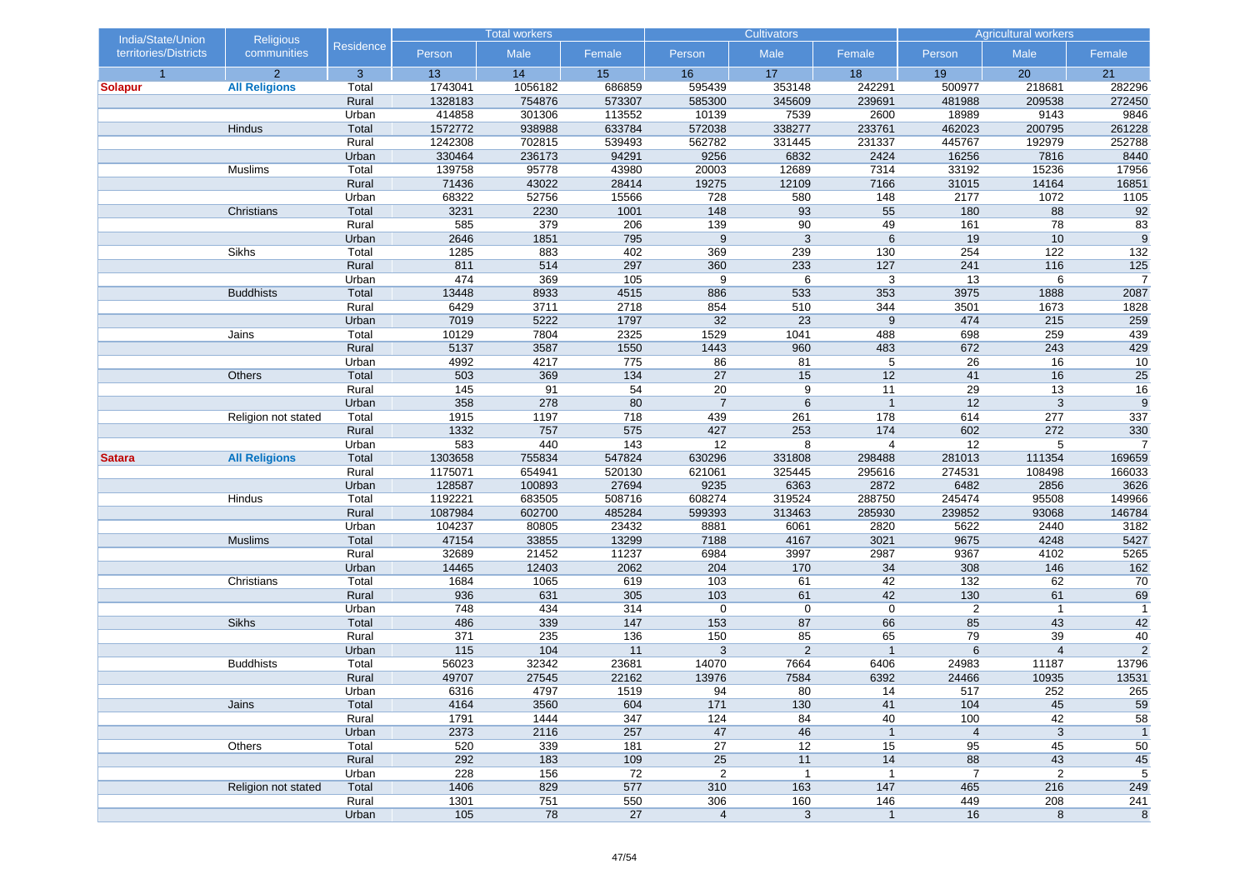| India/State/Union     | <b>Religious</b>     |                | <b>Total workers</b> |            |            |                | <b>Cultivators</b> |                | <b>Agricultural workers</b> |                |                 |
|-----------------------|----------------------|----------------|----------------------|------------|------------|----------------|--------------------|----------------|-----------------------------|----------------|-----------------|
| territories/Districts | communities          | Residence      | Person               | Male       | Female     | Person         | Male               | Female         | Person                      | Male           | Female          |
| $\overline{1}$        | $\overline{2}$       | 3              | 13                   | 14         | 15         | 16             | 17                 | 18             | 19                          | 20             | 21              |
| <b>Solapur</b>        | <b>All Religions</b> | Total          | 1743041              | 1056182    | 686859     | 595439         | 353148             | 242291         | 500977                      | 218681         | 282296          |
|                       |                      | Rural          | 1328183              | 754876     | 573307     | 585300         | 345609             | 239691         | 481988                      | 209538         | 272450          |
|                       |                      | Urban          | 414858               | 301306     | 113552     | 10139          | 7539               | 2600           | 18989                       | 9143           | 9846            |
|                       | Hindus               | Total          | 1572772              | 938988     | 633784     | 572038         | 338277             | 233761         | 462023                      | 200795         | 261228          |
|                       |                      | Rural          | 1242308              | 702815     | 539493     | 562782         | 331445             | 231337         | 445767                      | 192979         | 252788          |
|                       |                      | Urban          | 330464               | 236173     | 94291      | 9256           | 6832               | 2424           | 16256                       | 7816           | 8440            |
|                       | Muslims              | Total          | 139758               | 95778      | 43980      | 20003          | 12689              | 7314           | 33192                       | 15236          | 17956           |
|                       |                      | Rural          | 71436                | 43022      | 28414      | 19275          | 12109              | 7166           | 31015                       | 14164          | 16851           |
|                       |                      | Urban          | 68322                | 52756      | 15566      | 728            | 580                | 148            | 2177                        | 1072           | 1105            |
|                       | Christians           | Total          | 3231                 | 2230       | 1001       | 148            | 93                 | 55             | 180                         | 88             | 92              |
|                       |                      | Rural          | 585                  | 379        | 206        | 139            | 90                 | 49             | 161                         | 78             | 83              |
|                       |                      | Urban          | 2646                 | 1851       | 795        | $9\,$          | 3                  | 6              | 19                          | 10             | 9               |
|                       | Sikhs                | Total          | 1285                 | 883        | 402        | 369            | 239                | 130            | 254                         | 122            | 132             |
|                       |                      | Rural<br>Urban | 811<br>474           | 514<br>369 | 297<br>105 | 360<br>9       | 233<br>6           | 127<br>3       | 241<br>13                   | 116<br>6       | 125<br>7        |
|                       | <b>Buddhists</b>     | Total          | 13448                | 8933       | 4515       | 886            | 533                | 353            | 3975                        | 1888           | 2087            |
|                       |                      | Rural          | 6429                 | 3711       | 2718       | 854            | 510                | 344            | 3501                        | 1673           | 1828            |
|                       |                      | Urban          | 7019                 | 5222       | 1797       | 32             | 23                 | 9              | 474                         | 215            | 259             |
|                       | Jains                | Total          | 10129                | 7804       | 2325       | 1529           | 1041               | 488            | 698                         | 259            | 439             |
|                       |                      | Rural          | 5137                 | 3587       | 1550       | 1443           | 960                | 483            | 672                         | 243            | 429             |
|                       |                      | Urban          | 4992                 | 4217       | 775        | 86             | 81                 | 5              | 26                          | 16             | 10              |
|                       | Others               | Total          | 503                  | 369        | 134        | 27             | 15                 | 12             | 41                          | 16             | 25              |
|                       |                      | Rural          | 145                  | 91         | 54         | 20             | 9                  | 11             | 29                          | 13             | $\overline{16}$ |
|                       |                      | Urban          | 358                  | 278        | 80         | $\overline{7}$ | 6                  | $\overline{1}$ | 12                          | $\mathbf{3}$   | 9               |
|                       | Religion not stated  | Total          | 1915                 | 1197       | 718        | 439            | 261                | 178            | 614                         | 277            | 337             |
|                       |                      | Rural          | 1332                 | 757        | 575        | 427            | 253                | 174            | 602                         | 272            | 330             |
|                       |                      | Urban          | 583                  | 440        | 143        | 12             | 8                  | $\overline{4}$ | 12                          | 5              | $\overline{7}$  |
| <b>Satara</b>         | <b>All Religions</b> | Total          | 1303658              | 755834     | 547824     | 630296         | 331808             | 298488         | 281013                      | 111354         | 169659          |
|                       |                      | Rural          | 1175071              | 654941     | 520130     | 621061         | 325445             | 295616         | 274531                      | 108498         | 166033          |
|                       |                      | Urban          | 128587               | 100893     | 27694      | 9235           | 6363               | 2872           | 6482                        | 2856           | 3626            |
|                       | Hindus               | Total          | 1192221              | 683505     | 508716     | 608274         | 319524             | 288750         | 245474                      | 95508          | 149966          |
|                       |                      | Rural          | 1087984              | 602700     | 485284     | 599393         | 313463             | 285930         | 239852                      | 93068          | 146784          |
|                       |                      | Urban          | 104237               | 80805      | 23432      | 8881           | 6061               | 2820           | 5622                        | 2440           | 3182            |
|                       | <b>Muslims</b>       | Total          | 47154                | 33855      | 13299      | 7188           | 4167               | 3021           | 9675                        | 4248           | 5427            |
|                       |                      | Rural          | 32689                | 21452      | 11237      | 6984           | 3997               | 2987           | 9367                        | 4102           | 5265            |
|                       |                      | Urban          | 14465                | 12403      | 2062       | 204            | 170                | 34             | 308                         | 146            | $162$           |
|                       | Christians           | Total          | 1684                 | 1065       | 619        | 103            | 61                 | 42             | 132                         | 62             | 70              |
|                       |                      | Rural          | 936                  | 631        | 305        | 103            | 61                 | 42             | 130                         | 61             | 69              |
|                       |                      | Urban          | 748                  | 434        | 314        | $\mathbf 0$    | $\mathbf 0$        | $\mathbf 0$    | $\overline{2}$              | $\overline{1}$ | $\mathbf{1}$    |
|                       | Sikhs                | Total          | 486                  | 339        | 147        | 153            | 87                 | 66             | 85                          | 43             | 42              |
|                       |                      | Rural          | 371                  | 235        | 136        | 150            | 85                 | 65             | 79                          | 39             | 40              |
|                       |                      | Urban          | 115                  | 104        | 11         | 3              | 2                  | $\mathbf{1}$   | $6\phantom{1}6$             | $\overline{4}$ | $\overline{2}$  |
|                       | <b>Buddhists</b>     | Total          | 56023                | 32342      | 23681      | 14070          | 7664               | 6406           | 24983                       | 11187          | 13796           |
|                       |                      | Rural          | 49707                | 27545      | 22162      | 13976          | 7584               | 6392           | 24466                       | 10935          | 13531           |
|                       |                      | Urban          | 6316                 | 4797       | 1519       | 94             | 80                 | 14             | 517                         | 252            | 265             |
|                       | Jains                | Total          | 4164                 | 3560       | 604        | $171$          | 130                | 41             | 104                         | 45             | 59              |
|                       |                      | Rural          | 1791                 | 1444       | 347        | 124            | 84                 | 40             | 100                         | 42             | 58              |
|                       |                      | Urban          | 2373                 | 2116       | 257        | 47             | 46                 | $\mathbf{1}$   | $\overline{4}$              | $\mathbf{3}$   | $\overline{1}$  |
|                       | Others               | Total          | 520                  | 339        | 181        | 27             | 12                 | 15             | 95                          | 45             | 50              |
|                       |                      | Rural          | 292                  | 183        | 109        | 25             | 11                 | 14             | 88                          | 43             | 45              |
|                       |                      | Urban          | 228                  | 156        | 72         | $\overline{2}$ | $\mathbf{1}$       | $\mathbf{1}$   | $\overline{7}$              | 2              | 5               |
|                       | Religion not stated  | Total          | 1406                 | 829        | 577        | 310            | 163                | 147            | 465                         | 216            | 249             |
|                       |                      | Rural          | 1301                 | 751        | 550        | 306            | 160                | 146            | 449                         | 208            | 241             |
|                       |                      | Urban          | 105                  | 78         | 27         | $\overline{4}$ | $\mathbf{3}$       | $\mathbf{1}$   | 16                          | $\bf 8$        | $\bf 8$         |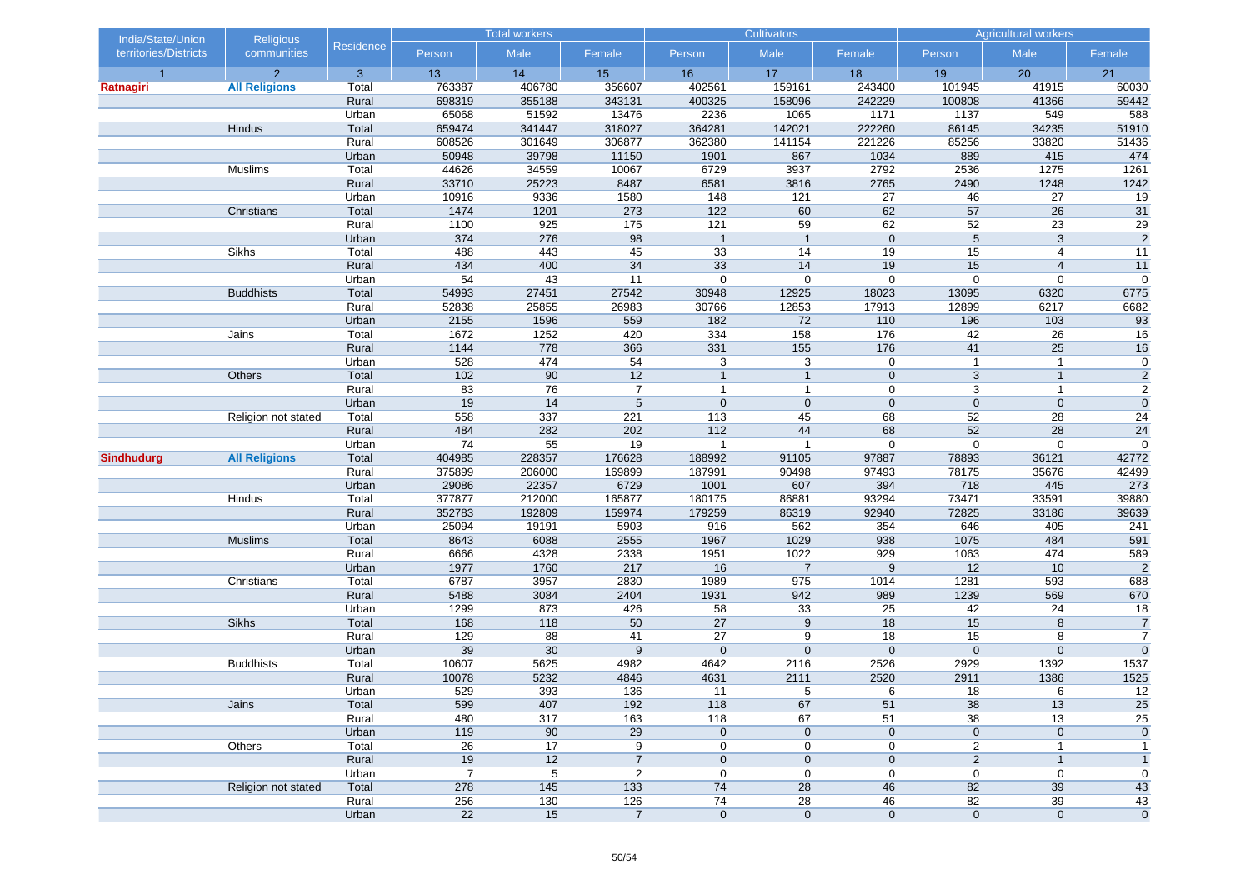| India/State/Union     | <b>Religious</b>     |                  | <b>Total workers</b> |                 |                 |                 | <b>Cultivators</b> |             | <b>Agricultural workers</b> |                  |                      |
|-----------------------|----------------------|------------------|----------------------|-----------------|-----------------|-----------------|--------------------|-------------|-----------------------------|------------------|----------------------|
| territories/Districts | communities          | <b>Residence</b> | Person               | Male            | Female          | Person          | Male               | Female      | Person                      | Male             | Female               |
| $\overline{1}$        | $\overline{2}$       | 3                | 13                   | 14              | 15              | 16              | 17                 | 18          | 19                          | 20               | 21                   |
| Ratnagiri             | <b>All Religions</b> | Total            | 763387               | 406780          | 356607          | 402561          | 159161             | 243400      | 101945                      | 41915            | 60030                |
|                       |                      | Rural            | 698319               | 355188          | 343131          | 400325          | 158096             | 242229      | 100808                      | 41366            | 59442                |
|                       |                      | Urban            | 65068                | 51592           | 13476           | 2236            | 1065               | 1171        | 1137                        | 549              | 588                  |
|                       | Hindus               | Total            | 659474               | 341447          | 318027          | 364281          | 142021             | 222260      | 86145                       | 34235            | 51910                |
|                       |                      | Rural            | 608526               | 301649          | 306877          | 362380          | 141154             | 221226      | 85256                       | 33820            | 51436                |
|                       |                      | Urban            | 50948                | 39798           | 11150           | 1901            | 867                | 1034        | 889                         | 415              | 474                  |
|                       | Muslims              | Total            | 44626                | 34559           | 10067           | 6729            | 3937               | 2792        | 2536                        | 1275             | 1261                 |
|                       |                      | Rural<br>Urban   | 33710<br>10916       | 25223           | 8487<br>1580    | 6581            | 3816<br>121        | 2765<br>27  | 2490                        | 1248<br>27       | 1242                 |
|                       | Christians           | Total            | 1474                 | 9336<br>1201    | 273             | 148<br>122      | 60                 | 62          | 46<br>57                    | 26               | 19<br>31             |
|                       |                      | Rural            | 1100                 | 925             | 175             | 121             | 59                 | 62          | $\overline{52}$             | $\overline{23}$  | $\overline{29}$      |
|                       |                      | Urban            | 374                  | 276             | 98              | $\overline{1}$  | $\overline{1}$     | $\mathbf 0$ | 5                           | 3                | $\overline{2}$       |
|                       | Sikhs                | Total            | 488                  | 443             | 45              | 33              | 14                 | 19          | 15                          | 4                | 11                   |
|                       |                      | Rural            | 434                  | 400             | 34              | 33              | 14                 | 19          | 15                          | $\overline{4}$   | 11                   |
|                       |                      | Urban            | 54                   | 43              | 11              | $\mathbf 0$     | $\mathbf 0$        | $\mathbf 0$ | $\overline{0}$              | $\boldsymbol{0}$ | $\mathbf 0$          |
|                       | <b>Buddhists</b>     | Total            | 54993                | 27451           | 27542           | 30948           | 12925              | 18023       | 13095                       | 6320             | 6775                 |
|                       |                      | Rural            | 52838                | 25855           | 26983           | 30766           | 12853              | 17913       | 12899                       | 6217             | 6682                 |
|                       |                      | Urban            | 2155                 | 1596            | 559             | 182             | 72                 | 110         | 196                         | 103              | 93                   |
|                       | Jains                | Total            | 1672                 | 1252            | 420             | 334             | 158                | 176         | 42                          | 26               | 16                   |
|                       |                      | Rural            | 1144                 | 778             | 366             | 331             | 155                | 176         | 41                          | 25               | 16                   |
|                       |                      | Urban            | 528                  | 474             | 54              | 3               | 3                  | 0           | $\mathbf{1}$                | $\mathbf{1}$     | $\mathbf 0$          |
|                       | Others               | Total            | 102                  | 90              | 12              | $\overline{1}$  | $\mathbf{1}$       | $\mathbf 0$ | 3                           | $\mathbf{1}$     | $\sqrt{2}$           |
|                       |                      | Rural            | 83                   | 76              | $\overline{7}$  | $\mathbf{1}$    | $\mathbf{1}$       | $\mathbf 0$ | 3                           | $\mathbf{1}$     | $\overline{2}$       |
|                       |                      | Urban            | 19                   | 14              | $5\phantom{.0}$ | $\mathbf 0$     | $\mathbf 0$        | $\mathbf 0$ | $\mathbf 0$                 | $\mathbf 0$      | $\pmb{0}$            |
|                       | Religion not stated  | Total            | 558                  | 337             | 221             | 113             | 45                 | 68          | 52                          | 28               | 24                   |
|                       |                      | Rural            | 484                  | 282             | 202             | $112$           | 44                 | 68          | 52                          | 28               | 24                   |
|                       |                      | Urban            | 74                   | 55              | 19              | $\mathbf{1}$    | $\mathbf{1}$       | $\mathbf 0$ | $\boldsymbol{0}$            | $\boldsymbol{0}$ | $\boldsymbol{0}$     |
| <b>Sindhudurg</b>     | <b>All Religions</b> | Total            | 404985               | 228357          | 176628          | 188992          | 91105              | 97887       | 78893                       | 36121            | 42772                |
|                       |                      | Rural            | 375899               | 206000          | 169899          | 187991          | 90498              | 97493       | 78175                       | 35676            | 42499                |
|                       |                      | Urban            | 29086                | 22357           | 6729            | 1001            | 607                | 394         | 718                         | 445              | 273                  |
|                       | Hindus               | Total            | 377877               | 212000          | 165877          | 180175          | 86881              | 93294       | 73471                       | 33591            | 39880                |
|                       |                      | Rural            | 352783               | 192809          | 159974          | 179259          | 86319              | 92940       | 72825                       | 33186            | 39639                |
|                       |                      | Urban            | 25094                | 19191           | 5903            | 916             | 562                | 354         | 646                         | 405              | 241                  |
|                       | <b>Muslims</b>       | Total            | 8643                 | 6088            | 2555            | 1967            | 1029               | 938         | 1075                        | 484              | 591                  |
|                       |                      | Rural            | 6666                 | 4328            | 2338            | 1951            | 1022               | 929         | 1063                        | 474              | 589                  |
|                       |                      | Urban            | 1977                 | 1760            | 217             | 16              | $\overline{7}$     | 9           | 12                          | 10               | $\overline{2}$       |
|                       | Christians           | Total            | 6787                 | 3957            | 2830            | 1989            | 975                | 1014        | 1281                        | 593              | 688                  |
|                       |                      | Rural            | 5488                 | 3084            | 2404            | 1931            | 942                | 989         | 1239                        | 569              | 670                  |
|                       | Sikhs                | Urban<br>Total   | 1299<br>168          | 873<br>118      | 426<br>50       | 58<br>27        | 33<br>9            | 25<br>18    | 42<br>15                    | 24<br>8          | 18<br>$\overline{7}$ |
|                       |                      | Rural            | 129                  | 88              | 41              | 27              | 9                  | 18          | 15                          | 8                | $\overline{7}$       |
|                       |                      | Urban            | 39                   | $30\,$          | 9               | $\mathbf 0$     | $\mathbf{0}$       | $\mathbf 0$ | $\mathbf 0$                 | $\mathbf 0$      | $\mathbf 0$          |
|                       | <b>Buddhists</b>     | Total            | 10607                | 5625            | 4982            | 4642            | 2116               | 2526        | 2929                        | 1392             | 1537                 |
|                       |                      | Rural            | 10078                | 5232            | 4846            | 4631            | 2111               | 2520        | 2911                        | 1386             | 1525                 |
|                       |                      | Urban            | 529                  | 393             | 136             | 11              | 5                  | 6           | 18                          | 6                | 12                   |
|                       | Jains                | Total            | 599                  | 407             | 192             | 118             | 67                 | 51          | 38                          | 13               | 25                   |
|                       |                      | Rural            | 480                  | 317             | 163             | 118             | 67                 | 51          | 38                          | 13               | $\overline{25}$      |
|                       |                      | Urban            | 119                  | 90              | 29              | $\pmb{0}$       | $\pmb{0}$          | $\mathbf 0$ | $\pmb{0}$                   | $\pmb{0}$        | $\pmb{0}$            |
|                       | Others               | Total            | $\overline{26}$      | $\overline{17}$ | 9               | 0               | 0                  | 0           | 2                           | $\mathbf{1}$     | $\mathbf{1}$         |
|                       |                      | Rural            | 19                   | 12              | $\overline{7}$  | $\mathbf 0$     | $\mathbf 0$        | $\pmb{0}$   | $\overline{2}$              | $\mathbf{1}$     | $\mathbf{1}$         |
|                       |                      | Urban            | $\overline{7}$       | 5               | $\overline{2}$  | 0               | 0                  | 0           | $\pmb{0}$                   | 0                | 0                    |
|                       | Religion not stated  | Total            | 278                  | 145             | 133             | 74              | 28                 | 46          | 82                          | 39               | 43                   |
|                       |                      | Rural            | 256                  | 130             | 126             | $\overline{74}$ | 28                 | 46          | 82                          | 39               | 43                   |
|                       |                      | Urban            | 22                   | 15              | $\overline{7}$  | $\mathbf 0$     | $\pmb{0}$          | $\mathbf 0$ | $\pmb{0}$                   | $\pmb{0}$        | $\mathbf{0}$         |